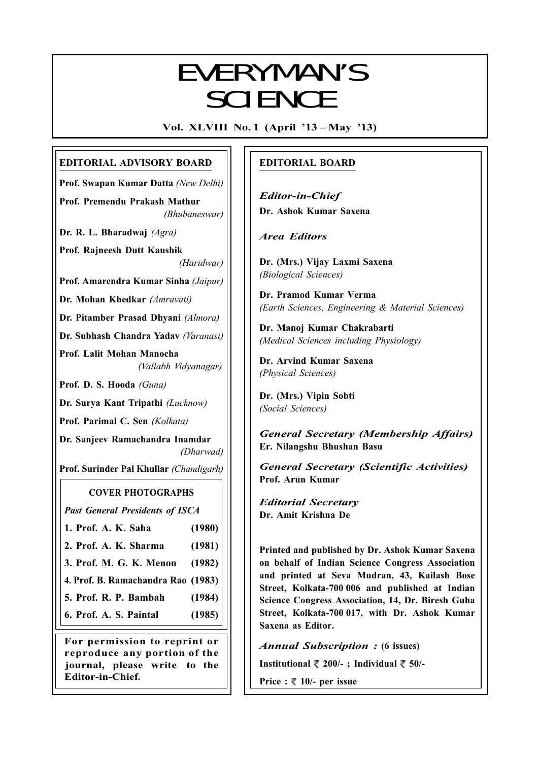# Everyman's Science Vol. XLVIII No. 1, April '13 — May '13 EVERYMAN'S **SCIENCE**

Vol. XLVIII No. 1 (April '13 – May '13)

# EDITORIAL ADVISORY BOARD

Prof. Swapan Kumar Datta (New Delhi)

Prof. Premendu Prakash Mathur (Bhubaneswar)

Dr. R. L. Bharadwaj (Agra)

Prof. Rajneesh Dutt Kaushik (Haridwar)

Prof. Amarendra Kumar Sinha (Jaipur)

Dr. Mohan Khedkar (Amravati)

Dr. Pitamber Prasad Dhyani (Almora)

Dr. Subhash Chandra Yadav (Varanasi)

Prof. Lalit Mohan Manocha (Vallabh Vidyanagar)

Prof. D. S. Hooda (Guna)

Dr. Surya Kant Tripathi (Lucknow)

Prof. Parimal C. Sen (Kolkata)

Dr. Sanjeev Ramachandra Inamdar (Dharwad)

Prof. Surinder Pal Khullar (Chandigarh)

## COVER PHOTOGRAPHS

Past General Presidents of ISCA

- 1. Prof. A. K. Saha (1980)
- 2. Prof. A. K. Sharma (1981)
- 3. Prof. M. G. K. Menon (1982)

4. Prof. B. Ramachandra Rao (1983)

5. Prof. R. P. Bambah (1984)

6. Prof. A. S. Paintal (1985)

For permission to reprint or reproduce any portion of the journal, please write to the Editor-in-Chief.

# EDITORIAL BOARD

Editor-in-Chief Dr. Ashok Kumar Saxena

Area Editors

Dr. (Mrs.) Vijay Laxmi Saxena (Biological Sciences)

Dr. Pramod Kumar Verma (Earth Sciences, Engineering & Material Sciences)

Dr. Manoj Kumar Chakrabarti (Medical Sciences including Physiology)

Dr. Arvind Kumar Saxena (Physical Sciences)

Dr. (Mrs.) Vipin Sobti (Social Sciences)

General Secretary (Membership Affairs) Er. Nilangshu Bhushan Basu

General Secretary (Scientific Activities) Prof. Arun Kumar

Editorial Secretary Dr. Amit Krishna De

Printed and published by Dr. Ashok Kumar Saxena on behalf of Indian Science Congress Association and printed at Seva Mudran, 43, Kailash Bose Street, Kolkata-700 006 and published at Indian Science Congress Association, 14, Dr. Biresh Guha Street, Kolkata-700 017, with Dr. Ashok Kumar Saxena as Editor.

Annual Subscription : (6 issues)

Institutional  $\ell$  200/-; Individual  $\ell$  50/-

Price :  $\sqrt[m]{ }$  10/- per issue

1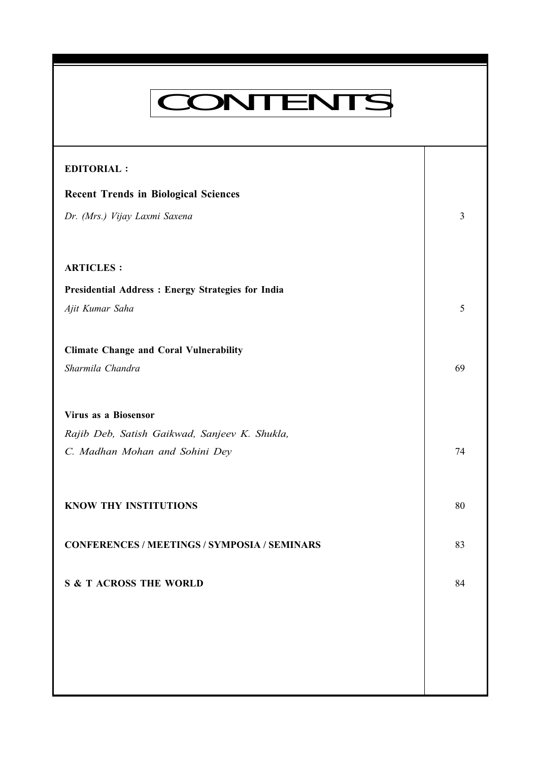| CONTENTS                                                 |    |
|----------------------------------------------------------|----|
| <b>EDITORIAL:</b>                                        |    |
| <b>Recent Trends in Biological Sciences</b>              |    |
| Dr. (Mrs.) Vijay Laxmi Saxena                            | 3  |
| <b>ARTICLES:</b>                                         |    |
| <b>Presidential Address: Energy Strategies for India</b> |    |
| Ajit Kumar Saha                                          | 5  |
| <b>Climate Change and Coral Vulnerability</b>            |    |
| Sharmila Chandra                                         | 69 |
| Virus as a Biosensor                                     |    |
| Rajib Deb, Satish Gaikwad, Sanjeev K. Shukla,            |    |
| C. Madhan Mohan and Sohini Dey                           | 74 |
| <b>KNOW THY INSTITUTIONS</b>                             | 80 |
| <b>CONFERENCES / MEETINGS / SYMPOSIA / SEMINARS</b>      | 83 |
| <b>S &amp; T ACROSS THE WORLD</b>                        | 84 |
|                                                          |    |
|                                                          |    |
|                                                          |    |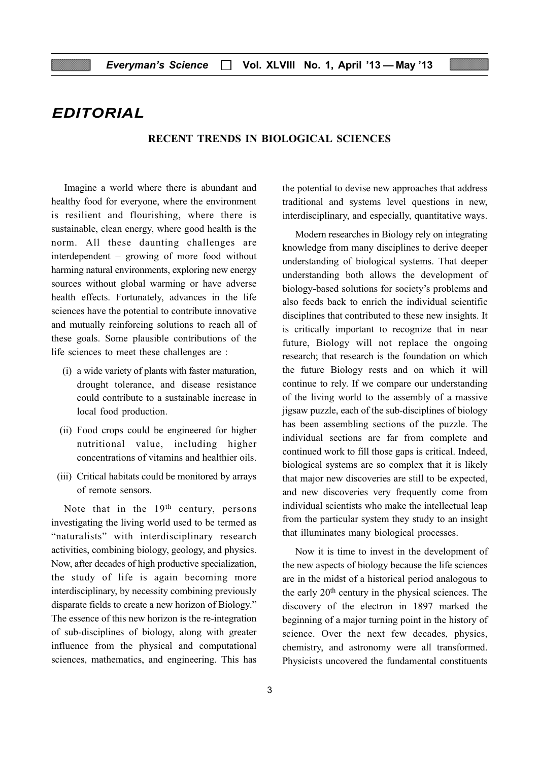# EDITORIAL

# RECENT TRENDS IN BIOLOGICAL SCIENCES

Imagine a world where there is abundant and healthy food for everyone, where the environment is resilient and flourishing, where there is sustainable, clean energy, where good health is the norm. All these daunting challenges are interdependent – growing of more food without harming natural environments, exploring new energy sources without global warming or have adverse health effects. Fortunately, advances in the life sciences have the potential to contribute innovative and mutually reinforcing solutions to reach all of these goals. Some plausible contributions of the life sciences to meet these challenges are :

- (i) a wide variety of plants with faster maturation, drought tolerance, and disease resistance could contribute to a sustainable increase in local food production.
- (ii) Food crops could be engineered for higher nutritional value, including higher concentrations of vitamins and healthier oils.
- (iii) Critical habitats could be monitored by arrays of remote sensors.

Note that in the 19<sup>th</sup> century, persons investigating the living world used to be termed as "naturalists" with interdisciplinary research activities, combining biology, geology, and physics. Now, after decades of high productive specialization, the study of life is again becoming more interdisciplinary, by necessity combining previously disparate fields to create a new horizon of Biology." The essence of this new horizon is the re-integration of sub-disciplines of biology, along with greater influence from the physical and computational sciences, mathematics, and engineering. This has the potential to devise new approaches that address traditional and systems level questions in new, interdisciplinary, and especially, quantitative ways.

Modern researches in Biology rely on integrating knowledge from many disciplines to derive deeper understanding of biological systems. That deeper understanding both allows the development of biology-based solutions for society's problems and also feeds back to enrich the individual scientific disciplines that contributed to these new insights. It is critically important to recognize that in near future, Biology will not replace the ongoing research; that research is the foundation on which the future Biology rests and on which it will continue to rely. If we compare our understanding of the living world to the assembly of a massive jigsaw puzzle, each of the sub-disciplines of biology has been assembling sections of the puzzle. The individual sections are far from complete and continued work to fill those gaps is critical. Indeed, biological systems are so complex that it is likely that major new discoveries are still to be expected, and new discoveries very frequently come from individual scientists who make the intellectual leap from the particular system they study to an insight that illuminates many biological processes.

Now it is time to invest in the development of the new aspects of biology because the life sciences are in the midst of a historical period analogous to the early 20th century in the physical sciences. The discovery of the electron in 1897 marked the beginning of a major turning point in the history of science. Over the next few decades, physics, chemistry, and astronomy were all transformed. Physicists uncovered the fundamental constituents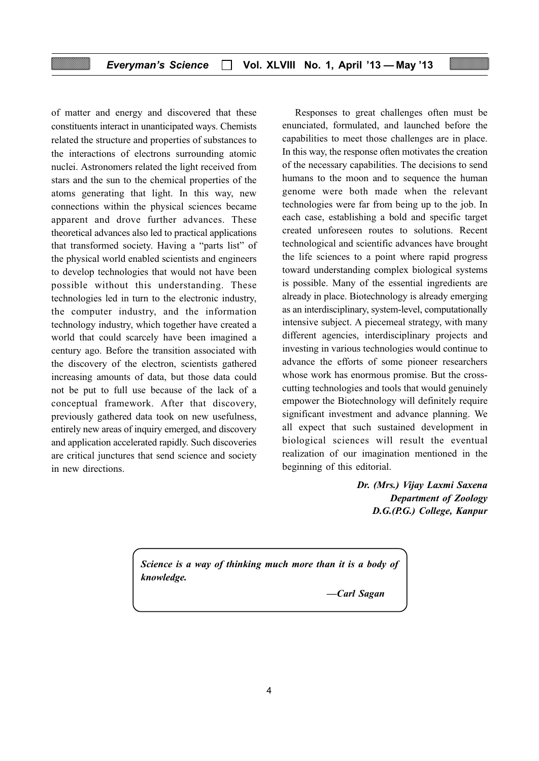#### Everyman's Science  $\Box$  Vol. XLVIII No. 1, April '13 — May '13

of matter and energy and discovered that these constituents interact in unanticipated ways. Chemists related the structure and properties of substances to the interactions of electrons surrounding atomic nuclei. Astronomers related the light received from stars and the sun to the chemical properties of the atoms generating that light. In this way, new connections within the physical sciences became apparent and drove further advances. These theoretical advances also led to practical applications that transformed society. Having a "parts list" of the physical world enabled scientists and engineers to develop technologies that would not have been possible without this understanding. These technologies led in turn to the electronic industry, the computer industry, and the information technology industry, which together have created a world that could scarcely have been imagined a century ago. Before the transition associated with the discovery of the electron, scientists gathered increasing amounts of data, but those data could not be put to full use because of the lack of a conceptual framework. After that discovery, previously gathered data took on new usefulness, entirely new areas of inquiry emerged, and discovery and application accelerated rapidly. Such discoveries are critical junctures that send science and society in new directions.

Responses to great challenges often must be enunciated, formulated, and launched before the capabilities to meet those challenges are in place. In this way, the response often motivates the creation of the necessary capabilities. The decisions to send humans to the moon and to sequence the human genome were both made when the relevant technologies were far from being up to the job. In each case, establishing a bold and specific target created unforeseen routes to solutions. Recent technological and scientific advances have brought the life sciences to a point where rapid progress toward understanding complex biological systems is possible. Many of the essential ingredients are already in place. Biotechnology is already emerging as an interdisciplinary, system-level, computationally intensive subject. A piecemeal strategy, with many different agencies, interdisciplinary projects and investing in various technologies would continue to advance the efforts of some pioneer researchers whose work has enormous promise. But the crosscutting technologies and tools that would genuinely empower the Biotechnology will definitely require significant investment and advance planning. We all expect that such sustained development in biological sciences will result the eventual realization of our imagination mentioned in the beginning of this editorial.

> Dr. (Mrs.) Vijay Laxmi Saxena Department of Zoology D.G.(P.G.) College, Kanpur

Science is a way of thinking much more than it is a body of knowledge.

—Carl Sagan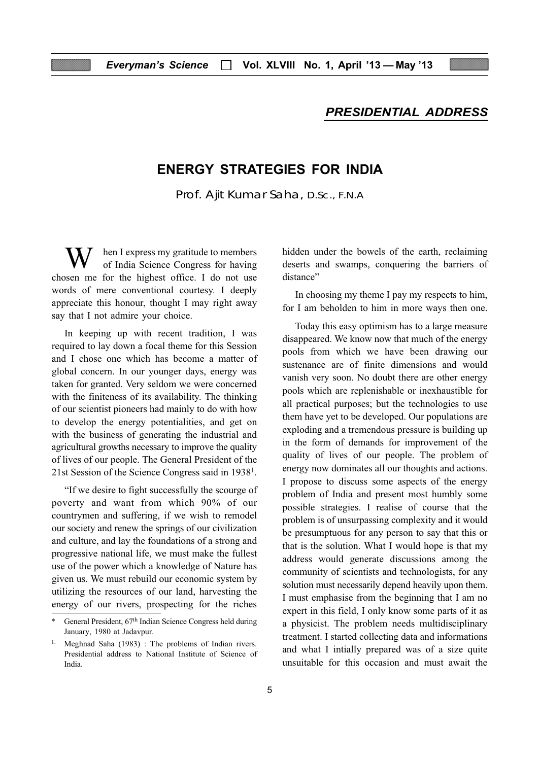# PRESIDENTIAL ADDRESS

# ENERGY STRATEGIES FOR INDIA

Prof. Ajit Kumar Saha, D.Sc., F.N.A

hen I express my gratitude to members of India Science Congress for having chosen me for the highest office. I do not use words of mere conventional courtesy. I deeply appreciate this honour, thought I may right away say that I not admire your choice.

In keeping up with recent tradition, I was required to lay down a focal theme for this Session and I chose one which has become a matter of global concern. In our younger days, energy was taken for granted. Very seldom we were concerned with the finiteness of its availability. The thinking of our scientist pioneers had mainly to do with how to develop the energy potentialities, and get on with the business of generating the industrial and agricultural growths necessary to improve the quality of lives of our people. The General President of the 21st Session of the Science Congress said in 19381.

"If we desire to fight successfully the scourge of poverty and want from which 90% of our countrymen and suffering, if we wish to remodel our society and renew the springs of our civilization and culture, and lay the foundations of a strong and progressive national life, we must make the fullest use of the power which a knowledge of Nature has given us. We must rebuild our economic system by utilizing the resources of our land, harvesting the energy of our rivers, prospecting for the riches hidden under the bowels of the earth, reclaiming deserts and swamps, conquering the barriers of distance"

In choosing my theme I pay my respects to him, for I am beholden to him in more ways then one.

Today this easy optimism has to a large measure disappeared. We know now that much of the energy pools from which we have been drawing our sustenance are of finite dimensions and would vanish very soon. No doubt there are other energy pools which are replenishable or inexhaustible for all practical purposes; but the technologies to use them have yet to be developed. Our populations are exploding and a tremendous pressure is building up in the form of demands for improvement of the quality of lives of our people. The problem of energy now dominates all our thoughts and actions. I propose to discuss some aspects of the energy problem of India and present most humbly some possible strategies. I realise of course that the problem is of unsurpassing complexity and it would be presumptuous for any person to say that this or that is the solution. What I would hope is that my address would generate discussions among the community of scientists and technologists, for any solution must necessarily depend heavily upon them. I must emphasise from the beginning that I am no expert in this field, I only know some parts of it as a physicist. The problem needs multidisciplinary treatment. I started collecting data and informations and what I intially prepared was of a size quite unsuitable for this occasion and must await the

General President, 67<sup>th</sup> Indian Science Congress held during January, 1980 at Jadavpur.

Meghnad Saha (1983) : The problems of Indian rivers. Presidential address to National Institute of Science of India.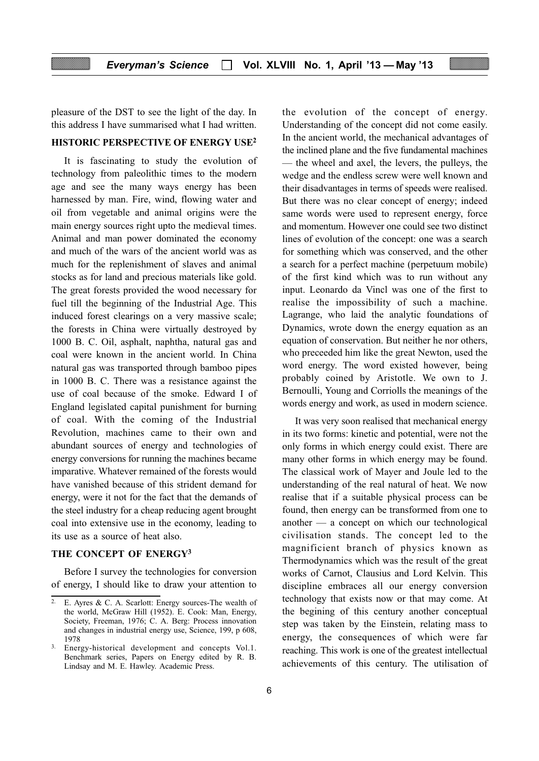pleasure of the DST to see the light of the day. In this address I have summarised what I had written.

## HISTORIC PERSPECTIVE OF ENERGY USE<sup>2</sup>

It is fascinating to study the evolution of technology from paleolithic times to the modern age and see the many ways energy has been harnessed by man. Fire, wind, flowing water and oil from vegetable and animal origins were the main energy sources right upto the medieval times. Animal and man power dominated the economy and much of the wars of the ancient world was as much for the replenishment of slaves and animal stocks as for land and precious materials like gold. The great forests provided the wood necessary for fuel till the beginning of the Industrial Age. This induced forest clearings on a very massive scale; the forests in China were virtually destroyed by 1000 B. C. Oil, asphalt, naphtha, natural gas and coal were known in the ancient world. In China natural gas was transported through bamboo pipes in 1000 B. C. There was a resistance against the use of coal because of the smoke. Edward I of England legislated capital punishment for burning of coal. With the coming of the Industrial Revolution, machines came to their own and abundant sources of energy and technologies of energy conversions for running the machines became imparative. Whatever remained of the forests would have vanished because of this strident demand for energy, were it not for the fact that the demands of the steel industry for a cheap reducing agent brought coal into extensive use in the economy, leading to its use as a source of heat also.

#### THE CONCEPT OF ENERGY<sup>3</sup>

Before I survey the technologies for conversion of energy, I should like to draw your attention to the evolution of the concept of energy. Understanding of the concept did not come easily. In the ancient world, the mechanical advantages of the inclined plane and the five fundamental machines — the wheel and axel, the levers, the pulleys, the wedge and the endless screw were well known and their disadvantages in terms of speeds were realised. But there was no clear concept of energy; indeed same words were used to represent energy, force and momentum. However one could see two distinct lines of evolution of the concept: one was a search for something which was conserved, and the other a search for a perfect machine (perpetuum mobile) of the first kind which was to run without any input. Leonardo da Vincl was one of the first to realise the impossibility of such a machine. Lagrange, who laid the analytic foundations of Dynamics, wrote down the energy equation as an equation of conservation. But neither he nor others, who preceeded him like the great Newton, used the word energy. The word existed however, being probably coined by Aristotle. We own to J. Bernoulli, Young and Corriolls the meanings of the words energy and work, as used in modern science.

It was very soon realised that mechanical energy in its two forms: kinetic and potential, were not the only forms in which energy could exist. There are many other forms in which energy may be found. The classical work of Mayer and Joule led to the understanding of the real natural of heat. We now realise that if a suitable physical process can be found, then energy can be transformed from one to another — a concept on which our technological civilisation stands. The concept led to the magnificient branch of physics known as Thermodynamics which was the result of the great works of Carnot, Clausius and Lord Kelvin. This discipline embraces all our energy conversion technology that exists now or that may come. At the begining of this century another conceptual step was taken by the Einstein, relating mass to energy, the consequences of which were far reaching. This work is one of the greatest intellectual achievements of this century. The utilisation of

<sup>2.</sup> E. Ayres & C. A. Scarlott: Energy sources-The wealth of the world, McGraw Hill (1952). E. Cook: Man, Energy, Society, Freeman, 1976; C. A. Berg: Process innovation and changes in industrial energy use, Science, 199, p 608, 1978

Energy-historical development and concepts Vol.1. Benchmark series, Papers on Energy edited by R. B. Lindsay and M. E. Hawley. Academic Press.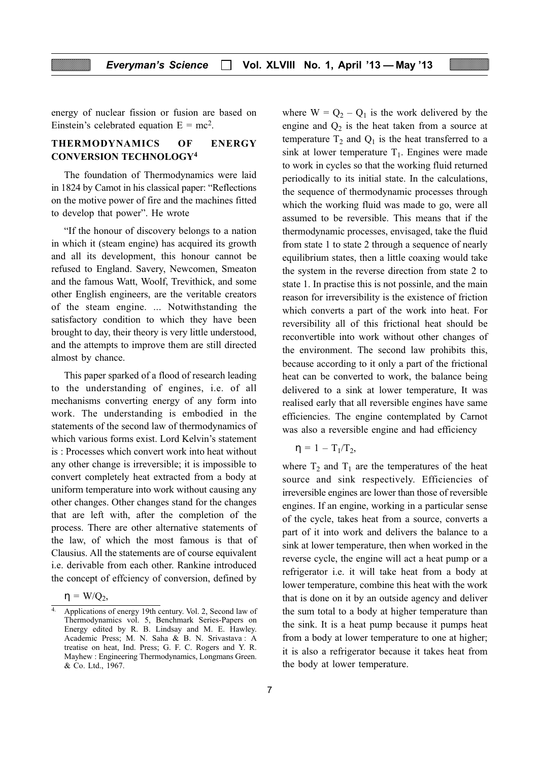energy of nuclear fission or fusion are based on Einstein's celebrated equation  $E = mc^2$ .

# THERMODYNAMICS OF ENERGY CONVERSION TECHNOLOGY4

The foundation of Thermodynamics were laid in 1824 by Camot in his classical paper: "Reflections on the motive power of fire and the machines fitted to develop that power". He wrote

"If the honour of discovery belongs to a nation in which it (steam engine) has acquired its growth and all its development, this honour cannot be refused to England. Savery, Newcomen, Smeaton and the famous Watt, Woolf, Trevithick, and some other English engineers, are the veritable creators of the steam engine. ... Notwithstanding the satisfactory condition to which they have been brought to day, their theory is very little understood, and the attempts to improve them are still directed almost by chance.

This paper sparked of a flood of research leading to the understanding of engines, i.e. of all mechanisms converting energy of any form into work. The understanding is embodied in the statements of the second law of thermodynamics of which various forms exist. Lord Kelvin's statement is : Processes which convert work into heat without any other change is irreversible; it is impossible to convert completely heat extracted from a body at uniform temperature into work without causing any other changes. Other changes stand for the changes that are left with, after the completion of the process. There are other alternative statements of the law, of which the most famous is that of Clausius. All the statements are of course equivalent i.e. derivable from each other. Rankine introduced the concept of effciency of conversion, defined by

where  $W = Q_2 - Q_1$  is the work delivered by the engine and  $Q<sub>2</sub>$  is the heat taken from a source at temperature  $T_2$  and  $Q_1$  is the heat transferred to a sink at lower temperature  $T_1$ . Engines were made to work in cycles so that the working fluid returned periodically to its initial state. In the calculations, the sequence of thermodynamic processes through which the working fluid was made to go, were all assumed to be reversible. This means that if the thermodynamic processes, envisaged, take the fluid from state 1 to state 2 through a sequence of nearly equilibrium states, then a little coaxing would take the system in the reverse direction from state 2 to state 1. In practise this is not possinle, and the main reason for irreversibility is the existence of friction which converts a part of the work into heat. For reversibility all of this frictional heat should be reconvertible into work without other changes of the environment. The second law prohibits this, because according to it only a part of the frictional heat can be converted to work, the balance being delivered to a sink at lower temperature, It was realised early that all reversible engines have same efficiencies. The engine contemplated by Carnot was also a reversible engine and had efficiency

 $\eta = 1 - T_1/T_2$ ,

where  $T_2$  and  $T_1$  are the temperatures of the heat source and sink respectively. Efficiencies of irreversible engines are lower than those of reversible engines. If an engine, working in a particular sense of the cycle, takes heat from a source, converts a part of it into work and delivers the balance to a sink at lower temperature, then when worked in the reverse cycle, the engine will act a heat pump or a refrigerator i.e. it will take heat from a body at lower temperature, combine this heat with the work that is done on it by an outside agency and deliver the sum total to a body at higher temperature than the sink. It is a heat pump because it pumps heat from a body at lower temperature to one at higher; it is also a refrigerator because it takes heat from the body at lower temperature.

 $\eta = W/Q_2$ 

<sup>4.</sup> Applications of energy 19th century. Vol. 2, Second law of Thermodynamics vol. 5, Benchmark Series-Papers on Energy edited by R. B. Lindsay and M. E. Hawley. Academic Press; M. N. Saha & B. N. Srivastava : A treatise on heat, Ind. Press; G. F. C. Rogers and Y. R. Mayhew : Engineering Thermodynamics, Longmans Green. & Co. Ltd., 1967.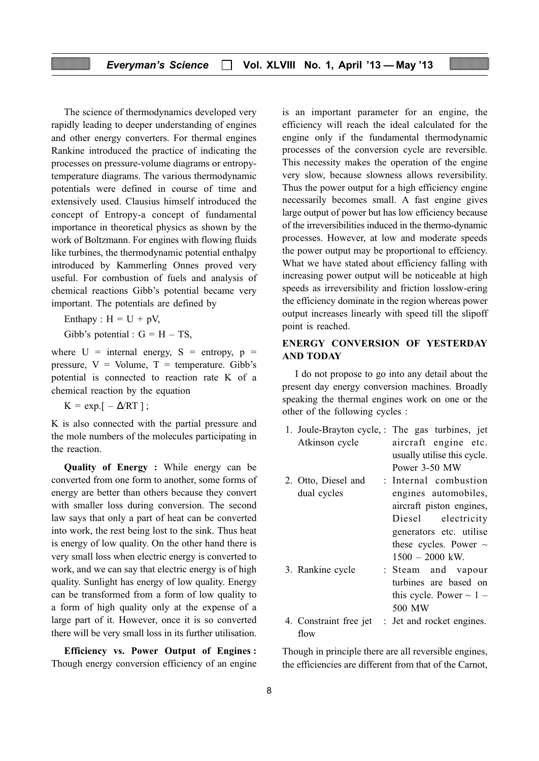The science of thermodynamics developed very rapidly leading to deeper understanding of engines and other energy converters. For thermal engines Rankine introduced the practice of indicating the processes on pressure-volume diagrams or entropytemperature diagrams. The various thermodynamic potentials were defined in course of time and extensively used. Clausius himself introduced the concept of Entropy-a concept of fundamental importance in theoretical physics as shown by the work of Boltzmann. For engines with flowing fluids like turbines, the thermodynamic potential enthalpy introduced by Kammerling Onnes proved very useful. For combustion of fuels and analysis of chemical reactions Gibb's potential became very important. The potentials are defined by

Enthapy :  $H = U + pV$ ,

Gibb's potential :  $G = H - TS$ ,

where  $U =$  internal energy,  $S =$  entropy,  $p =$ pressure,  $V =$  Volume,  $T =$  temperature. Gibb's potential is connected to reaction rate K of a chemical reaction by the equation

 $K = exp[-\Delta/RT]$ ;

K is also connected with the partial pressure and the mole numbers of the molecules participating in the reaction.

Quality of Energy : While energy can be converted from one form to another, some forms of energy are better than others because they convert with smaller loss during conversion. The second law says that only a part of heat can be converted into work, the rest being lost to the sink. Thus heat is energy of low quality. On the other hand there is very small loss when electric energy is converted to work, and we can say that electric energy is of high quality. Sunlight has energy of low quality. Energy can be transformed from a form of low quality to a form of high quality only at the expense of a large part of it. However, once it is so converted there will be very small loss in its further utilisation.

Efficiency vs. Power Output of Engines : Though energy conversion efficiency of an engine is an important parameter for an engine, the efficiency will reach the ideal calculated for the engine only if the fundamental thermodynamic processes of the conversion cycle are reversible. This necessity makes the operation of the engine very slow, because slowness allows reversibility. Thus the power output for a high efficiency engine necessarily becomes small. A fast engine gives large output of power but has low efficiency because of the irreversibilities induced in the thermo-dynamic processes. However, at low and moderate speeds the power output may be proportional to effciency. What we have stated about efficiency falling with increasing power output will be noticeable at high speeds as irreversibility and friction losslow-ering the efficiency dominate in the region whereas power output increases linearly with speed till the slipoff point is reached.

## ENERGY CONVERSION OF YESTERDAY AND TODAY

I do not propose to go into any detail about the present day energy conversion machines. Broadly speaking the thermal engines work on one or the other of the following cycles :

|                     | 1. Joule-Brayton cycle, : The gas turbines, jet  |
|---------------------|--------------------------------------------------|
| Atkinson cycle      | aircraft engine etc.                             |
|                     | usually utilise this cycle.                      |
|                     | Power 3-50 MW                                    |
| 2. Otto, Diesel and | : Internal combustion                            |
| dual cycles         | engines automobiles,                             |
|                     | aircraft piston engines,                         |
|                     | Diesel electricity                               |
|                     | generators etc. utilise                          |
|                     | these cycles. Power $\sim$                       |
|                     | $1500 - 2000$ kW.                                |
| 3. Rankine cycle    | : Steam and vapour                               |
|                     | turbines are based on                            |
|                     | this cycle. Power $\sim 1$ –                     |
|                     | 500 MW                                           |
|                     | 4. Constraint free jet : Jet and rocket engines. |
| flow                |                                                  |

Though in principle there are all reversible engines, the efficiencies are different from that of the Carnot,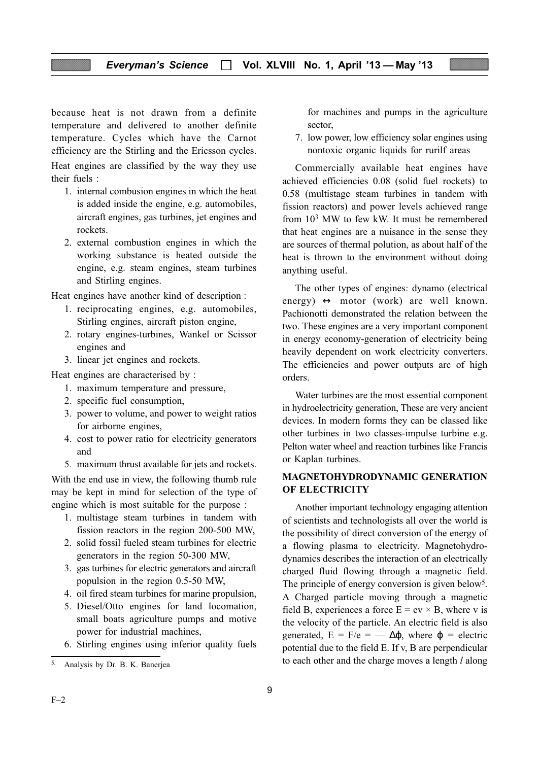because heat is not drawn from a definite temperature and delivered to another definite temperature. Cycles which have the Carnot efficiency are the Stirling and the Ericsson cycles.

Heat engines are classified by the way they use their fuels :

- 1. internal combusion engines in which the heat is added inside the engine, e.g. automobiles, aircraft engines, gas turbines, jet engines and rockets.
- 2. external combustion engines in which the working substance is heated outside the engine, e.g. steam engines, steam turbines and Stirling engines.

Heat engines have another kind of description :

- 1. reciprocating engines, e.g. automobiles, Stirling engines, aircraft piston engine,
- 2. rotary engines-turbines, Wankel or Scissor engines and
- 3. linear jet engines and rockets.

Heat engines are characterised by :

- 1. maximum temperature and pressure,
- 2. specific fuel consumption,
- 3. power to volume, and power to weight ratios for airborne engines,
- 4. cost to power ratio for electricity generators and
- 5. maximum thrust available for jets and rockets.

With the end use in view, the following thumb rule may be kept in mind for selection of the type of engine which is most suitable for the purpose :

- 1. multistage steam turbines in tandem with fission reactors in the region 200-500 MW,
- 2. solid fossil fueled steam turbines for electric generators in the region 50-300 MW,
- 3. gas turbines for electric generators and aircraft populsion in the region 0.5-50 MW,
- 4. oil fired steam turbines for marine propulsion,
- 5. Diesel/Otto engines for land locomation, small boats agriculture pumps and motive power for industrial machines,
- 6. Stirling engines using inferior quality fuels

for machines and pumps in the agriculture sector,

7. low power, low efficiency solar engines using nontoxic organic liquids for rurilf areas

Commercially available heat engines have achieved efficiencies 0.08 (solid fuel rockets) to 0.58 (multistage steam turbines in tandem with fission reactors) and power levels achieved range from 103 MW to few kW. It must be remembered that heat engines are a nuisance in the sense they are sources of thermal polution, as about half of the heat is thrown to the environment without doing anything useful.

The other types of engines: dynamo (electrical energy)  $\leftrightarrow$  motor (work) are well known. Pachionotti demonstrated the relation between the two. These engines are a very important component in energy economy-generation of electricity being heavily dependent on work electricity converters. The efficiencies and power outputs arc of high orders.

Water turbines are the most essential component in hydroelectricity generation, These are very ancient devices. In modern forms they can be classed like other turbines in two classes-impulse turbine e.g. Pelton water wheel and reaction turbines like Francis or Kaplan turbines.

# MAGNETOHYDRODYNAMIC GENERATION OF ELECTRICITY

Another important technology engaging attention of scientists and technologists all over the world is the possibility of direct conversion of the energy of a flowing plasma to electricity. Magnetohydrodynamics describes the interaction of an electrically charged fluid flowing through a magnetic field. The principle of energy conversion is given below<sup>5</sup>. A Charged particle moving through a magnetic field B, experiences a force  $E = ev \times B$ , where v is the velocity of the particle. An electric field is also generated,  $E = F/e = -\Delta \phi$ , where  $\phi =$  electric potential due to the field E. If v, B are perpendicular  $\overline{5.}$  Analysis by Dr. B. K. Banerjea to each other and the charge moves a length *l* along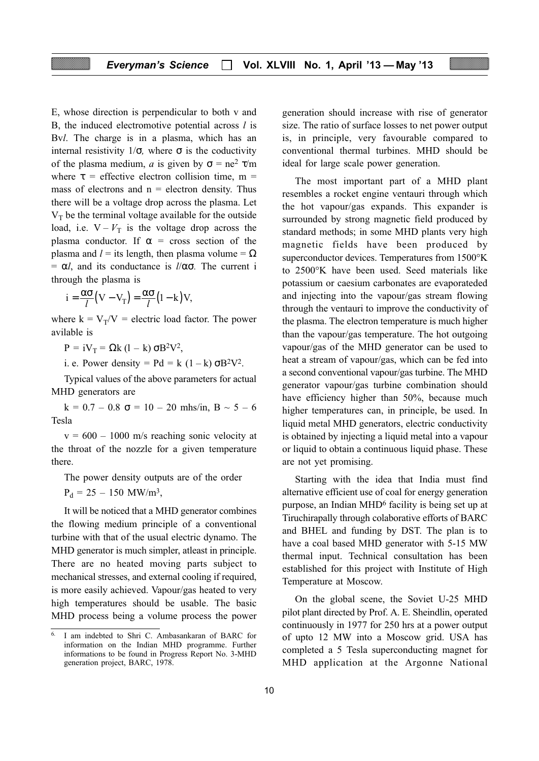E, whose direction is perpendicular to both v and B, the induced electromotive potential across  $l$  is Bvl. The charge is in a plasma, which has an internal resistivity  $1/\sigma$ , where  $\sigma$  is the coductivity of the plasma medium, *a* is given by  $\sigma = ne^2 \tau/m$ where  $\tau$  = effective electron collision time, m = mass of electrons and  $n =$  electron density. Thus there will be a voltage drop across the plasma. Let  $V_T$  be the terminal voltage available for the outside load, i.e.  $V - V_T$  is the voltage drop across the plasma conductor. If  $\alpha$  = cross section of the plasma and  $l =$  its length, then plasma volume =  $\Omega$ =  $\alpha l$ , and its conductance is  $l/\alpha\sigma$ . The current i through the plasma is

$$
i = \frac{\alpha \sigma}{l} \big( V - V_T \big) = \frac{\alpha \sigma}{l} \big( 1 - k \big) V,
$$

where  $k = V_T/V$  = electric load factor. The power avilable is

 $P = iV_T = \Omega k (1 - k) \sigma B^2 V^2$ ,

i. e. Power density = Pd = k  $(1 - k)$   $\sigma B^2 V^2$ .

Typical values of the above parameters for actual MHD generators are

k = 0.7 – 0.8  $\sigma$  = 10 – 20 mhs/in, B  $\sim$  5 – 6 Tesla

 $v = 600 - 1000$  m/s reaching sonic velocity at the throat of the nozzle for a given temperature there.

The power density outputs are of the order

 $P_d = 25 - 150$  MW/m<sup>3</sup>,

It will be noticed that a MHD generator combines the flowing medium principle of a conventional turbine with that of the usual electric dynamo. The MHD generator is much simpler, atleast in principle. There are no heated moving parts subject to mechanical stresses, and external cooling if required, is more easily achieved. Vapour/gas heated to very high temperatures should be usable. The basic MHD process being a volume process the power generation should increase with rise of generator size. The ratio of surface losses to net power output is, in principle, very favourable compared to conventional thermal turbines. MHD should be ideal for large scale power generation.

The most important part of a MHD plant resembles a rocket engine ventauri through which the hot vapour/gas expands. This expander is surrounded by strong magnetic field produced by standard methods; in some MHD plants very high magnetic fields have been produced by superconductor devices. Temperatures from 1500°K to 2500°K have been used. Seed materials like potassium or caesium carbonates are evaporateded and injecting into the vapour/gas stream flowing through the ventauri to improve the conductivity of the plasma. The electron temperature is much higher than the vapour/gas temperature. The hot outgoing vapour/gas of the MHD generator can be used to heat a stream of vapour/gas, which can be fed into a second conventional vapour/gas turbine. The MHD generator vapour/gas turbine combination should have efficiency higher than 50%, because much higher temperatures can, in principle, be used. In liquid metal MHD generators, electric conductivity is obtained by injecting a liquid metal into a vapour or liquid to obtain a continuous liquid phase. These are not yet promising.

Starting with the idea that India must find alternative efficient use of coal for energy generation purpose, an Indian MHD6 facility is being set up at Tiruchirapally through colaborative efforts of BARC and BHEL and funding by DST. The plan is to have a coal based MHD generator with 5-15 MW thermal input. Technical consultation has been established for this project with Institute of High Temperature at Moscow.

On the global scene, the Soviet U-25 MHD pilot plant directed by Prof. A. E. Sheindlin, operated continuously in 1977 for 250 hrs at a power output of upto 12 MW into a Moscow grid. USA has completed a 5 Tesla superconducting magnet for MHD application at the Argonne National

<sup>6.</sup> I am indebted to Shri C. Ambasankaran of BARC for information on the Indian MHD programme. Further informations to be found in Progress Report No. 3-MHD generation project, BARC, 1978.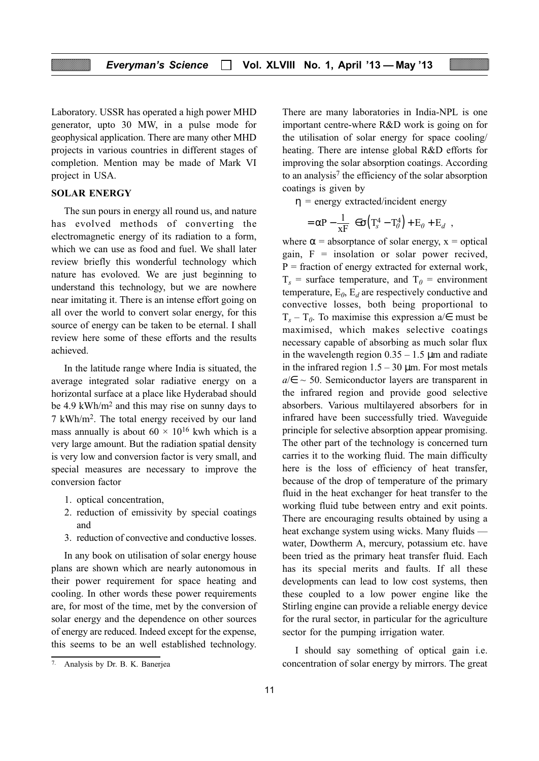Laboratory. USSR has operated a high power MHD generator, upto 30 MW, in a pulse mode for geophysical application. There are many other MHD projects in various countries in different stages of completion. Mention may be made of Mark VI project in USA.

#### SOLAR ENERGY

The sun pours in energy all round us, and nature has evolved methods of converting the electromagnetic energy of its radiation to a form, which we can use as food and fuel. We shall later review briefly this wonderful technology which nature has evoloved. We are just beginning to understand this technology, but we are nowhere near imitating it. There is an intense effort going on all over the world to convert solar energy, for this source of energy can be taken to be eternal. I shall review here some of these efforts and the results achieved.

In the latitude range where India is situated, the average integrated solar radiative energy on a horizontal surface at a place like Hyderabad should be 4.9 kWh/m2 and this may rise on sunny days to 7 kWh/m2. The total energy received by our land mass annually is about  $60 \times 10^{16}$  kwh which is a very large amount. But the radiation spatial density is very low and conversion factor is very small, and special measures are necessary to improve the conversion factor

- 1. optical concentration,
- 2. reduction of emissivity by special coatings and
- 3. reduction of convective and conductive losses.

In any book on utilisation of solar energy house plans are shown which are nearly autonomous in their power requirement for space heating and cooling. In other words these power requirements are, for most of the time, met by the conversion of solar energy and the dependence on other sources of energy are reduced. Indeed except for the expense, this seems to be an well established technology.

There are many laboratories in India-NPL is one important centre-where R&D work is going on for the utilisation of solar energy for space cooling/ heating. There are intense global R&D efforts for improving the solar absorption coatings. According to an analysis<sup>7</sup> the efficiency of the solar absorption coatings is given by

 $\eta$  = energy extracted/incident energy

$$
= \alpha P - \frac{1}{xF} \Big[ \epsilon \sigma \big( T_s^4 - T_0^4 \big) + E_0 + E_d \Big],
$$

where  $\alpha$  = absorptance of solar energy, x = optical gain,  $F =$  insolation or solar power recived,  $P =$  fraction of energy extracted for external work,  $T_s$  = surface temperature, and  $T_0$  = environment temperature,  $E_0$ ,  $E_d$  are respectively conductive and convective losses, both being proportional to  $T_s - T_0$ . To maximise this expression  $a/\epsilon$  must be maximised, which makes selective coatings necessary capable of absorbing as much solar flux in the wavelength region  $0.35 - 1.5$  µm and radiate in the infrared region  $1.5 - 30 \mu m$ . For most metals  $a/\epsilon \sim 50$ . Semiconductor layers are transparent in the infrared region and provide good selective absorbers. Various multilayered absorbers for in infrared have been successfully tried. Waveguide principle for selective absorption appear promising. The other part of the technology is concerned turn carries it to the working fluid. The main difficulty here is the loss of efficiency of heat transfer, because of the drop of temperature of the primary fluid in the heat exchanger for heat transfer to the working fluid tube between entry and exit points. There are encouraging results obtained by using a heat exchange system using wicks. Many fluids water, Dowtherm A, mercury, potassium etc. have been tried as the primary heat transfer fluid. Each has its special merits and faults. If all these developments can lead to low cost systems, then these coupled to a low power engine like the Stirling engine can provide a reliable energy device for the rural sector, in particular for the agriculture sector for the pumping irrigation water.

I should say something of optical gain i.e. <sup>7.</sup> Analysis by Dr. B. K. Banerjea **7. Concentration of solar energy by mirrors. The great**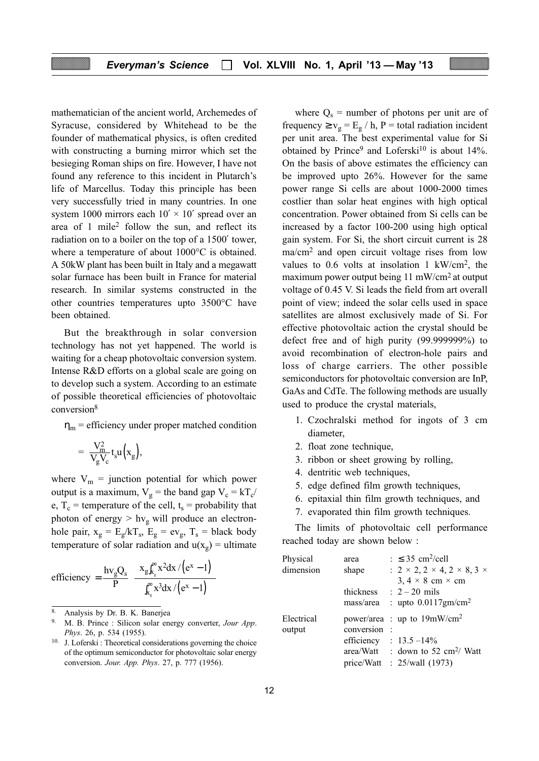mathematician of the ancient world, Archemedes of Syracuse, considered by Whitehead to be the founder of mathematical physics, is often credited with constructing a burning mirror which set the besieging Roman ships on fire. However, I have not found any reference to this incident in Plutarch's life of Marcellus. Today this principle has been very successfully tried in many countries. In one system 1000 mirrors each  $10' \times 10'$  spread over an area of 1 mile2 follow the sun, and reflect its radiation on to a boiler on the top of a 1500′ tower, where a temperature of about 1000°C is obtained. A 50kW plant has been built in Italy and a megawatt solar furnace has been built in France for material research. In similar systems constructed in the other countries temperatures upto 3500°C have been obtained.

But the breakthrough in solar conversion technology has not yet happened. The world is waiting for a cheap photovoltaic conversion system. Intense R&D efforts on a global scale are going on to develop such a system. According to an estimate of possible theoretical efficiencies of photovoltaic conversion8

 $\eta_m$  = efficiency under proper matched condition

$$
\ =\ \frac{V_m^2}{V_gV_c}t_s u\Big(x_g\Big),
$$

where  $V_m$  = junction potential for which power output is a maximum,  $V_g$  = the band gap  $V_c = kT_c$ / e,  $T_c$  = temperature of the cell,  $t_s$  = probability that photon of energy  $> h v_{\rm g}$  will produce an electronhole pair,  $x_g = E_g/kT_s$ ,  $E_g = ev_g$ ,  $T_s = black body$ temperature of solar radiation and  $u(x_g)$  = ultimate

$$
\text{efficiency} = \frac{\text{hv}_{g}Q_{s}}{P} \frac{\left[x_{g}\int_{x_{g}}^{\infty} x^{2} dx / (e^{x} - 1)\right]}{\left[\int_{x_{g}}^{\infty} x^{3} dx / (e^{x} - 1)\right]}
$$

8. Analysis by Dr. B. K. Banerjea

where  $Q_s$  = number of photons per unit are of frequency  $\geq v_g = E_g / h$ , P = total radiation incident per unit area. The best experimental value for Si obtained by Prince<sup>9</sup> and Loferski<sup>10</sup> is about 14%. On the basis of above estimates the efficiency can be improved upto 26%. However for the same power range Si cells are about 1000-2000 times costlier than solar heat engines with high optical concentration. Power obtained from Si cells can be increased by a factor 100-200 using high optical gain system. For Si, the short circuit current is 28 ma/cm2 and open circuit voltage rises from low values to 0.6 volts at insolation 1 kW/cm2, the maximum power output being 11 mW/cm2 at output voltage of 0.45 V. Si leads the field from art overall point of view; indeed the solar cells used in space satellites are almost exclusively made of Si. For effective photovoltaic action the crystal should be defect free and of high purity (99.999999%) to avoid recombination of electron-hole pairs and loss of charge carriers. The other possible semiconductors for photovoltaic conversion are InP, GaAs and CdTe. The following methods are usually used to produce the crystal materials,

- 1. Czochralski method for ingots of 3 cm diameter,
- 2. float zone technique,
- 3. ribbon or sheet growing by rolling,
- 4. dentritic web techniques,
- 5. edge defined film growth techniques,
- 6. epitaxial thin film growth techniques, and
- 7. evaporated thin film growth techniques.

The limits of photovoltaic cell performance reached today are shown below :

| Physical   | area                       | : $\leq$ 35 cm <sup>2</sup> /cell                |
|------------|----------------------------|--------------------------------------------------|
| dimension  | shape                      | $: 2 \times 2, 2 \times 4, 2 \times 8, 3 \times$ |
|            |                            | $3, 4 \times 8$ cm $\times$ cm                   |
|            | thickness                  | $\therefore$ 2 – 20 mils                         |
|            | mass/area                  | : upto $0.0117$ gm/cm <sup>2</sup>               |
| Electrical |                            | power/area : up to $19mW/cm^2$                   |
| output     | conversion                 |                                                  |
|            | efficiency : $13.5 - 14\%$ |                                                  |
|            |                            | area/Watt : down to 52 cm <sup>2</sup> / Watt    |
|            |                            | price/Watt : $25$ /wall (1973)                   |

M. B. Prince : Silicon solar energy converter, Jour App. Phys. 26, p. 534 (1955).

<sup>10.</sup> J. Loferski : Theoretical considerations governing the choice of the optimum semiconductor for photovoltaic solar energy conversion. Jour. App. Phys. 27, p. 777 (1956).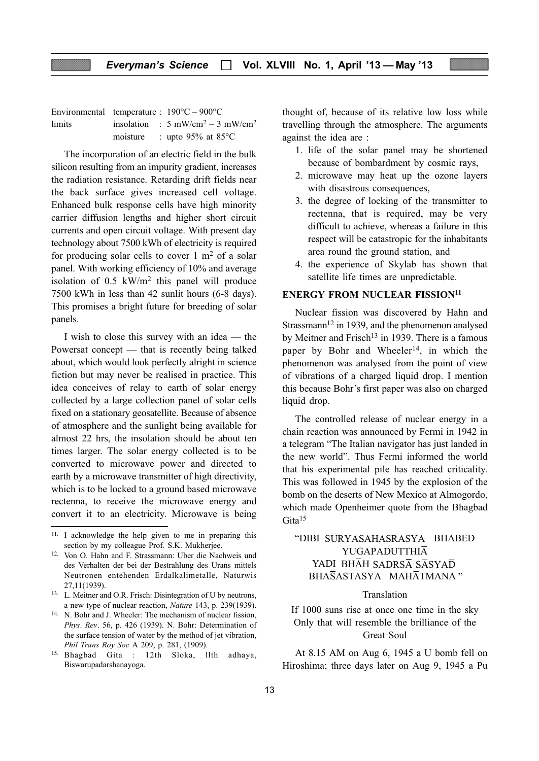|               |  | Environmental temperature : $190^{\circ}C - 900^{\circ}C$ |
|---------------|--|-----------------------------------------------------------|
| <i>limits</i> |  | insolation : $5 \text{ mW/cm}^2 - 3 \text{ mW/cm}^2$      |
|               |  | moisture : upto $95\%$ at $85^{\circ}$ C                  |

The incorporation of an electric field in the bulk silicon resulting from an impurity gradient, increases the radiation resistance. Retarding drift fields near the back surface gives increased cell voltage. Enhanced bulk response cells have high minority carrier diffusion lengths and higher short circuit currents and open circuit voltage. With present day technology about 7500 kWh of electricity is required for producing solar cells to cover  $1 \text{ m}^2$  of a solar panel. With working efficiency of 10% and average isolation of  $0.5 \text{ kW/m}^2$  this panel will produce 7500 kWh in less than 42 sunlit hours (6-8 days). This promises a bright future for breeding of solar panels.

I wish to close this survey with an idea — the Powersat concept — that is recently being talked about, which would look perfectly alright in science fiction but may never be realised in practice. This idea conceives of relay to earth of solar energy collected by a large collection panel of solar cells fixed on a stationary geosatellite. Because of absence of atmosphere and the sunlight being available for almost 22 hrs, the insolation should be about ten times larger. The solar energy collected is to be converted to microwave power and directed to earth by a microwave transmitter of high directivity, which is to be locked to a ground based microwave rectenna, to receive the microwave energy and convert it to an electricity. Microwave is being

thought of, because of its relative low loss while travelling through the atmosphere. The arguments against the idea are :

- 1. life of the solar panel may be shortened because of bombardment by cosmic rays,
- 2. microwave may heat up the ozone layers with disastrous consequences,
- 3. the degree of locking of the transmitter to rectenna, that is required, may be very difficult to achieve, whereas a failure in this respect will be catastropic for the inhabitants area round the ground station, and
- 4. the experience of Skylab has shown that satellite life times are unpredictable.

#### ENERGY FROM NUCLEAR FISSION<sup>11</sup>

Nuclear fission was discovered by Hahn and Strassmann<sup>12</sup> in 1939, and the phenomenon analysed by Meitner and Frisch<sup>13</sup> in 1939. There is a famous paper by Bohr and Wheeler<sup>14</sup>, in which the phenomenon was analysed from the point of view of vibrations of a charged liquid drop. I mention this because Bohr's first paper was also on charged liquid drop.

The controlled release of nuclear energy in a chain reaction was announced by Fermi in 1942 in a telegram "The Italian navigator has just landed in the new world". Thus Fermi informed the world that his experimental pile has reached criticality. This was followed in 1945 by the explosion of the bomb on the deserts of New Mexico at Almogordo, which made Openheimer quote from the Bhagbad Gita<sup>15</sup>

# "DIBI SURYASAHASRASYA BHABED YUGAPADUTTHIA YADI BHAH SADRSA SASYAD  $BHA\overline{S}ASTASYA$  MAHATMANA"

#### Translation

# If 1000 suns rise at once one time in the sky Only that will resemble the brilliance of the Great Soul

At 8.15 AM on Aug 6, 1945 a U bomb fell on Hiroshima; three days later on Aug 9, 1945 a Pu

<sup>11.</sup> I acknowledge the help given to me in preparing this section by my colleague Prof. S.K. Mukherjee.

<sup>12.</sup> Von O. Hahn and F. Strassmann: Uber die Nachweis und des Verhalten der bei der Bestrahlung des Urans mittels Neutronen entehenden Erdalkalimetalle, Naturwis 27,11(1939).

<sup>13.</sup> L. Meitner and O.R. Frisch: Disintegration of U by neutrons, a new type of nuclear reaction, Nature 143, p. 239(1939).

<sup>14.</sup> N. Bohr and J. Wheeler: The mechanism of nuclear fission, Phys. Rev. 56, p. 426 (1939). N. Bohr: Determination of the surface tension of water by the method of jet vibration, Phil Trans Roy Soc A 209, p. 281, (1909).

<sup>15.</sup> Bhagbad Gita : 12th Sloka, llth adhaya, Biswarupadarshanayoga.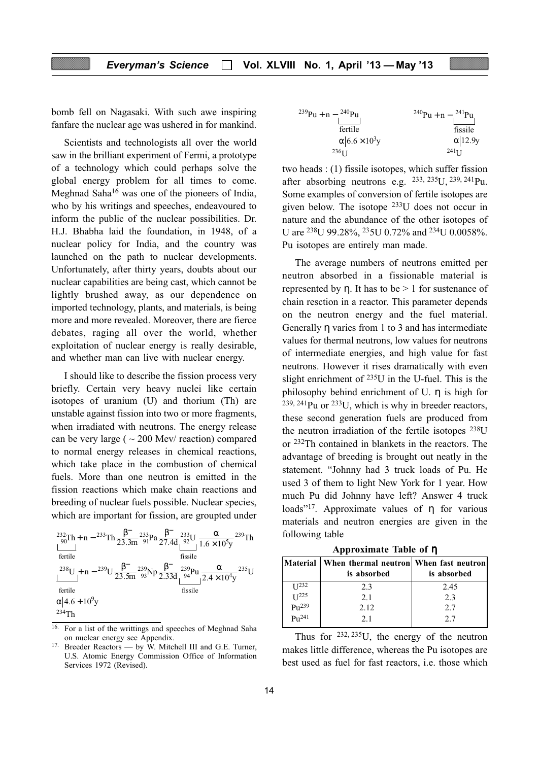bomb fell on Nagasaki. With such awe inspiring fanfare the nuclear age was ushered in for mankind.

Scientists and technologists all over the world saw in the brilliant experiment of Fermi, a prototype of a technology which could perhaps solve the global energy problem for all times to come. Meghnad Saha<sup>16</sup> was one of the pioneers of India, who by his writings and speeches, endeavoured to inform the public of the nuclear possibilities. Dr. H.J. Bhabha laid the foundation, in 1948, of a nuclear policy for India, and the country was launched on the path to nuclear developments. Unfortunately, after thirty years, doubts about our nuclear capabilities are being cast, which cannot be lightly brushed away, as our dependence on imported technology, plants, and materials, is being more and more revealed. Moreover, there are fierce debates, raging all over the world, whether exploitation of nuclear energy is really desirable, and whether man can live with nuclear energy.

I should like to describe the fission process very briefly. Certain very heavy nuclei like certain isotopes of uranium (U) and thorium (Th) are unstable against fission into two or more fragments, when irradiated with neutrons. The energy release can be very large ( $\sim 200$  Mev/ reaction) compared to normal energy releases in chemical reactions, which take place in the combustion of chemical fuels. More than one neutron is emitted in the fission reactions which make chain reactions and breeding of nuclear fuels possible. Nuclear species, which are important for fission, are groupted under

$$
\begin{array}{l} \vspace{232pt} \vspace{232pt} \begin{array}{l} \vspace{23pt} 232 \text{Th} + n - \vspace{233} \text{Th} \frac{\beta^-}{23.3 \text{m}} \, \frac{233}{91} \text{Pa} \, \frac{\beta^-}{27.4 d} \frac{233 \text{U}}{\frac{92 \text{U}}{21.6 \times 10^5 \text{y}}} \, \frac{\alpha}{239} \text{Th} \\ \vspace{238pt} \end{array} \\ \vspace{238pt} \begin{array}{l} \vspace{23pt} \vspace{23pt} \end{array} \begin{array}{l} \vspace{23pt} \vspace{23pt} \end{array} \begin{array}{l} \vspace{23pt} \vspace{23pt} \end{array} \begin{array}{l} \vspace{23pt} \end{array} \begin{array}{l} \vspace{23pt} \end{array} \begin{array}{l} \vspace{23pt} \end{array} \begin{array}{l} \vspace{23pt} \end{array} \begin{array}{l} \vspace{23pt} \end{array} \begin{array}{l} \vspace{23pt} \end{array} \begin{array}{l} \vspace{23pt} \end{array} \begin{array}{l} \vspace{23pt} \end{array} \begin{array}{l} \vspace{23pt} \end{array} \begin{array}{l} \vspace{23pt} \end{array} \begin{array}{l} \vspace{23pt} \end{array} \begin{array}{l} \vspace{23pt} \end{array} \begin{array}{l} \vspace{23pt} \end{array} \begin{array}{l} \vspace{23pt} \end{array} \begin{array}{l} \vspace{23pt} \end{array} \begin{array}{l} \vspace{23pt} \end{array} \begin{array}{l} \vspace{23pt} \end{array} \begin{array}{l} \vspace{23pt} \end{array} \begin{array}{l} \vspace{23pt} \end{array} \begin{array}{l} \vspace{23pt} \end{array} \begin{array}{l} \vspace{23pt} \end{array} \begin{array}{l} \vspace{23pt} \end{array} \begin{array}{l} \vspace{23pt} \end{array} \begin{array}{l} \vspace{23pt} \end{array} \begin{array}{l
$$

| $^{239}Pu + n - ^{240}Pu$               | $^{240}Pu + n - ^{241}Pu$ |
|-----------------------------------------|---------------------------|
| fertile                                 | fissile                   |
| $\alpha$ 6.6 $\times$ 10 <sup>3</sup> y | $\alpha$  12.9y           |
| $236$ <sup>T</sup>                      | $241$ <sub>I I</sub>      |

two heads : (1) fissile isotopes, which suffer fission after absorbing neutrons e.g. 233, 235U, 239, 241Pu. Some examples of conversion of fertile isotopes are given below. The isotope 233U does not occur in nature and the abundance of the other isotopes of U are 238U 99.28%, 235U 0.72% and 234U 0.0058%. Pu isotopes are entirely man made.

The average numbers of neutrons emitted per neutron absorbed in a fissionable material is represented by η. It has to be  $> 1$  for sustenance of chain resction in a reactor. This parameter depends on the neutron energy and the fuel material. Generally η varies from 1 to 3 and has intermediate values for thermal neutrons, low values for neutrons of intermediate energies, and high value for fast neutrons. However it rises dramatically with even slight enrichment of 235U in the U-fuel. This is the philosophy behind enrichment of U. η is high for 239, 241Pu or 233U, which is why in breeder reactors, these second generation fuels are produced from the neutron irradiation of the fertile isotopes 238U or 232Th contained in blankets in the reactors. The advantage of breeding is brought out neatly in the statement. "Johnny had 3 truck loads of Pu. He used 3 of them to light New York for 1 year. How much Pu did Johnny have left? Answer 4 truck loads"17. Approximate values of η for various materials and neutron energies are given in the following table

Approximate Table of η

|                                                              | Material   When thermal neutron  When fast neutron <br>is absorbed | is absorbed |
|--------------------------------------------------------------|--------------------------------------------------------------------|-------------|
| $\begin{array}{c} U^{232}\\ U^{225}\\ P u^{239} \end{array}$ | 2.3                                                                | 2.45        |
|                                                              | 2.1                                                                | 2.3         |
|                                                              | 2.12                                                               | 2.7         |
| $P_{\text{II}}^{241}$                                        | 21                                                                 | 27          |

Thus for 232, 235U, the energy of the neutron makes little difference, whereas the Pu isotopes are best used as fuel for fast reactors, i.e. those which

<sup>16.</sup> For a list of the writtings and speeches of Meghnad Saha on nuclear energy see Appendix.

<sup>17.</sup> Breeder Reactors — by W. Mitchell III and G.E. Turner, U.S. Atomic Energy Commission Office of Information Services 1972 (Revised).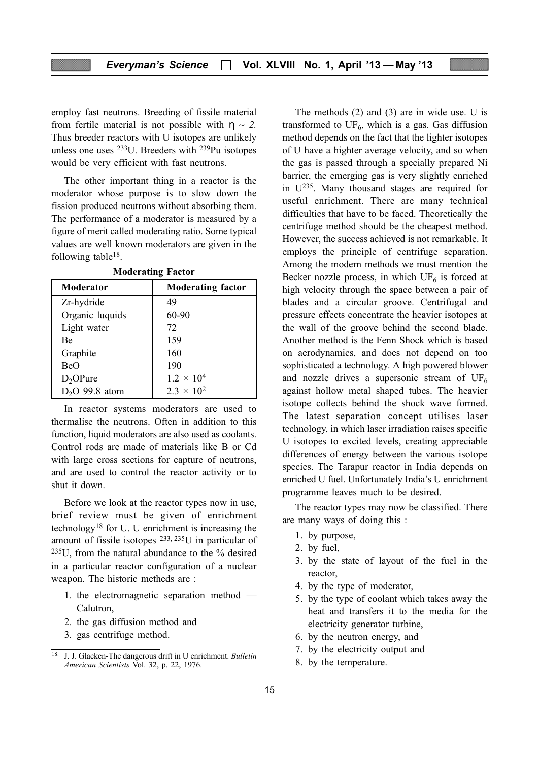employ fast neutrons. Breeding of fissile material from fertile material is not possible with  $\eta \sim 2$ . Thus breeder reactors with U isotopes are unlikely unless one uses  $^{233}$ U. Breeders with  $^{239}$ Pu isotopes would be very efficient with fast neutrons.

The other important thing in a reactor is the moderator whose purpose is to slow down the fission produced neutrons without absorbing them. The performance of a moderator is measured by a figure of merit called moderating ratio. Some typical values are well known moderators are given in the following table<sup>18</sup>.

|      | <b>Moderating Factor</b> |  |         |  |
|------|--------------------------|--|---------|--|
| ıt∩r |                          |  | Moderat |  |

| <b>Moderator</b> | <b>Moderating factor</b> |
|------------------|--------------------------|
| Zr-hydride       | 49                       |
| Organic luquids  | 60-90                    |
| Light water      | 72                       |
| Be               | 159                      |
| Graphite         | 160                      |
| <b>BeO</b>       | 190                      |
| $D2OP$ ure       | $1.2 \times 10^{4}$      |
| $D2O$ 99.8 atom  | $2.3 \times 10^{2}$      |

In reactor systems moderators are used to thermalise the neutrons. Often in addition to this function, liquid moderators are also used as coolants. Control rods are made of materials like B or Cd with large cross sections for capture of neutrons, and are used to control the reactor activity or to shut it down.

Before we look at the reactor types now in use, brief review must be given of enrichment technology<sup>18</sup> for U. U enrichment is increasing the amount of fissile isotopes 233, 235U in particular of  $235U$ , from the natural abundance to the % desired in a particular reactor configuration of a nuclear weapon. The historic metheds are :

- 1. the electromagnetic separation method Calutron,
- 2. the gas diffusion method and
- 3. gas centrifuge method.

The methods (2) and (3) are in wide use. U is transformed to  $UF_6$ , which is a gas. Gas diffusion method depends on the fact that the lighter isotopes of U have a highter average velocity, and so when the gas is passed through a specially prepared Ni barrier, the emerging gas is very slightly enriched in U235. Many thousand stages are required for useful enrichment. There are many technical difficulties that have to be faced. Theoretically the centrifuge method should be the cheapest method. However, the success achieved is not remarkable. It employs the principle of centrifuge separation. Among the modern methods we must mention the Becker nozzle process, in which  $UF_6$  is forced at high velocity through the space between a pair of blades and a circular groove. Centrifugal and pressure effects concentrate the heavier isotopes at the wall of the groove behind the second blade. Another method is the Fenn Shock which is based on aerodynamics, and does not depend on too sophisticated a technology. A high powered blower and nozzle drives a supersonic stream of  $UF<sub>6</sub>$ against hollow metal shaped tubes. The heavier isotope collects behind the shock wave formed. The latest separation concept utilises laser technology, in which laser irradiation raises specific U isotopes to excited levels, creating appreciable differences of energy between the various isotope species. The Tarapur reactor in India depends on enriched U fuel. Unfortunately India's U enrichment programme leaves much to be desired.

The reactor types may now be classified. There are many ways of doing this :

- 1. by purpose,
- 2. by fuel,
- 3. by the state of layout of the fuel in the reactor,
- 4. by the type of moderator,
- 5. by the type of coolant which takes away the heat and transfers it to the media for the electricity generator turbine,
- 6. by the neutron energy, and
- 7. by the electricity output and
- 

<sup>&</sup>lt;sup>18.</sup> J. J. Glacken-The dangerous drift in U enrichment. *Bulletin*  $\frac{18. \text{ J. J. G/2}}{8. \text{ by the temperature.}}$ American Scientists Vol. 32, p. 22, 1976.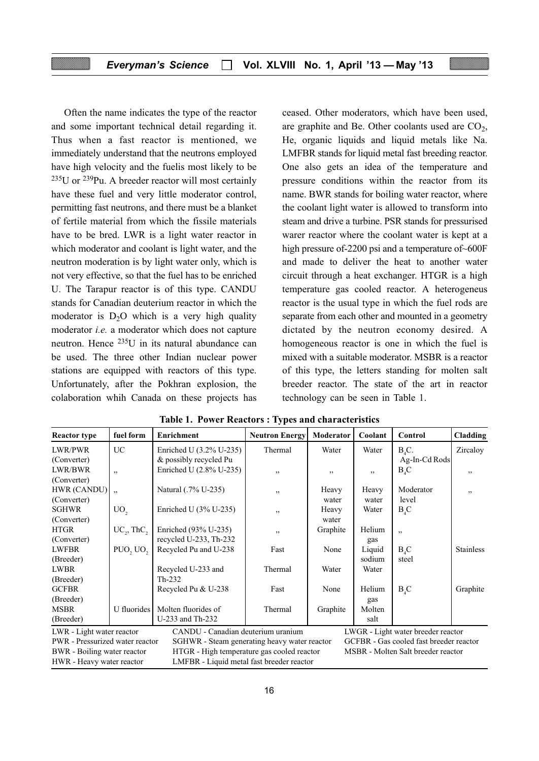#### Everyman's Science  $\Box$  Vol. XLVIII No. 1, April '13 - May '13

Often the name indicates the type of the reactor and some important technical detail regarding it. Thus when a fast reactor is mentioned, we immediately understand that the neutrons employed have high velocity and the fuelis most likely to be 235U or 239Pu. A breeder reactor will most certainly have these fuel and very little moderator control, permitting fast neutrons, and there must be a blanket of fertile material from which the fissile materials have to be bred. LWR is a light water reactor in which moderator and coolant is light water, and the neutron moderation is by light water only, which is not very effective, so that the fuel has to be enriched U. The Tarapur reactor is of this type. CANDU stands for Canadian deuterium reactor in which the moderator is  $D_2O$  which is a very high quality moderator i.e. a moderator which does not capture neutron. Hence 235U in its natural abundance can be used. The three other Indian nuclear power stations are equipped with reactors of this type. Unfortunately, after the Pokhran explosion, the colaboration whih Canada on these projects has ceased. Other moderators, which have been used, are graphite and Be. Other coolants used are  $CO<sub>2</sub>$ , He, organic liquids and liquid metals like Na. LMFBR stands for liquid metal fast breeding reactor. One also gets an idea of the temperature and pressure conditions within the reactor from its name. BWR stands for boiling water reactor, where the coolant light water is allowed to transform into steam and drive a turbine. PSR stands for pressurised warer reactor where the coolant water is kept at a high pressure of-2200 psi and a temperature of~600F and made to deliver the heat to another water circuit through a heat exchanger. HTGR is a high temperature gas cooled reactor. A heterogeneus reactor is the usual type in which the fuel rods are separate from each other and mounted in a geometry dictated by the neutron economy desired. A homogeneous reactor is one in which the fuel is mixed with a suitable moderator. MSBR is a reactor of this type, the letters standing for molten salt breeder reactor. The state of the art in reactor technology can be seen in Table 1.

| <b>Reactor type</b>                                                                                                        | fuel form                   | Enrichment                                | <b>Neutron Energy</b> | Moderator<br>Coolant |        | Control                            | Cladding         |
|----------------------------------------------------------------------------------------------------------------------------|-----------------------------|-------------------------------------------|-----------------------|----------------------|--------|------------------------------------|------------------|
| LWR/PWR                                                                                                                    | <b>UC</b>                   | Enriched U (3.2% U-235)                   | Thermal               | Water                | Water  | $B_4C.$                            | Zircaloy         |
| (Converter)                                                                                                                |                             | & possibly recycled Pu                    |                       |                      |        | Ag-In-Cd Rods                      |                  |
| LWR/BWR                                                                                                                    | , 2, 3                      | Enriched U (2.8% U-235)                   | , ,                   | , 2, 3               | , ,    | $B_4C$                             | , 9              |
| (Converter)                                                                                                                |                             |                                           |                       |                      |        |                                    |                  |
| HWR (CANDU)                                                                                                                | ,                           | Natural (.7% U-235)                       | ,,                    | Heavy                | Heavy  | Moderator                          | , 9              |
| (Converter)                                                                                                                |                             |                                           |                       | water                | water  | level                              |                  |
| SGHWR                                                                                                                      | UO,                         | Enriched U $(3\%$ U-235)                  | , ,                   | Heavy                | Water  | $B_4C$                             |                  |
| (Converter)                                                                                                                |                             |                                           |                       | water                |        |                                    |                  |
| <b>HTGR</b>                                                                                                                | $UC_{2}$ , ThC <sub>2</sub> | Enriched (93% U-235)                      | ,,                    | Graphite             | Helium | ,                                  |                  |
| (Converter)                                                                                                                |                             | recycled U-233, Th-232                    |                       |                      | gas    |                                    |                  |
| <b>LWFBR</b>                                                                                                               | PUO, UO,                    | Recycled Pu and U-238                     | Fast                  | None                 | Liquid | $B_4C$                             | <b>Stainless</b> |
| (Breeder)                                                                                                                  |                             |                                           |                       |                      | sodium | steel                              |                  |
| <b>LWBR</b>                                                                                                                |                             | Recycled U-233 and                        | Thermal               | Water                | Water  |                                    |                  |
| (Breeder)                                                                                                                  |                             | $Th-232$                                  |                       |                      |        |                                    |                  |
| <b>GCFBR</b>                                                                                                               |                             | Recycled Pu & U-238                       | Fast                  | None                 | Helium | $B_4C$                             | Graphite         |
| (Breeder)                                                                                                                  |                             |                                           |                       |                      | gas    |                                    |                  |
| <b>MSBR</b>                                                                                                                | U fluorides                 | Molten fluorides of                       | Thermal               | Graphite             | Molten |                                    |                  |
| (Breeder)                                                                                                                  |                             | U-233 and Th-232                          |                       |                      | salt   |                                    |                  |
| LWR - Light water reactor                                                                                                  |                             | CANDU - Canadian deuterium uranium        |                       |                      |        | LWGR - Light water breeder reactor |                  |
| PWR - Pressurized water reactor<br>GCFBR - Gas cooled fast breeder reactor<br>SGHWR - Steam generating heavy water reactor |                             |                                           |                       |                      |        |                                    |                  |
| HTGR - High temperature gas cooled reactor<br>BWR - Boiling water reactor<br>MSBR - Molten Salt breeder reactor            |                             |                                           |                       |                      |        |                                    |                  |
| HWR - Heavy water reactor                                                                                                  |                             | LMFBR - Liquid metal fast breeder reactor |                       |                      |        |                                    |                  |

#### Table 1. Power Reactors : Types and characteristics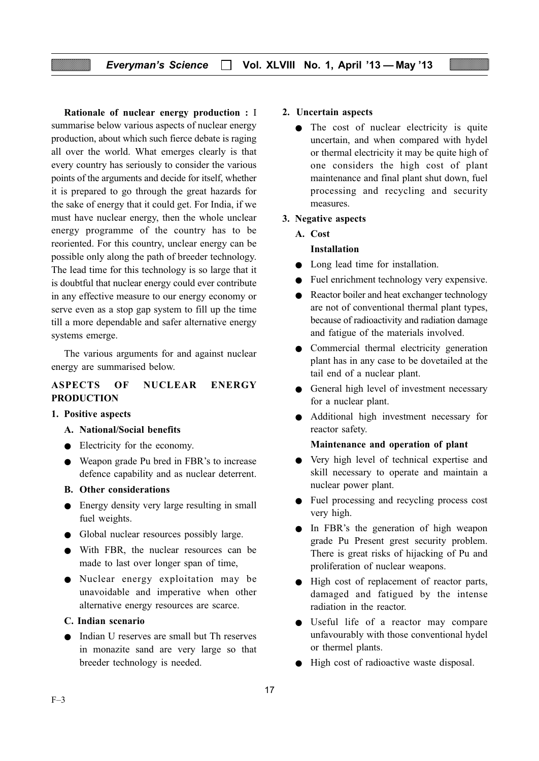Rationale of nuclear energy production : I summarise below various aspects of nuclear energy production, about which such fierce debate is raging all over the world. What emerges clearly is that every country has seriously to consider the various points of the arguments and decide for itself, whether it is prepared to go through the great hazards for the sake of energy that it could get. For India, if we must have nuclear energy, then the whole unclear energy programme of the country has to be reoriented. For this country, unclear energy can be possible only along the path of breeder technology. The lead time for this technology is so large that it is doubtful that nuclear energy could ever contribute in any effective measure to our energy economy or serve even as a stop gap system to fill up the time till a more dependable and safer alternative energy systems emerge.

The various arguments for and against nuclear energy are summarised below.

# ASPECTS OF NUCLEAR ENERGY PRODUCTION

#### 1. Positive aspects

- A. National/Social benefits
- Electricity for the economy.
- Weapon grade Pu bred in FBR's to increase defence capability and as nuclear deterrent.
- B. Other considerations
- Energy density very large resulting in small fuel weights.
- Global nuclear resources possibly large.
- With FBR, the nuclear resources can be made to last over longer span of time,
- Nuclear energy exploitation may be unavoidable and imperative when other alternative energy resources are scarce.

#### C. Indian scenario

● Indian U reserves are small but Th reserves in monazite sand are very large so that breeder technology is needed.

#### 2. Uncertain aspects

● The cost of nuclear electricity is quite uncertain, and when compared with hydel or thermal electricity it may be quite high of one considers the high cost of plant maintenance and final plant shut down, fuel processing and recycling and security measures.

#### 3. Negative aspects

A. Cost

#### Installation

- Long lead time for installation.
- Fuel enrichment technology very expensive.
- Reactor boiler and heat exchanger technology are not of conventional thermal plant types, because of radioactivity and radiation damage and fatigue of the materials involved.
- Commercial thermal electricity generation plant has in any case to be dovetailed at the tail end of a nuclear plant.
- General high level of investment necessary for a nuclear plant.
- Additional high investment necessary for reactor safety.

#### Maintenance and operation of plant

- Very high level of technical expertise and skill necessary to operate and maintain a nuclear power plant.
- Fuel processing and recycling process cost very high.
- In FBR's the generation of high weapon grade Pu Present grest security problem. There is great risks of hijacking of Pu and proliferation of nuclear weapons.
- High cost of replacement of reactor parts, damaged and fatigued by the intense radiation in the reactor.
- Useful life of a reactor may compare unfavourably with those conventional hydel or thermel plants.
- High cost of radioactive waste disposal.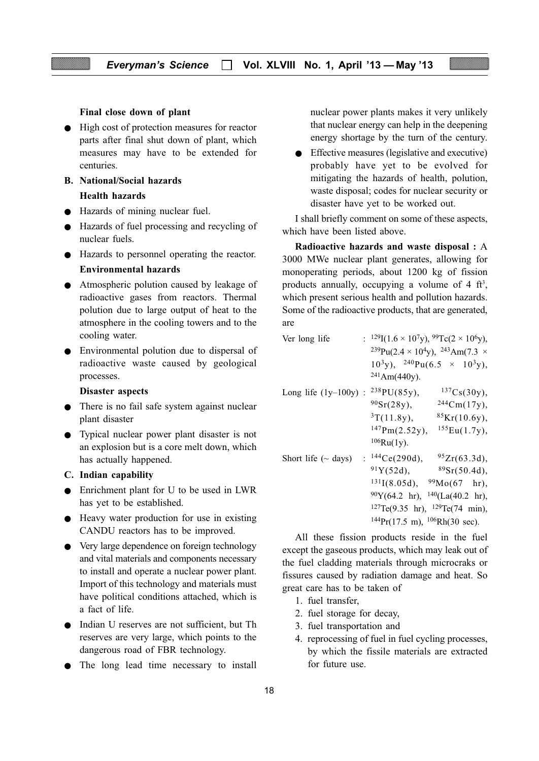#### Final close down of plant

- High cost of protection measures for reactor parts after final shut down of plant, which measures may have to be extended for centuries.
- B. National/Social hazards Health hazards
- Hazards of mining nuclear fuel.
- Hazards of fuel processing and recycling of nuclear fuels.
- Hazards to personnel operating the reactor. Environmental hazards
- Atmospheric polution caused by leakage of radioactive gases from reactors. Thermal polution due to large output of heat to the atmosphere in the cooling towers and to the cooling water.
- Environmental polution due to dispersal of radioactive waste caused by geological processes.

#### Disaster aspects

- There is no fail safe system against nuclear plant disaster
- Typical nuclear power plant disaster is not an explosion but is a core melt down, which has actually happened.

#### C. Indian capability

- Enrichment plant for U to be used in LWR has yet to be established.
- Heavy water production for use in existing CANDU reactors has to be improved.
- Very large dependence on foreign technology and vital materials and components necessary to install and operate a nuclear power plant. Import of this technology and materials must have political conditions attached, which is a fact of life.
- Indian U reserves are not sufficient, but Th reserves are very large, which points to the dangerous road of FBR technology.
- The long lead time necessary to install

nuclear power plants makes it very unlikely that nuclear energy can help in the deepening energy shortage by the turn of the century.

● Effective measures (legislative and executive) probably have yet to be evolved for mitigating the hazards of health, polution, waste disposal; codes for nuclear security or disaster have yet to be worked out.

I shall briefly comment on some of these aspects, which have been listed above.

Radioactive hazards and waste disposal : A 3000 MWe nuclear plant generates, allowing for monoperating periods, about 1200 kg of fission products annually, occupying a volume of  $4 \text{ ft}^3$ , which present serious health and pollution hazards. Some of the radioactive products, that are generated, are

| Ver long life             | : ${}^{129}I(1.6 \times 10^7y)$ , ${}^{99}Tc(2 \times 10^6y)$ ,<br><sup>239</sup> Pu(2.4 × 10 <sup>4</sup> y), <sup>243</sup> Am(7.3 ×                                                                                                                                  |
|---------------------------|-------------------------------------------------------------------------------------------------------------------------------------------------------------------------------------------------------------------------------------------------------------------------|
|                           | $103y$ ), $240Pu(6.5 \times 103y)$ ,<br>$241$ Am(440y).                                                                                                                                                                                                                 |
| Long life $(1y-100y)$ :   | <sup>238</sup> PU(85y),<br>137Cs(30y),<br>90Sr(28y),<br>$244$ Cm(17y),<br>${}^{3}T(11.8y),$<br>$85$ Kr(10.6y),<br>147Pm(2.52y),<br>155Eu(1.7y),<br>$106Ru(1y)$ .                                                                                                        |
| Short life ( $\sim$ days) | : $^{144}Ce(290d)$ ,<br>95Zr(63.3d),<br>$91Y(52d)$ ,<br>89Sr(50.4d),<br>$^{131}I(8.05d),$<br>$^{99}$ Mo(67<br>hr),<br>$90Y(64.2 \text{ hr}),$<br>$140(La(40.2 \text{ hr}),$<br>$127$ Te(9.35 hr),<br>$129$ Te(74 min),<br>$144Pr(17.5 \text{ m}),$<br>$106Rh(30 sec)$ . |

All these fission products reside in the fuel except the gaseous products, which may leak out of the fuel cladding materials through microcraks or fissures caused by radiation damage and heat. So great care has to be taken of

- 1. fuel transfer,
- 2. fuel storage for decay,
- 3. fuel transportation and
- 4. reprocessing of fuel in fuel cycling processes, by which the fissile materials are extracted for future use.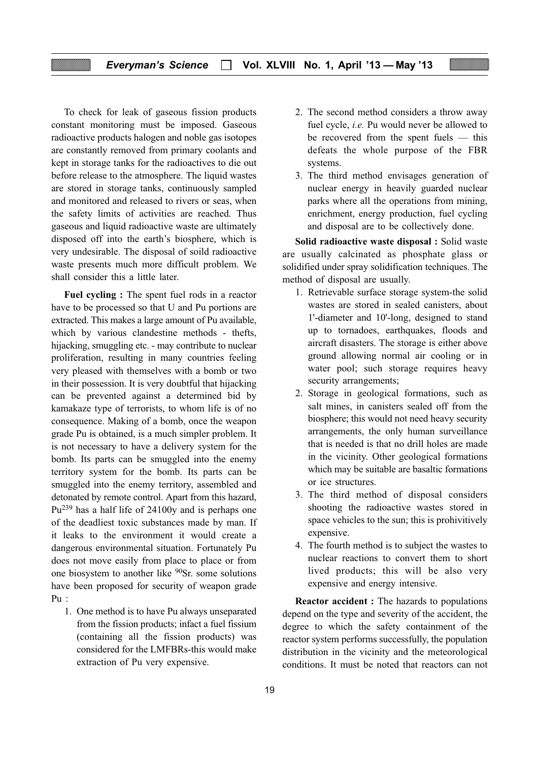#### Everyman's Science  $\Box$  Vol. XLVIII No. 1, April '13 - May '13

To check for leak of gaseous fission products constant monitoring must be imposed. Gaseous radioactive products halogen and noble gas isotopes are constantly removed from primary coolants and kept in storage tanks for the radioactives to die out before release to the atmosphere. The liquid wastes are stored in storage tanks, continuously sampled and monitored and released to rivers or seas, when the safety limits of activities are reached. Thus gaseous and liquid radioactive waste are ultimately disposed off into the earth's biosphere, which is very undesirable. The disposal of soild radioactive waste presents much more difficult problem. We shall consider this a little later.

Fuel cycling : The spent fuel rods in a reactor have to be processed so that U and Pu portions are extracted. This makes a large amount of Pu available, which by various clandestine methods - thefts, hijacking, smuggling etc. - may contribute to nuclear proliferation, resulting in many countries feeling very pleased with themselves with a bomb or two in their possession. It is very doubtful that hijacking can be prevented against a determined bid by kamakaze type of terrorists, to whom life is of no consequence. Making of a bomb, once the weapon grade Pu is obtained, is a much simpler problem. It is not necessary to have a delivery system for the bomb. Its parts can be smuggled into the enemy territory system for the bomb. Its parts can be smuggled into the enemy territory, assembled and detonated by remote control. Apart from this hazard, Pu239 has a half life of 24100y and is perhaps one of the deadliest toxic substances made by man. If it leaks to the environment it would create a dangerous environmental situation. Fortunately Pu does not move easily from place to place or from one biosystem to another like 90Sr. some solutions have been proposed for security of weapon grade Pu :

1. One method is to have Pu always unseparated from the fission products; infact a fuel fissium (containing all the fission products) was considered for the LMFBRs-this would make extraction of Pu very expensive.

- 2. The second method considers a throw away fuel cycle, i.e. Pu would never be allowed to be recovered from the spent fuels — this defeats the whole purpose of the FBR systems.
- 3. The third method envisages generation of nuclear energy in heavily guarded nuclear parks where all the operations from mining, enrichment, energy production, fuel cycling and disposal are to be collectively done.

Solid radioactive waste disposal : Solid waste are usually calcinated as phosphate glass or solidified under spray solidification techniques. The method of disposal are usually.

- 1. Retrievable surface storage system-the solid wastes are stored in sealed canisters, about 1'-diameter and 10'-long, designed to stand up to tornadoes, earthquakes, floods and aircraft disasters. The storage is either above ground allowing normal air cooling or in water pool; such storage requires heavy security arrangements;
- 2. Storage in geological formations, such as salt mines, in canisters sealed off from the biosphere; this would not need heavy security arrangements, the only human surveillance that is needed is that no drill holes are made in the vicinity. Other geological formations which may be suitable are basaltic formations or ice structures.
- 3. The third method of disposal considers shooting the radioactive wastes stored in space vehicles to the sun; this is prohivitively expensive.
- 4. The fourth method is to subject the wastes to nuclear reactions to convert them to short lived products; this will be also very expensive and energy intensive.

Reactor accident : The hazards to populations depend on the type and severity of the accident, the degree to which the safety containment of the reactor system performs successfully, the population distribution in the vicinity and the meteorological conditions. It must be noted that reactors can not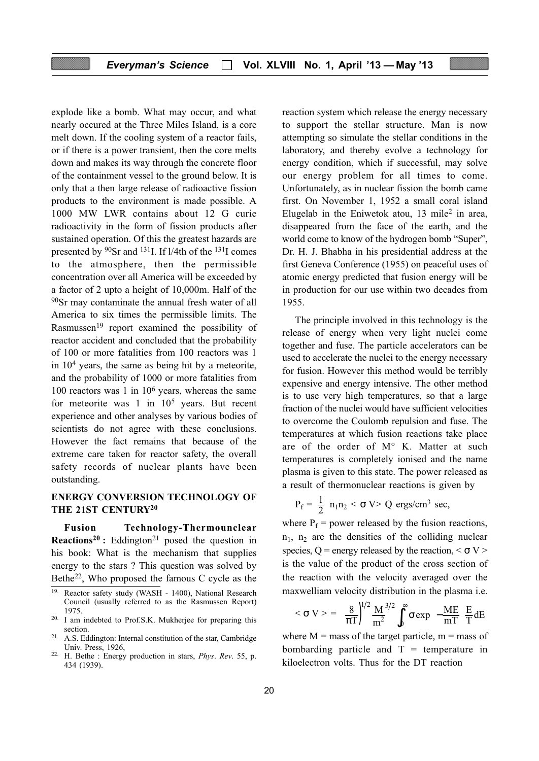explode like a bomb. What may occur, and what nearly occured at the Three Miles Island, is a core melt down. If the cooling system of a reactor fails, or if there is a power transient, then the core melts down and makes its way through the concrete floor of the containment vessel to the ground below. It is only that a then large release of radioactive fission products to the environment is made possible. A 1000 MW LWR contains about 12 G curie radioactivity in the form of fission products after sustained operation. Of this the greatest hazards are presented by 90Sr and 131I. If l/4th of the 131I comes to the atmosphere, then the permissible concentration over all America will be exceeded by a factor of 2 upto a height of 10,000m. Half of the 90Sr may contaminate the annual fresh water of all America to six times the permissible limits. The Rasmussen $19$  report examined the possibility of reactor accident and concluded that the probability of 100 or more fatalities from 100 reactors was 1 in 104 years, the same as being hit by a meteorite, and the probability of 1000 or more fatalities from 100 reactors was 1 in  $10^6$  years, whereas the same for meteorite was  $1$  in  $10^5$  years. But recent experience and other analyses by various bodies of scientists do not agree with these conclusions. However the fact remains that because of the extreme care taken for reactor safety, the overall safety records of nuclear plants have been outstanding.

## ENERGY CONVERSION TECHNOLOGY OF THE 21ST CENTURY20

Fusion Technology-Thermounclear **Reactions<sup>20</sup>**: Eddington<sup>21</sup> posed the question in his book: What is the mechanism that supplies energy to the stars ? This question was solved by Bethe22, Who proposed the famous C cycle as the reaction system which release the energy necessary to support the stellar structure. Man is now attempting so simulate the stellar conditions in the laboratory, and thereby evolve a technology for energy condition, which if successful, may solve our energy problem for all times to come. Unfortunately, as in nuclear fission the bomb came first. On November 1, 1952 a small coral island Elugelab in the Eniwetok atou,  $13$  mile<sup>2</sup> in area, disappeared from the face of the earth, and the world come to know of the hydrogen bomb "Super", Dr. H. J. Bhabha in his presidential address at the first Geneva Conference (1955) on peaceful uses of atomic energy predicted that fusion energy will be in production for our use within two decades from 1955.

The principle involved in this technology is the release of energy when very light nuclei come together and fuse. The particle accelerators can be used to accelerate the nuclei to the energy necessary for fusion. However this method would be terribly expensive and energy intensive. The other method is to use very high temperatures, so that a large fraction of the nuclei would have sufficient velocities to overcome the Coulomb repulsion and fuse. The temperatures at which fusion reactions take place are of the order of M° K. Matter at such temperatures is completely ionised and the name plasma is given to this state. The power released as a result of thermonuclear reactions is given by

$$
P_f = \frac{1}{2} n_1 n_2 < \sigma \text{ V} > Q \text{ ergs/cm}^3 \text{ sec},
$$

where  $P_f$  = power released by the fusion reactions,  $n_1$ ,  $n_2$  are the densities of the colliding nuclear species, Q = energy released by the reaction,  $< \sigma V$  > is the value of the product of the cross section of the reaction with the velocity averaged over the maxwelliam velocity distribution in the plasma i.e.

$$
<\sigma V> = \left(\frac{8}{\pi T}\right)^{1/2} \frac{M}{m^2}^{3/2} \int_0^{\infty} \sigma \exp\left[-\frac{ME}{mT}\right] \frac{E}{T} dE
$$

where  $M =$  mass of the target particle,  $m =$  mass of bombarding particle and  $T =$  temperature in kiloelectron volts. Thus for the DT reaction

<sup>&</sup>lt;sup>19.</sup> Reactor safety study (WASH - 1400), National Research Council (usually referred to as the Rasmussen Report) 1975.

<sup>20.</sup> I am indebted to Prof.S.K. Mukherjee for preparing this section.

<sup>21.</sup> A.S. Eddington: Internal constitution of the star, Cambridge Univ. Press, 1926,

<sup>22.</sup> H. Bethe : Energy production in stars, Phys. Rev. 55, p. 434 (1939).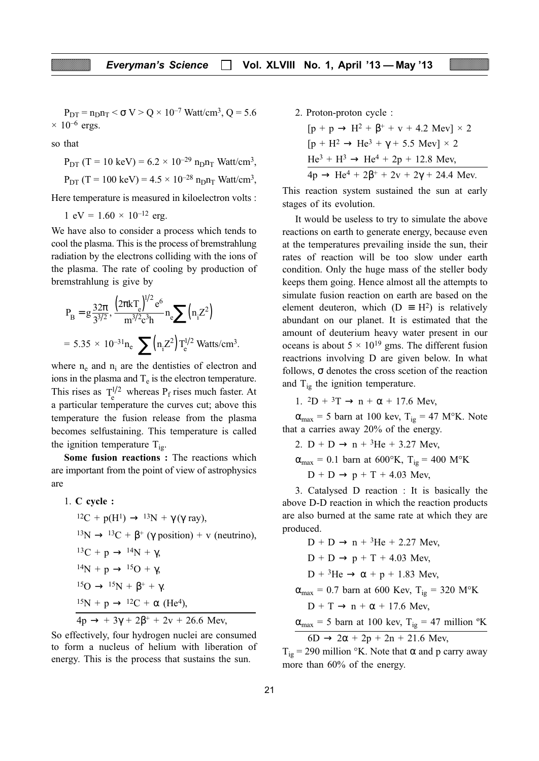$P_{DT} = n_D n_T < \sigma V > Q \times 10^{-7}$  Watt/cm<sup>3</sup>, Q = 5.6  $\times$  10<sup>-6</sup> ergs.

so that

 $P_{DT}$  (T = 10 keV) = 6.2 × 10<sup>-29</sup> n<sub>D</sub>n<sub>T</sub> Watt/cm<sup>3</sup>,

 $P_{DT}$  (T = 100 keV) = 4.5 × 10<sup>-28</sup> n<sub>D</sub>n<sub>T</sub> Watt/cm<sup>3</sup>,

Here temperature is measured in kiloelectron volts :

1 eV =  $1.60 \times 10^{-12}$  erg.

We have also to consider a process which tends to cool the plasma. This is the process of bremstrahlung radiation by the electrons colliding with the ions of the plasma. The rate of cooling by production of bremstrahlung is give by

$$
P_{\rm B} = g \frac{32\pi}{3^{3/2}}, \frac{\left(2\pi k T_{\rm e}\right)^{1/2} e^6}{m^{3/2} c^3 h} n_{\rm e} \sum \left(n_{\rm i} Z^2\right)
$$

$$
= 5.35 \times 10^{-31} n_{\rm e} \sum \left(n_{\rm i} Z^2\right) T_{\rm e}^{1/2} \text{ Watts/cm}^3.
$$

where  $n_e$  and  $n_i$  are the dentisties of electron and ions in the plasma and  $T_e$  is the electron temperature. This rises as  $T_e^{1/2}$  whereas P<sub>f</sub> rises much faster. At a particular temperature the curves cut; above this temperature the fusion release from the plasma becomes selfustaining. This temperature is called the ignition temperature  $T_{\text{ig}}$ .

Some fusion reactions : The reactions which are important from the point of view of astrophysics are

1. C cycle :

$$
{}^{12}C + p(H^{1}) \rightarrow {}^{13}N + \gamma(\gamma \text{ ray}),
$$
  
\n
$$
{}^{13}N \rightarrow {}^{13}C + \beta^{+} (\gamma \text{ position}) + v \text{ (neutrino)},
$$
  
\n
$$
{}^{13}C + p \rightarrow {}^{14}N + \gamma,
$$
  
\n
$$
{}^{14}N + p \rightarrow {}^{15}O + \gamma,
$$
  
\n
$$
{}^{15}O \rightarrow {}^{15}N + \beta^{+} + \gamma.
$$
  
\n
$$
{}^{15}N + p \rightarrow {}^{12}C + \alpha \text{ (He}^4),
$$

 $4p \rightarrow +3\gamma + 2\beta^+ + 2\gamma + 26.6$  Mev,

So effectively, four hydrogen nuclei are consumed to form a nucleus of helium with liberation of energy. This is the process that sustains the sun.

2. Proton-proton cycle :

 $[p + p \rightarrow H^2 + \beta^+ + v + 4.2 \text{ MeV}] \times 2$  $[p + H^2 \rightarrow He^3 + \gamma + 5.5 \text{ MeV}] \times 2$  $He<sup>3</sup> + H<sup>3</sup> \rightarrow He<sup>4</sup> + 2p + 12.8$  Mev,  $4p \rightarrow He^4 + 2\beta^+ + 2\gamma + 2\gamma + 24.4$  Mev.

This reaction system sustained the sun at early stages of its evolution.

It would be useless to try to simulate the above reactions on earth to generate energy, because even at the temperatures prevailing inside the sun, their rates of reaction will be too slow under earth condition. Only the huge mass of the steller body keeps them going. Hence almost all the attempts to simulate fusion reaction on earth are based on the element deuteron, which ( $D \equiv H^2$ ) is relatively abundant on our planet. It is estimated that the amount of deuterium heavy water present in our oceans is about  $5 \times 10^{19}$  gms. The different fusion reactrions involving D are given below. In what follows,  $\sigma$  denotes the cross scetion of the reaction and  $T_{ig}$  the ignition temperature.

1.  ${}^{2}D + {}^{3}T \rightarrow n + \alpha + 17.6$  Mev,

 $\alpha_{\text{max}}$  = 5 barn at 100 kev, T<sub>ig</sub> = 47 M°K. Note that a carries away 20% of the energy.

2.  $D + D \rightarrow n + {}^{3}He + 3.27$  Mev,

 $\alpha_{\text{max}} = 0.1$  barn at 600°K, T<sub>ig</sub> = 400 M°K

 $D + D \rightarrow p + T + 4.03$  Mev.

3. Catalysed D reaction : It is basically the above D-D reaction in which the reaction products are also burned at the same rate at which they are produced.

$$
D + D \rightarrow n + {}^{3}\text{He} + 2.27 \text{ Mev},
$$
  
\n
$$
D + D \rightarrow p + T + 4.03 \text{ Mev},
$$
  
\n
$$
D + {}^{3}\text{He} \rightarrow \alpha + p + 1.83 \text{ Mev},
$$
  
\n
$$
\alpha_{\text{max}} = 0.7 \text{ barn at } 600 \text{ Kev}, T_{ig} = 320 \text{ M}^{\circ}\text{K}
$$
  
\n
$$
D + T \rightarrow n + \alpha + 17.6 \text{ Mev},
$$
  
\n
$$
\alpha_{\text{max}} = 5 \text{ barn at } 100 \text{ kev}, T_{ig} = 47 \text{ million } {}^{\circ}\text{K}
$$
  
\n
$$
6D \rightarrow 2\alpha + 2p + 2n + 21.6 \text{ Mev},
$$

 $T_{ig}$  = 290 million °K. Note that  $\alpha$  and p carry away more than 60% of the energy.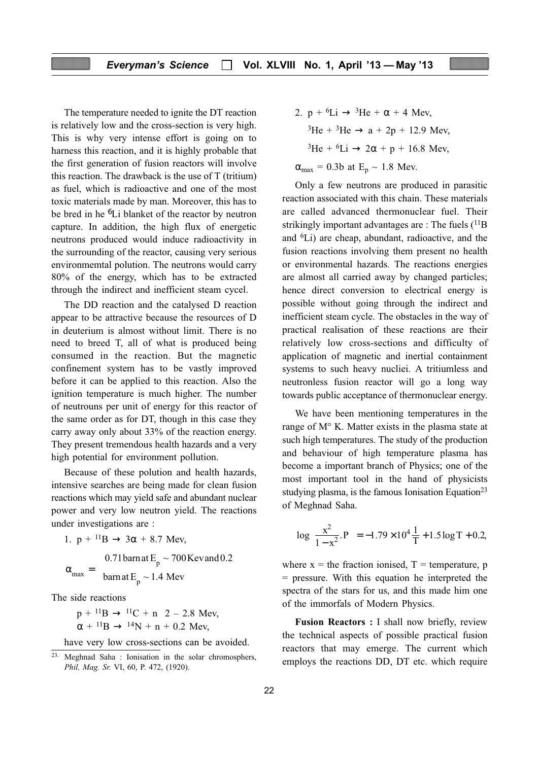The temperature needed to ignite the DT reaction is relatively low and the cross-section is very high. This is why very intense effort is going on to harness this reaction, and it is highly probable that the first generation of fusion reactors will involve this reaction. The drawback is the use of T (tritium) as fuel, which is radioactive and one of the most toxic materials made by man. Moreover, this has to be bred in he <sup>6</sup>Li blanket of the reactor by neutron capture. In addition, the high flux of energetic neutrons produced would induce radioactivity in the surrounding of the reactor, causing very serious environmemtal polution. The neutrons would carry 80% of the energy, which has to be extracted through the indirect and inefficient steam cycel.

The DD reaction and the catalysed D reaction appear to be attractive because the resources of D in deuterium is almost without limit. There is no need to breed T, all of what is produced being consumed in the reaction. But the magnetic confinement system has to be vastly improved before it can be applied to this reaction. Also the ignition temperature is much higher. The number of neutrouns per unit of energy for this reactor of the same order as for DT, though in this case they carry away only about 33% of the reaction energy. They present tremendous health hazards and a very high potential for environment pollution.

Because of these polution and health hazards, intensive searches are being made for clean fusion reactions which may yield safe and abundant nuclear power and very low neutron yield. The reactions under investigations are :

1. 
$$
p + {}^{11}B \rightarrow 3\alpha + 8.7
$$
 Mev,  

$$
\alpha_{max} = \begin{cases} 0.71 \text{ barn at } E_p \sim 700 \text{ Kev and } 0.2\\ \text{ barn at } E_p \sim 1.4 \text{ Mev} \end{cases}
$$

The side reactions

 $p + {}^{11}B \rightarrow {}^{11}C + n$  2 – 2.8 Mev,  $\alpha$  + <sup>11</sup>B  $\rightarrow$  <sup>14</sup>N + n + 0.2 Mev,

have very low cross-sections can be avoided.

2.  $p + {}^{6}Li \rightarrow {}^{3}He + \alpha + 4$  Mev,  ${}^{3}$ He +  ${}^{3}$ He  $\rightarrow$  a + 2p + 12.9 Mev,  ${}^{3}\text{He} + {}^{6}\text{Li} \rightarrow 2\alpha + p + 16.8 \text{ MeV}$ ,

 $\alpha_{\text{max}} = 0.3b$  at  $E_p \sim 1.8$  Mev.

Only a few neutrons are produced in parasitic reaction associated with this chain. These materials are called advanced thermonuclear fuel. Their strikingly important advantages are : The fuels  $(^{11}B)$ and 6Li) are cheap, abundant, radioactive, and the fusion reactions involving them present no health or environmental hazards. The reactions energies are almost all carried away by changed particles; hence direct conversion to electrical energy is possible without going through the indirect and inefficient steam cycle. The obstacles in the way of practical realisation of these reactions are their relatively low cross-sections and difficulty of application of magnetic and inertial containment systems to such heavy nucliei. A tritiumless and neutronless fusion reactor will go a long way towards public acceptance of thermonuclear energy.

We have been mentioning temperatures in the range of M° K. Matter exists in the plasma state at such high temperatures. The study of the production and behaviour of high temperature plasma has become a important branch of Physics; one of the most important tool in the hand of physicists studying plasma, is the famous Ionisation Equation<sup>23</sup> of Meghnad Saha.

$$
\log \left[ \frac{x^2}{1 - x^2} \cdot P \right] = -1.79 \times 10^4 \frac{1}{T} + 1.5 \log T + 0.2,
$$

where  $x =$  the fraction ionised,  $T =$  temperature, p = pressure. With this equation he interpreted the spectra of the stars for us, and this made him one of the immorfals of Modern Physics.

Fusion Reactors : I shall now briefly, review the technical aspects of possible practical fusion reactors that may emerge. The current which <sup>23.</sup> Meghnad Saha : Ionisation in the solar chromosphers, employs the reactions  $\overrightarrow{DD}$ ,  $\overrightarrow{DT}$  etc. which require

Phil, Mag. Sr. VI, 60, P. 472, (1920).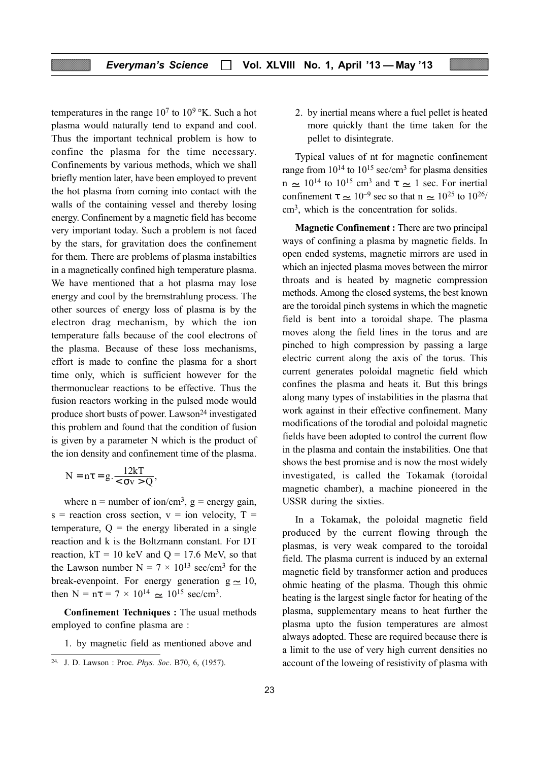temperatures in the range  $10^7$  to  $10^9$  °K. Such a hot plasma would naturally tend to expand and cool. Thus the important technical problem is how to confine the plasma for the time necessary. Confinements by various methods, which we shall briefly mention later, have been employed to prevent the hot plasma from coming into contact with the walls of the containing vessel and thereby losing energy. Confinement by a magnetic field has become very important today. Such a problem is not faced by the stars, for gravitation does the confinement for them. There are problems of plasma instabilties in a magnetically confined high temperature plasma. We have mentioned that a hot plasma may lose energy and cool by the bremstrahlung process. The other sources of energy loss of plasma is by the electron drag mechanism, by which the ion temperature falls because of the cool electrons of the plasma. Because of these loss mechanisms, effort is made to confine the plasma for a short time only, which is sufficient however for the thermonuclear reactions to be effective. Thus the fusion reactors working in the pulsed mode would produce short busts of power. Lawson<sup>24</sup> investigated this problem and found that the condition of fusion is given by a parameter N which is the product of the ion density and confinement time of the plasma.

$$
N = n\tau = g.\frac{12kT}{\langle \sigma v \rangle Q},
$$

where  $n =$  number of ion/cm<sup>3</sup>,  $g =$  energy gain,  $s =$  reaction cross section,  $v =$  ion velocity,  $T =$ temperature,  $Q =$  the energy liberated in a single reaction and k is the Boltzmann constant. For DT reaction,  $kT = 10$  keV and  $Q = 17.6$  MeV, so that the Lawson number  $N = 7 \times 10^{13}$  sec/cm<sup>3</sup> for the break-evenpoint. For energy generation  $g \approx 10$ , then  $N = n\tau = 7 \times 10^{14} \simeq 10^{15}$  sec/cm<sup>3</sup>.

Confinement Techniques : The usual methods employed to confine plasma are :

1. by magnetic field as mentioned above and

2. by inertial means where a fuel pellet is heated more quickly thant the time taken for the pellet to disintegrate.

Typical values of nt for magnetic confinement range from  $10^{14}$  to  $10^{15}$  sec/cm<sup>3</sup> for plasma densities  $n \approx 10^{14}$  to  $10^{15}$  cm<sup>3</sup> and  $\tau \approx 1$  sec. For inertial confinement  $\tau \simeq 10^{-9}$  sec so that n  $\simeq 10^{25}$  to  $10^{26/}$ cm3, which is the concentration for solids.

Magnetic Confinement : There are two principal ways of confining a plasma by magnetic fields. In open ended systems, magnetic mirrors are used in which an injected plasma moves between the mirror throats and is heated by magnetic compression methods. Among the closed systems, the best known are the toroidal pinch systems in which the magnetic field is bent into a toroidal shape. The plasma moves along the field lines in the torus and are pinched to high compression by passing a large electric current along the axis of the torus. This current generates poloidal magnetic field which confines the plasma and heats it. But this brings along many types of instabilities in the plasma that work against in their effective confinement. Many modifications of the torodial and poloidal magnetic fields have been adopted to control the current flow in the plasma and contain the instabilities. One that shows the best promise and is now the most widely investigated, is called the Tokamak (toroidal magnetic chamber), a machine pioneered in the USSR during the sixties.

In a Tokamak, the poloidal magnetic field produced by the current flowing through the plasmas, is very weak compared to the toroidal field. The plasma current is induced by an external magnetic field by transformer action and produces ohmic heating of the plasma. Though this ohmic heating is the largest single factor for heating of the plasma, supplementary means to heat further the plasma upto the fusion temperatures are almost always adopted. These are required because there is a limit to the use of very high current densities no <sup>24.</sup> J. D. Lawson : Proc. Phys. Soc. B70, 6, (1957). account of the loweing of resistivity of plasma with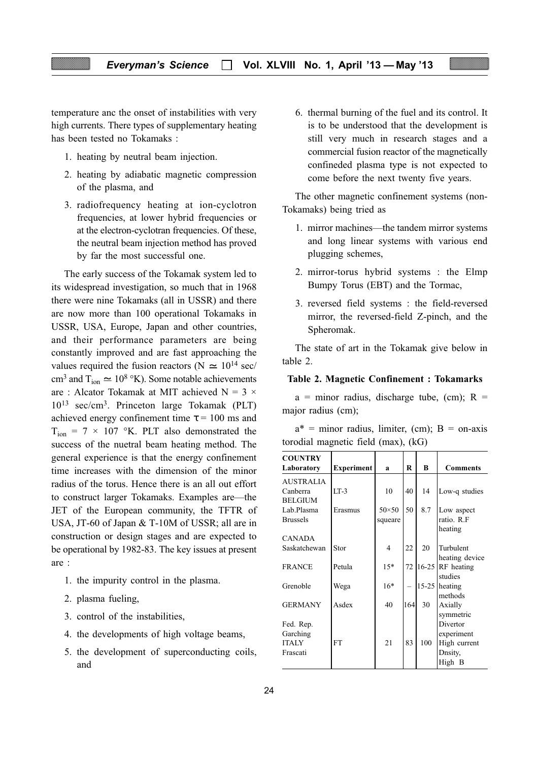temperature anc the onset of instabilities with very high currents. There types of supplementary heating has been tested no Tokamaks :

- 1. heating by neutral beam injection.
- 2. heating by adiabatic magnetic compression of the plasma, and
- 3. radiofrequency heating at ion-cyclotron frequencies, at lower hybrid frequencies or at the electron-cyclotran frequencies. Of these, the neutral beam injection method has proved by far the most successful one.

The early success of the Tokamak system led to its widespread investigation, so much that in 1968 there were nine Tokamaks (all in USSR) and there are now more than 100 operational Tokamaks in USSR, USA, Europe, Japan and other countries, and their performance parameters are being constantly improved and are fast approaching the values required the fusion reactors (N  $\approx 10^{14}$  sec/ cm<sup>3</sup> and  $T_{ion} \simeq 10^{8}$  °K). Some notable achievements are : Alcator Tokamak at MIT achieved  $N = 3 \times$ 1013 sec/cm3. Princeton large Tokamak (PLT) achieved energy confinement time  $\tau = 100$  ms and  $T_{ion}$  = 7 × 107 °K. PLT also demonstrated the success of the nuetral beam heating method. The general experience is that the energy confinement time increases with the dimension of the minor radius of the torus. Hence there is an all out effort to construct larger Tokamaks. Examples are—the JET of the European community, the TFTR of USA, JT-60 of Japan & T-10M of USSR; all are in construction or design stages and are expected to be operational by 1982-83. The key issues at present are :

- 1. the impurity control in the plasma.
- 2. plasma fueling,
- 3. control of the instabilities,
- 4. the developments of high voltage beams,
- 5. the development of superconducting coils, and

6. thermal burning of the fuel and its control. It is to be understood that the development is still very much in research stages and a commercial fusion reactor of the magnetically confineded plasma type is not expected to come before the next twenty five years.

The other magnetic confinement systems (non-Tokamaks) being tried as

- 1. mirror machines—the tandem mirror systems and long linear systems with various end plugging schemes,
- 2. mirror-torus hybrid systems : the Elmp Bumpy Torus (EBT) and the Tormac,
- 3. reversed field systems : the field-reversed mirror, the reversed-field Z-pinch, and the Spheromak.

The state of art in the Tokamak give below in table 2.

#### Table 2. Magnetic Confinement : Tokamarks

 $a =$  minor radius, discharge tube, (cm); R = major radius (cm);

 $a^*$  = minor radius, limiter, (cm); B = on-axis torodial magnetic field (max), (kG)

| <b>COUNTRY</b><br>Laboratory                      | <b>Experiment</b> | $\bf{a}$                  | R   | B         | <b>Comments</b>                                                          |
|---------------------------------------------------|-------------------|---------------------------|-----|-----------|--------------------------------------------------------------------------|
| <b>AUSTRALIA</b><br>Canberra<br><b>BELGIUM</b>    | $LT-3$            | 10                        | 40  | 14        | Low-q studies                                                            |
| Lab.Plasma<br><b>Brussels</b>                     | Erasmus           | $50 \times 50$<br>squeare | 50  | 8.7       | Low aspect<br>ratio. R.F<br>heating                                      |
| <b>CANADA</b>                                     |                   |                           |     |           |                                                                          |
| Saskatchewan                                      | Stor              | $\overline{\mathbf{4}}$   | 22  | 20        | Turbulent<br>heating device                                              |
| <b>FRANCE</b>                                     | Petula            | $15*$                     | 72  | $16-25$   | RF heating                                                               |
| Grenoble                                          | Wega              | $16*$                     |     | $15 - 25$ | studies<br>heating<br>methods                                            |
| GERMANY                                           | Asdex             | 40                        | 164 | 30        | Axially                                                                  |
| Fed. Rep.<br>Garching<br><b>ITALY</b><br>Frascati | <b>FT</b>         | 21                        | 83  | 100       | symmetric<br>Divertor<br>experiment<br>High current<br>Dnsity,<br>High B |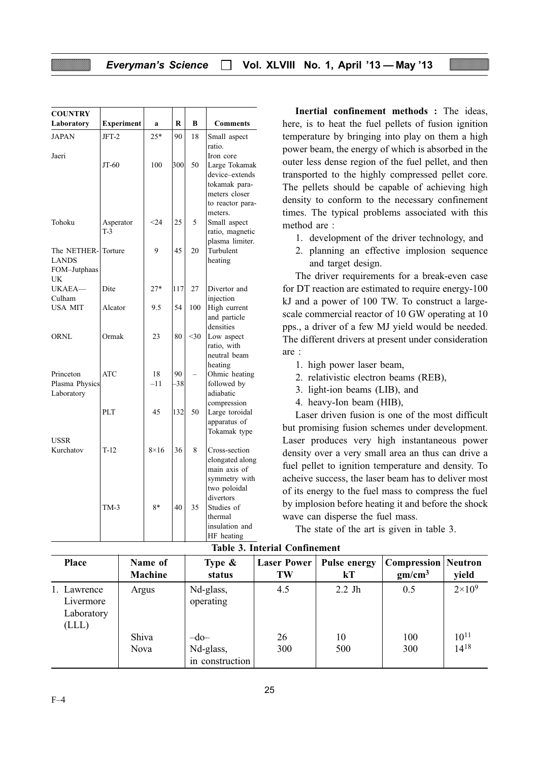| <b>COUNTRY</b>               |                   |             |       |        |                                 | Inertial co       |              |
|------------------------------|-------------------|-------------|-------|--------|---------------------------------|-------------------|--------------|
| Laboratory                   | <b>Experiment</b> | $\bf{a}$    | R     | B      | <b>Comments</b>                 | here, is to heat  |              |
| <b>JAPAN</b>                 | JFT-2             | $25*$       | 90    | 18     | Small aspect                    | temperature by    |              |
|                              |                   |             |       |        | ratio.                          | power beam, th    |              |
| Jaeri                        | $JT-60$           | 100         | 300   | 50     | Iron core                       | outer less dens   |              |
|                              |                   |             |       |        | Large Tokamak<br>device-extends | transported to    |              |
|                              |                   |             |       |        | tokamak para-                   | The pellets sho   |              |
|                              |                   |             |       |        | meters closer                   |                   |              |
|                              |                   |             |       |        | to reactor para-                | density to conf   |              |
| Tohoku                       | Asperator         | <24         | 25    | 5      | meters.<br>Small aspect         | times. The typ    |              |
|                              | $T-3$             |             |       |        | ratio, magnetic                 | method are:       |              |
|                              |                   |             |       |        | plasma limiter.                 | 1. developr       |              |
| The NETHER-Torture           |                   | 9           | 45    | 20     | Turbulent                       | 2. planning       |              |
| <b>LANDS</b>                 |                   |             |       |        | heating                         | and targe         |              |
| FOM-Jutphaas<br>UK           |                   |             |       |        |                                 | The driver 1      |              |
| UKAEA-                       | Dite              | $27*$       | 117   | 27     | Divertor and                    | for DT reaction   |              |
| Culham                       |                   |             |       |        | injection                       | kJ and a powe     |              |
| USA MIT                      | Alcator           | 9.5         | 54    | 100    | High current                    | scale commerci    |              |
|                              |                   |             |       |        | and particle                    |                   |              |
| ORNL                         | Ormak             | 23          | 80    | $<$ 30 | densities<br>Low aspect         | pps., a driver o  |              |
|                              |                   |             |       |        | ratio, with                     | The different di  |              |
|                              |                   |             |       |        | neutral beam                    | are :             |              |
|                              |                   |             |       |        | heating                         | 1. high pow       |              |
| Princeton                    | <b>ATC</b>        | 18          | 90    |        | Ohmic heating                   | 2. relativist     |              |
| Plasma Physics<br>Laboratory |                   | $-11$       | $-38$ |        | followed by<br>adiabatic        | 3. light-ion      |              |
|                              |                   |             |       |        | compression                     | 4. heavy-Io       |              |
|                              | PLT               | 45          | 132   | 50     |                                 | Large toroidal    | Laser driver |
|                              |                   |             |       |        | apparatus of                    | but promising t   |              |
| <b>USSR</b>                  |                   |             |       |        | Tokamak type                    | Laser produce     |              |
| Kurchatov                    | $T-12$            | $8\times16$ | 36    | 8      | Cross-section                   |                   |              |
|                              |                   |             |       |        | elongated along                 | density over a    |              |
|                              |                   |             |       |        | main axis of                    | fuel pellet to ig |              |
|                              |                   |             |       |        | symmetry with                   | acheive success   |              |
|                              |                   |             |       | 35     | two poloidal<br>divertors       | of its energy to  |              |
|                              | $TM-3$            | $8*$        | 40    |        | Studies of                      | by implosion be   |              |
|                              |                   |             |       |        | thermal                         | wave can dispe    |              |
|                              |                   |             |       |        | insulation and                  | The state of      |              |
|                              |                   |             |       |        | HF heating                      |                   |              |

**nfinement methods :** The ideas, t the fuel pellets of fusion ignition bringing into play on them a high e energy of which is absorbed in the e region of the fuel pellet, and then the highly compressed pellet core. puld be capable of achieving high form to the necessary confinement ical problems associated with this

- nent of the driver technology, and
- an effective implosion sequence et design.

requirements for a break-even case are estimated to require energy-100 r of 100 TW. To construct a largeal reactor of 10 GW operating at 10 of a few MJ yield would be needed. rivers at present under consideration

- ver laser beam,
- ic electron beams (REB),
- beams (LIB), and
- n beam (HIB),

1 fusion is one of the most difficult fusion schemes under development. s very high instantaneous power very small area an thus can drive a enition temperature and density. To s, the laser beam has to deliver most the fuel mass to compress the fuel efore heating it and before the shock erse the fuel mass.

f the art is given in table 3.

| Place                                           | Name of<br>Machine   | Type $\&$<br>status                    | <b>Laser Power</b><br>TW | <b>Pulse energy</b><br>$\mathbf{k}$ T | <b>Compression   Neutron</b><br>gm/cm <sup>3</sup> | yield                  |
|-------------------------------------------------|----------------------|----------------------------------------|--------------------------|---------------------------------------|----------------------------------------------------|------------------------|
| 1. Lawrence<br>Livermore<br>Laboratory<br>(LLL) | Argus                | Nd-glass,<br>operating                 | 4.5                      | $2.2 \text{ Jh}$                      | 0.5                                                | $2\times10^9$          |
|                                                 | Shiva<br><b>Nova</b> | $-do-$<br>Nd-glass,<br>in construction | 26<br>300                | 10<br>500                             | 100<br>300                                         | $10^{11}$<br>$14^{18}$ |

#### Table 3. Interial Confinement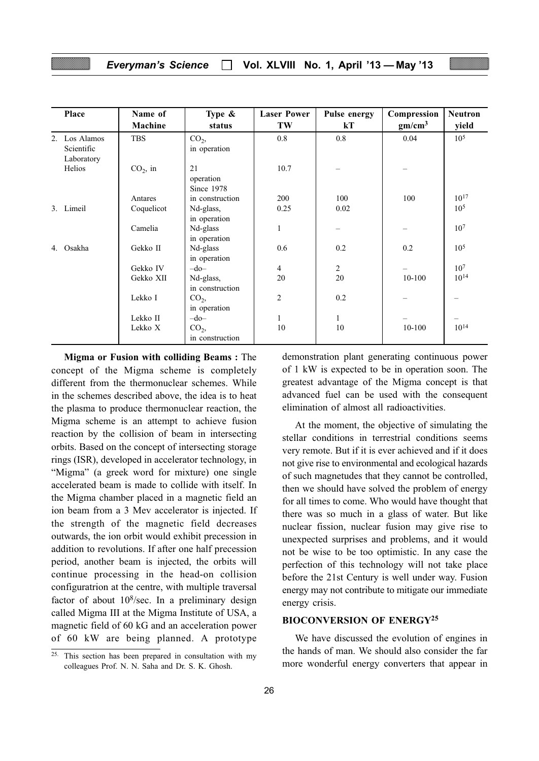| Place                                     | Name of<br>Machine | Type &<br>status                   | <b>Laser Power</b><br>TW | Pulse energy<br>$\mathbf{k}$ <b>T</b> | Compression<br>gm/cm <sup>3</sup> | <b>Neutron</b><br>yield |
|-------------------------------------------|--------------------|------------------------------------|--------------------------|---------------------------------------|-----------------------------------|-------------------------|
| 2. Los Alamos<br>Scientific<br>Laboratory | <b>TBS</b>         | CO <sub>2</sub><br>in operation    | 0.8                      | 0.8                                   | 0.04                              | 10 <sup>5</sup>         |
| Helios                                    | $CO2$ , in         | 21<br>operation<br>Since 1978      | 10.7                     |                                       |                                   |                         |
|                                           | Antares            | in construction                    | 200                      | 100                                   | 100                               | $10^{17}$               |
| 3. Limeil                                 | Coquelicot         | Nd-glass,<br>in operation          | 0.25                     | 0.02                                  |                                   | $10^{5}$                |
|                                           | Camelia            | Nd-glass<br>in operation           | 1                        |                                       |                                   | 10 <sup>7</sup>         |
| 4. Osakha                                 | Gekko II           | Nd-glass<br>in operation           | 0.6                      | 0.2                                   | 0.2                               | 10 <sup>5</sup>         |
|                                           | Gekko IV           | $-do-$                             | $\overline{4}$           | $\overline{2}$                        |                                   | 10 <sup>7</sup>         |
|                                           | Gekko XII          | Nd-glass,<br>in construction       | 20                       | 20                                    | $10-100$                          | $10^{14}$               |
|                                           | Lekko I            | CO <sub>2</sub><br>in operation    | $\overline{2}$           | 0.2                                   |                                   |                         |
|                                           | Lekko II           | $-do-$                             | 1                        | $\mathbf{1}$                          |                                   |                         |
|                                           | Lekko X            | CO <sub>2</sub><br>in construction | 10                       | 10                                    | 10-100                            | $10^{14}$               |

Migma or Fusion with colliding Beams : The concept of the Migma scheme is completely different from the thermonuclear schemes. While in the schemes described above, the idea is to heat the plasma to produce thermonuclear reaction, the Migma scheme is an attempt to achieve fusion reaction by the collision of beam in intersecting orbits. Based on the concept of intersecting storage rings (ISR), developed in accelerator technology, in "Migma" (a greek word for mixture) one single accelerated beam is made to collide with itself. In the Migma chamber placed in a magnetic field an ion beam from a 3 Mev accelerator is injected. If the strength of the magnetic field decreases outwards, the ion orbit would exhibit precession in addition to revolutions. If after one half precession period, another beam is injected, the orbits will continue processing in the head-on collision configuratrion at the centre, with multiple traversal factor of about 108/sec. In a preliminary design called Migma III at the Migma Institute of USA, a magnetic field of 60 kG and an acceleration power of 60 kW are being planned. A prototype

demonstration plant generating continuous power of 1 kW is expected to be in operation soon. The greatest advantage of the Migma concept is that advanced fuel can be used with the consequent elimination of almost all radioactivities.

At the moment, the objective of simulating the stellar conditions in terrestrial conditions seems very remote. But if it is ever achieved and if it does not give rise to environmental and ecological hazards of such magnetudes that they cannot be controlled, then we should have solved the problem of energy for all times to come. Who would have thought that there was so much in a glass of water. But like nuclear fission, nuclear fusion may give rise to unexpected surprises and problems, and it would not be wise to be too optimistic. In any case the perfection of this technology will not take place before the 21st Century is well under way. Fusion energy may not contribute to mitigate our immediate energy crisis.

# BIOCONVERSION OF ENERGY<sup>25</sup>

We have discussed the evolution of engines in the hands of man. We should also consider the far more wonderful energy converters that appear in

<sup>25.</sup> This section has been prepared in consultation with my colleagues Prof. N. N. Saha and Dr. S. K. Ghosh.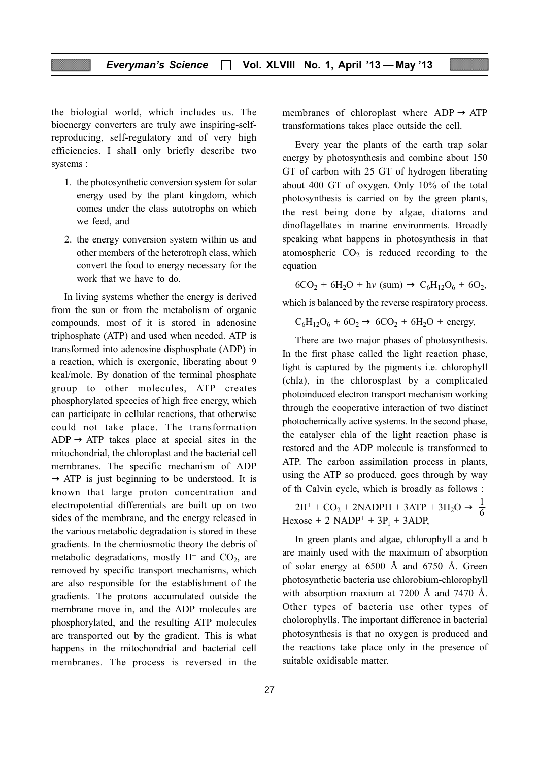the biologial world, which includes us. The bioenergy converters are truly awe inspiring-selfreproducing, self-regulatory and of very high efficiencies. I shall only briefly describe two systems :

- 1. the photosynthetic conversion system for solar energy used by the plant kingdom, which comes under the class autotrophs on which we feed, and
- 2. the energy conversion system within us and other members of the heterotroph class, which convert the food to energy necessary for the work that we have to do.

In living systems whether the energy is derived from the sun or from the metabolism of organic compounds, most of it is stored in adenosine triphosphate (ATP) and used when needed. ATP is transformed into adenosine disphosphate (ADP) in a reaction, which is exergonic, liberating about 9 kcal/mole. By donation of the terminal phosphate group to other molecules, ATP creates phosphorylated speecies of high free energy, which can participate in cellular reactions, that otherwise could not take place. The transformation  $ADP \rightarrow ATP$  takes place at special sites in the mitochondrial, the chloroplast and the bacterial cell membranes. The specific mechanism of ADP  $\rightarrow$  ATP is just beginning to be understood. It is known that large proton concentration and electropotential differentials are built up on two sides of the membrane, and the energy released in the various metabolic degradation is stored in these gradients. In the chemiosmotic theory the debris of metabolic degradations, mostly  $H^+$  and  $CO<sub>2</sub>$ , are removed by specific transport mechanisms, which are also responsible for the establishment of the gradients. The protons accumulated outside the membrane move in, and the ADP molecules are phosphorylated, and the resulting ATP molecules are transported out by the gradient. This is what happens in the mitochondrial and bacterial cell membranes. The process is reversed in the

membranes of chloroplast where  $ADP \rightarrow ATP$ transformations takes place outside the cell.

Every year the plants of the earth trap solar energy by photosynthesis and combine about 150 GT of carbon with 25 GT of hydrogen liberating about 400 GT of oxygen. Only 10% of the total photosynthesis is carried on by the green plants, the rest being done by algae, diatoms and dinoflagellates in marine environments. Broadly speaking what happens in photosynthesis in that atomospheric  $CO<sub>2</sub>$  is reduced recording to the equation

$$
6CO_2 + 6H_2O + hv (sum) \rightarrow C_6H_{12}O_6 + 6O_2,
$$

which is balanced by the reverse respiratory process.

 $C_6H_1_2O_6 + 6O_2 \rightarrow 6CO_2 + 6H_2O$  + energy,

There are two major phases of photosynthesis. In the first phase called the light reaction phase, light is captured by the pigments i.e. chlorophyll (chla), in the chlorosplast by a complicated photoinduced electron transport mechanism working through the cooperative interaction of two distinct photochemically active systems. In the second phase, the catalyser chla of the light reaction phase is restored and the ADP molecule is transformed to ATP. The carbon assimilation process in plants, using the ATP so produced, goes through by way of th Calvin cycle, which is broadly as follows :

 $2H^{+}$  + CO<sub>2</sub> + 2NADPH + 3ATP + 3H<sub>2</sub>O  $\rightarrow \frac{1}{6}$  $2H + CO_2 + 2NAD1H + 3H1 + 3H2O \rightarrow 6$ <br>Hexose + 2 NADP<sup>+</sup> + 3P<sub>i</sub> + 3ADP,

In green plants and algae, chlorophyll a and b are mainly used with the maximum of absorption of solar energy at 6500 Å and 6750 Å. Green photosynthetic bacteria use chlorobium-chlorophyll with absorption maxium at 7200 Å and 7470 Å. Other types of bacteria use other types of cholorophylls. The important difference in bacterial photosynthesis is that no oxygen is produced and the reactions take place only in the presence of suitable oxidisable matter.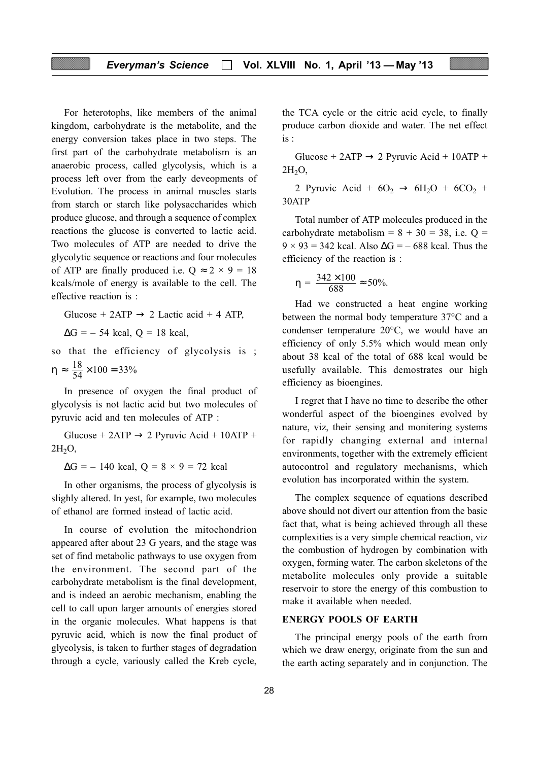For heterotophs, like members of the animal kingdom, carbohydrate is the metabolite, and the energy conversion takes place in two steps. The first part of the carbohydrate metabolism is an anaerobic process, called glycolysis, which is a process left over from the early deveopments of Evolution. The process in animal muscles starts from starch or starch like polysaccharides which produce glucose, and through a sequence of complex reactions the glucose is converted to lactic acid. Two molecules of ATP are needed to drive the glycolytic sequence or reactions and four molecules of ATP are finally produced i.e.  $Q \approx 2 \times 9 = 18$ kcals/mole of energy is available to the cell. The effective reaction is :

Glucose + 2ATP  $\rightarrow$  2 Lactic acid + 4 ATP,

 $\Delta G = -54$  kcal, Q = 18 kcal,

so that the efficiency of glycolysis is ;  $\eta \approx \frac{18}{54} \times 100 = 33\%$ 

In presence of oxygen the final product of glycolysis is not lactic acid but two molecules of pyruvic acid and ten molecules of ATP :

Glucose + 2ATP  $\rightarrow$  2 Pyruvic Acid + 10ATP +  $2H<sub>2</sub>O$ 

 $\Delta G = -140$  kcal,  $Q = 8 \times 9 = 72$  kcal

In other organisms, the process of glycolysis is slighly altered. In yest, for example, two molecules of ethanol are formed instead of lactic acid.

In course of evolution the mitochondrion appeared after about 23 G years, and the stage was set of find metabolic pathways to use oxygen from the environment. The second part of the carbohydrate metabolism is the final development, and is indeed an aerobic mechanism, enabling the cell to call upon larger amounts of energies stored in the organic molecules. What happens is that pyruvic acid, which is now the final product of glycolysis, is taken to further stages of degradation through a cycle, variously called the Kreb cycle,

the TCA cycle or the citric acid cycle, to finally produce carbon dioxide and water. The net effect is :

Glucose + 2ATP  $\rightarrow$  2 Pyruvic Acid + 10ATP +  $2H<sub>2</sub>O$ ,

2 Pyruvic Acid +  $6O_2 \rightarrow 6H_2O + 6CO_2$  + 30ATP

Total number of ATP molecules produced in the carbohydrate metabolism =  $8 + 30 = 38$ , i.e. O =  $9 \times 93 = 342$  kcal. Also  $\Delta G = -688$  kcal. Thus the efficiency of the reaction is :

$$
\eta = \frac{342 \times 100}{688} \approx 50\%.
$$

Had we constructed a heat engine working between the normal body temperature 37°C and a condenser temperature 20°C, we would have an efficiency of only 5.5% which would mean only about 38 kcal of the total of 688 kcal would be usefully available. This demostrates our high efficiency as bioengines.

I regret that I have no time to describe the other wonderful aspect of the bioengines evolved by nature, viz, their sensing and monitering systems for rapidly changing external and internal environments, together with the extremely efficient autocontrol and regulatory mechanisms, which evolution has incorporated within the system.

The complex sequence of equations described above should not divert our attention from the basic fact that, what is being achieved through all these complexities is a very simple chemical reaction, viz the combustion of hydrogen by combination with oxygen, forming water. The carbon skeletons of the metabolite molecules only provide a suitable reservoir to store the energy of this combustion to make it available when needed.

# ENERGY POOLS OF EARTH

The principal energy pools of the earth from which we draw energy, originate from the sun and the earth acting separately and in conjunction. The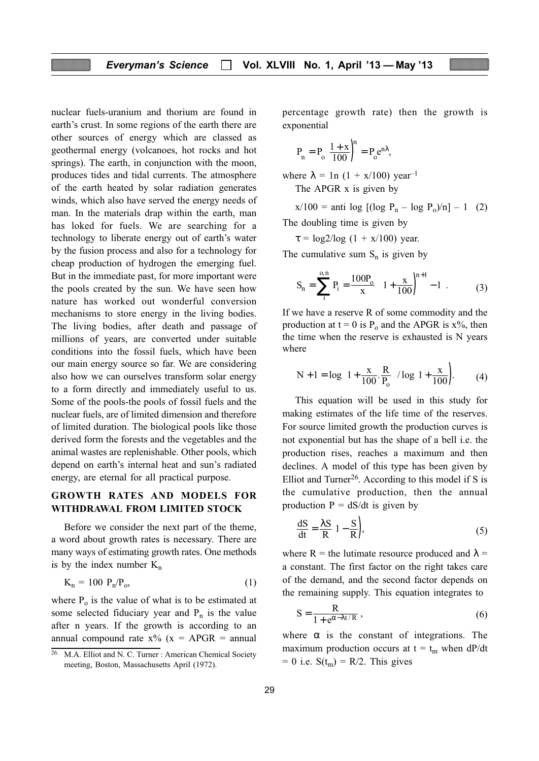nuclear fuels-uranium and thorium are found in earth's crust. In some regions of the earth there are other sources of energy which are classed as geothermal energy (volcanoes, hot rocks and hot springs). The earth, in conjunction with the moon, produces tides and tidal currents. The atmosphere of the earth heated by solar radiation generates winds, which also have served the energy needs of man. In the materials drap within the earth, man has loked for fuels. We are searching for a technology to liberate energy out of earth's water by the fusion process and also for a technology for cheap production of hydrogen the emerging fuel. But in the immediate past, for more important were the pools created by the sun. We have seen how nature has worked out wonderful conversion mechanisms to store energy in the living bodies. The living bodies, after death and passage of millions of years, are converted under suitable conditions into the fossil fuels, which have been our main energy source so far. We are considering also how we can ourselves transform solar energy to a form directly and immediately useful to us. Some of the pools-the pools of fossil fuels and the nuclear fuels, are of limited dimension and therefore of limited duration. The biological pools like those derived form the forests and the vegetables and the animal wastes are replenishable. Other pools, which depend on earth's internal heat and sun's radiated energy, are eternal for all practical purpose.

# GROWTH RATES AND MODELS FOR WITHDRAWAL FROM LIMITED STOCK

Before we consider the next part of the theme, a word about growth rates is necessary. There are many ways of estimating growth rates. One methods is by the index number  $K_n$ 

$$
K_n = 100 P_n/P_o,
$$
\n<sup>(1)</sup>

where  $P_0$  is the value of what is to be estimated at some selected fiduciary year and  $P_n$  is the value after n years. If the growth is according to an annual compound rate  $x\%$  ( $x = APGR =$  annual percentage growth rate) then the growth is exponential

$$
P_n = P_o \left(\frac{1+x}{100}\right)^n = P_o e^{n\lambda},
$$

where  $\lambda = 1n (1 + x/100)$  year<sup>-1</sup>

The APGR x is given by

 $x/100 =$  anti log  $[(\log P_n - \log P_0)/n] - 1$  (2) The doubling time is given by

 $\tau = \log(2/\log{(1 + x/100)})$  year.

The cumulative sum  $S_n$  is given by

$$
S_n = \sum_{i=1}^{\infty} P_i = \frac{100P_o}{x} \left[ \left( 1 + \frac{x}{100} \right)^{n+1} - 1 \right].
$$
 (3)

If we have a reserve R of some commodity and the production at  $t = 0$  is  $P_0$  and the APGR is  $x\%$ , then the time when the reserve is exhausted is N years where

N + 1 = 
$$
\log \left( 1 + \frac{x}{100} \cdot \frac{R}{P_0} \right) / \log \left( 1 + \frac{x}{100} \right)
$$
. (4)

This equation will be used in this study for making estimates of the life time of the reserves. For source limited growth the production curves is not exponential but has the shape of a bell i.e. the production rises, reaches a maximum and then declines. A model of this type has been given by Elliot and Turner<sup>26</sup>. According to this model if S is the cumulative production, then the annual production  $P = dS/dt$  is given by

$$
\frac{dS}{dt} = \frac{\lambda S}{R} \left( 1 - \frac{S}{R} \right),\tag{5}
$$

where R = the lutimate resource produced and  $\lambda$  = a constant. The first factor on the right takes care of the demand, and the second factor depends on the remaining supply. This equation integrates to

$$
S = \frac{R}{1 + e^{\alpha - \lambda t / R}},
$$
\n(6)

where  $\alpha$  is the constant of integrations. The maximum production occurs at  $t = t_m$  when dP/dt

<sup>&</sup>lt;sup>26.</sup> M.A. Elliot and N. C. Turner : American Chemical Society and XIIIIIIII production occurs at  $= 0$  i.e.  $S(t_m) = R/2$ . This gives meeting, Boston, Massachusetts April (1972).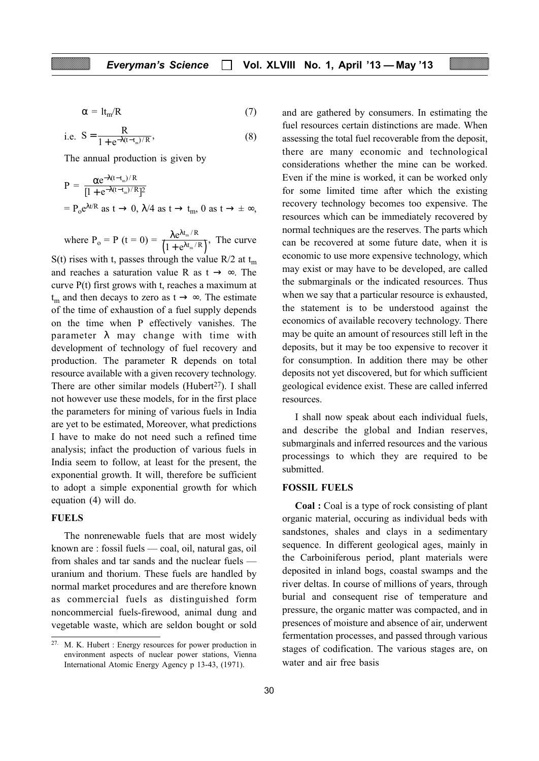$$
\alpha = l t_m / R \tag{7}
$$

i.e. 
$$
S = \frac{R}{1 + e^{-\lambda(t - t_m)/R}}
$$
, (8)

The annual production is given by

$$
P = \frac{\alpha e^{-\lambda(t - t_m)/R}}{[1 + e^{-\lambda(t - t_m)/R}]^2}
$$
  
=  $P_0 e^{\lambda t/R}$  as  $t \to 0$ ,  $\lambda/4$  as  $t \to t_m$ , 0 as  $t \to \pm \infty$ ,

where 
$$
P_o = P(t = 0) = \frac{\lambda e^{\lambda t_m/R}}{(1 + e^{\lambda t_m/R})}
$$
, The curve

S(t) rises with t, passes through the value  $R/2$  at  $t_m$ and reaches a saturation value R as  $t \rightarrow \infty$ . The curve P(t) first grows with t, reaches a maximum at  $t<sub>m</sub>$  and then decays to zero as  $t \rightarrow \infty$ . The estimate of the time of exhaustion of a fuel supply depends on the time when P effectively vanishes. The parameter  $\lambda$  may change with time with development of technology of fuel recovery and production. The parameter R depends on total resource available with a given recovery technology. There are other similar models (Hubert<sup>27</sup>). I shall not however use these models, for in the first place the parameters for mining of various fuels in India are yet to be estimated, Moreover, what predictions I have to make do not need such a refined time analysis; infact the production of various fuels in India seem to follow, at least for the present, the exponential growth. It will, therefore be sufficient to adopt a simple exponential growth for which equation (4) will do.

#### FUELS

The nonrenewable fuels that are most widely known are : fossil fuels — coal, oil, natural gas, oil from shales and tar sands and the nuclear fuels uranium and thorium. These fuels are handled by normal market procedures and are therefore known as commercial fuels as distinguished form noncommercial fuels-firewood, animal dung and vegetable waste, which are seldon bought or sold and are gathered by consumers. In estimating the fuel resources certain distinctions are made. When assessing the total fuel recoverable from the deposit, there are many economic and technological considerations whether the mine can be worked. Even if the mine is worked, it can be worked only for some limited time after which the existing recovery technology becomes too expensive. The resources which can be immediately recovered by normal techniques are the reserves. The parts which can be recovered at some future date, when it is economic to use more expensive technology, which may exist or may have to be developed, are called the submarginals or the indicated resources. Thus when we say that a particular resource is exhausted, the statement is to be understood against the economics of available recovery technology. There may be quite an amount of resources still left in the deposits, but it may be too expensive to recover it for consumption. In addition there may be other deposits not yet discovered, but for which sufficient geological evidence exist. These are called inferred resources.

I shall now speak about each individual fuels, and describe the global and Indian reserves, submarginals and inferred resources and the various processings to which they are required to be submitted.

#### FOSSIL FUELS

Coal : Coal is a type of rock consisting of plant organic material, occuring as individual beds with sandstones, shales and clays in a sedimentary sequence. In different geological ages, mainly in the Carboiniferous period, plant materials were deposited in inland bogs, coastal swamps and the river deltas. In course of millions of years, through burial and consequent rise of temperature and pressure, the organic matter was compacted, and in presences of moisture and absence of air, underwent fermentation processes, and passed through various stages of codification. The various stages are, on water and air free basis

<sup>27.</sup> M. K. Hubert : Energy resources for power production in environment aspects of nuclear power stations, Vienna International Atomic Energy Agency p 13-43, (1971).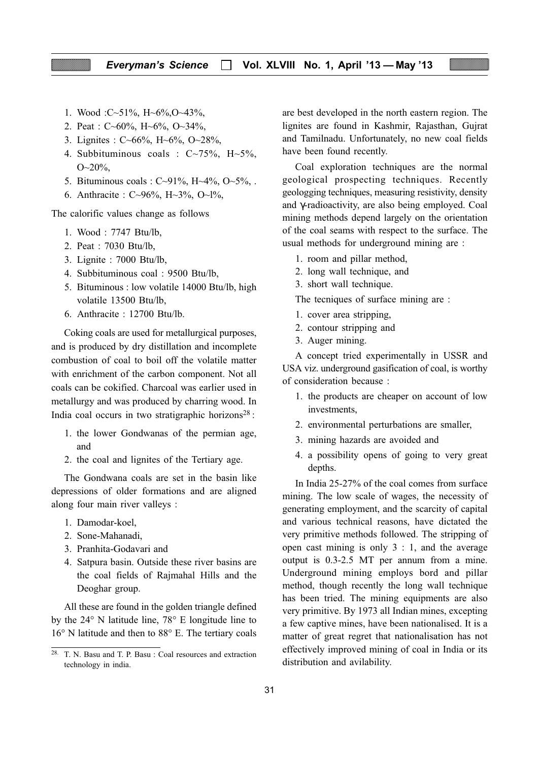- 1. Wood : $C \sim 51\%$ , H $\sim 6\%$ , O $\sim 43\%$ ,
- 2. Peat :  $C \sim 60\%$ ,  $H \sim 6\%$ ,  $O \sim 34\%$ ,
- 3. Lignites : C~66%, H~6%, O~28%,
- 4. Subbituminous coals :  $C \sim 75\%$ ,  $H \sim 5\%$ ,  $O~20\%$ .
- 5. Bituminous coals :  $C~91\%$ ,  $H~4\%$ ,  $O~5\%$ , .
- 6. Anthracite : C~96%, H~3%, O~l%,

The calorific values change as follows

- 1. Wood : 7747 Btu/lb,
- 2. Peat : 7030 Btu/lb,
- 3. Lignite : 7000 Btu/lb,
- 4. Subbituminous coal : 9500 Btu/lb,
- 5. Bituminous : low volatile 14000 Btu/lb, high volatile 13500 Btu/lb,
- 6. Anthracite : 12700 Btu/lb.

Coking coals are used for metallurgical purposes, and is produced by dry distillation and incomplete combustion of coal to boil off the volatile matter with enrichment of the carbon component. Not all coals can be cokified. Charcoal was earlier used in metallurgy and was produced by charring wood. In India coal occurs in two stratigraphic horizons $28$ :

- 1. the lower Gondwanas of the permian age, and
- 2. the coal and lignites of the Tertiary age.

The Gondwana coals are set in the basin like depressions of older formations and are aligned along four main river valleys :

- 1. Damodar-koel,
- 2. Sone-Mahanadi,
- 3. Pranhita-Godavari and
- 4. Satpura basin. Outside these river basins are the coal fields of Rajmahal Hills and the Deoghar group.

All these are found in the golden triangle defined by the 24° N latitude line, 78° E longitude line to 16° N latitude and then to 88° E. The tertiary coals are best developed in the north eastern region. The lignites are found in Kashmir, Rajasthan, Gujrat and Tamilnadu. Unfortunately, no new coal fields have been found recently.

Coal exploration techniques are the normal geological prospecting techniques. Recently geologging techniques, measuring resistivity, density and γ-radioactivity, are also being employed. Coal mining methods depend largely on the orientation of the coal seams with respect to the surface. The usual methods for underground mining are :

- 1. room and pillar method,
- 2. long wall technique, and
- 3. short wall technique.

The tecniques of surface mining are :

- 1. cover area stripping,
- 2. contour stripping and
- 3. Auger mining.

A concept tried experimentally in USSR and USA viz. underground gasification of coal, is worthy of consideration because :

- 1. the products are cheaper on account of low investments,
- 2. environmental perturbations are smaller,
- 3. mining hazards are avoided and
- 4. a possibility opens of going to very great depths.

In India 25-27% of the coal comes from surface mining. The low scale of wages, the necessity of generating employment, and the scarcity of capital and various technical reasons, have dictated the very primitive methods followed. The stripping of open cast mining is only 3 : 1, and the average output is 0.3-2.5 MT per annum from a mine. Underground mining employs bord and pillar method, though recently the long wall technique has been tried. The mining equipments are also very primitive. By 1973 all Indian mines, excepting a few captive mines, have been nationalised. It is a matter of great regret that nationalisation has not effectively improved mining of coal in India or its distribution and avilability.

<sup>28.</sup> T. N. Basu and T. P. Basu : Coal resources and extraction technology in india.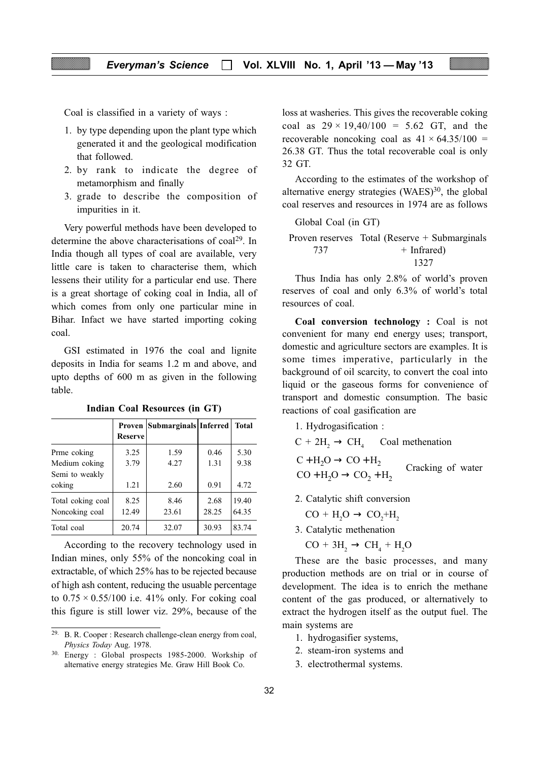Coal is classified in a variety of ways :

- 1. by type depending upon the plant type which generated it and the geological modification that followed.
- 2. by rank to indicate the degree of metamorphism and finally
- 3. grade to describe the composition of impurities in it.

Very powerful methods have been developed to determine the above characterisations of coal29. In India though all types of coal are available, very little care is taken to characterise them, which lessens their utility for a particular end use. There is a great shortage of coking coal in India, all of which comes from only one particular mine in Bihar. Infact we have started importing coking coal.

GSI estimated in 1976 the coal and lignite deposits in India for seams 1.2 m and above, and upto depths of 600 m as given in the following table.

|                                                | Proven<br>Reserve | Submarginals Inferred |               | <b>Total</b>   |
|------------------------------------------------|-------------------|-----------------------|---------------|----------------|
| Prme coking<br>Medium coking<br>Semi to weakly | 3.25<br>3.79      | 1.59<br>4.27          | 0.46<br>1.31  | 5.30<br>9.38   |
| coking                                         | 1.21              | 2.60                  | 0.91          | 4.72           |
| Total coking coal<br>Noncoking coal            | 8.25<br>12.49     | 8.46<br>23.61         | 2.68<br>28.25 | 19.40<br>64.35 |
| Total coal                                     | 20.74             | 32.07                 | 30.93         | 83.74          |

Indian Coal Resources (in GT)

According to the recovery technology used in Indian mines, only 55% of the noncoking coal in extractable, of which 25% has to be rejected because of high ash content, reducing the usuable percentage to  $0.75 \times 0.55/100$  i.e. 41% only. For coking coal this figure is still lower viz. 29%, because of the

loss at washeries. This gives the recoverable coking coal as  $29 \times 19,40/100 = 5.62$  GT, and the recoverable noncoking coal as  $41 \times 64.35/100 =$ 26.38 GT. Thus the total recoverable coal is only 32 GT.

According to the estimates of the workshop of alternative energy strategies  $(WAES)^{30}$ , the global coal reserves and resources in 1974 are as follows

Global Coal (in GT) Proven reserves Total (Reserve + Submarginals  $737$  + Infrared) 1327

Thus India has only 2.8% of world's proven reserves of coal and only 6.3% of world's total resources of coal.

Coal conversion technology : Coal is not convenient for many end energy uses; transport, domestic and agriculture sectors are examples. It is some times imperative, particularly in the background of oil scarcity, to convert the coal into liquid or the gaseous forms for convenience of transport and domestic consumption. The basic reactions of coal gasification are

1. Hydrogasification :

$$
C + 2H_2 \rightarrow CH_4
$$
Coal methenation  
\n
$$
C + H_2O \rightarrow CO + H_2
$$
  
\n
$$
CO + H_2O \rightarrow CO_2 + H_2
$$
Cracking of water

2. Catalytic shift conversion

$$
CO + H_2O \rightarrow CO_2 + H_2
$$

3. Catalytic methenation

 $CO + 3H_2 \rightarrow CH_4 + H_2O$ 

These are the basic processes, and many production methods are on trial or in course of development. The idea is to enrich the methane content of the gas produced, or alternatively to extract the hydrogen itself as the output fuel. The main systems are

- 1. hydrogasifier systems,
- 2. steam-iron systems and
- 3. electrothermal systems.

<sup>29.</sup> B. R. Cooper : Research challenge-clean energy from coal, Physics Today Aug. 1978.

<sup>30.</sup> Energy : Global prospects 1985-2000. Workship of alternative energy strategies Me. Graw Hill Book Co.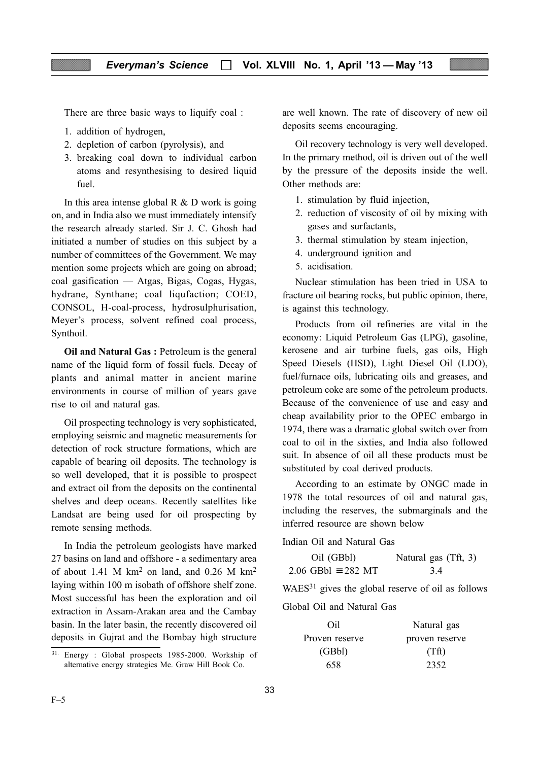There are three basic ways to liquify coal :

- 1. addition of hydrogen,
- 2. depletion of carbon (pyrolysis), and
- 3. breaking coal down to individual carbon atoms and resynthesising to desired liquid fuel.

In this area intense global  $R \& D$  work is going on, and in India also we must immediately intensify the research already started. Sir J. C. Ghosh had initiated a number of studies on this subject by a number of committees of the Government. We may mention some projects which are going on abroad; coal gasification — Atgas, Bigas, Cogas, Hygas, hydrane, Synthane; coal liqufaction; COED, CONSOL, H-coal-process, hydrosulphurisation, Meyer's process, solvent refined coal process, Synthoil.

Oil and Natural Gas : Petroleum is the general name of the liquid form of fossil fuels. Decay of plants and animal matter in ancient marine environments in course of million of years gave rise to oil and natural gas.

Oil prospecting technology is very sophisticated, employing seismic and magnetic measurements for detection of rock structure formations, which are capable of bearing oil deposits. The technology is so well developed, that it is possible to prospect and extract oil from the deposits on the continental shelves and deep oceans. Recently satellites like Landsat are being used for oil prospecting by remote sensing methods.

In India the petroleum geologists have marked 27 basins on land and offshore - a sedimentary area of about 1.41 M km<sup>2</sup> on land, and 0.26 M km<sup>2</sup> laying within 100 m isobath of offshore shelf zone. Most successful has been the exploration and oil extraction in Assam-Arakan area and the Cambay basin. In the later basin, the recently discovered oil deposits in Gujrat and the Bombay high structure are well known. The rate of discovery of new oil deposits seems encouraging.

Oil recovery technology is very well developed. In the primary method, oil is driven out of the well by the pressure of the deposits inside the well. Other methods are:

- 1. stimulation by fluid injection,
- 2. reduction of viscosity of oil by mixing with gases and surfactants,
- 3. thermal stimulation by steam injection,
- 4. underground ignition and
- 5. acidisation.

Nuclear stimulation has been tried in USA to fracture oil bearing rocks, but public opinion, there, is against this technology.

Products from oil refineries are vital in the economy: Liquid Petroleum Gas (LPG), gasoline, kerosene and air turbine fuels, gas oils, High Speed Diesels (HSD), Light Diesel Oil (LDO), fuel/furnace oils, lubricating oils and greases, and petroleum coke are some of the petroleum products. Because of the convenience of use and easy and cheap availability prior to the OPEC embargo in 1974, there was a dramatic global switch over from coal to oil in the sixties, and India also followed suit. In absence of oil all these products must be substituted by coal derived products.

According to an estimate by ONGC made in 1978 the total resources of oil and natural gas, including the reserves, the submarginals and the inferred resource are shown below

Indian Oil and Natural Gas

| Oil (GBbl)           | Natural gas (Tft, 3) |
|----------------------|----------------------|
| $2.06$ GBbl = 282 MT | 3.4                  |

WAES<sup>31</sup> gives the global reserve of oil as follows Global Oil and Natural Gas

Oil Natural gas

| Proven reserve | proven reserve |
|----------------|----------------|
| (GBbl)         | (Tft)          |
| 658            | 2352           |

<sup>31.</sup> Energy : Global prospects 1985-2000. Workship of alternative energy strategies Me. Graw Hill Book Co.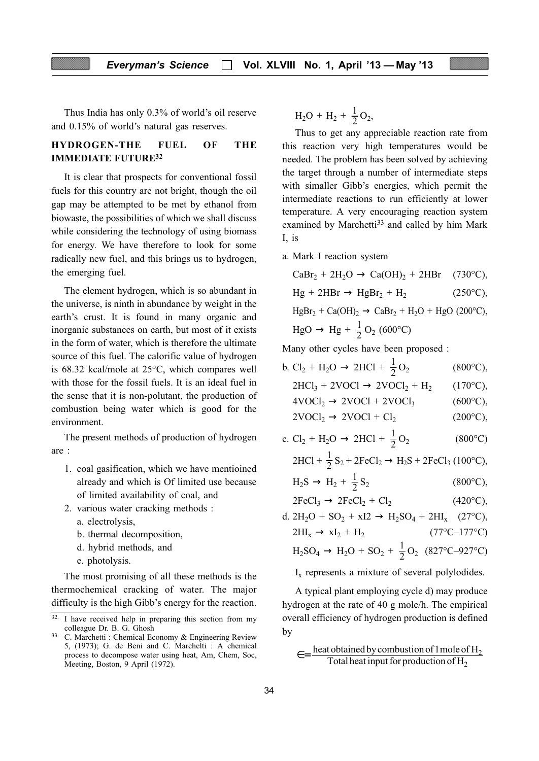Thus India has only 0.3% of world's oil reserve and 0.15% of world's natural gas reserves.

# HYDROGEN-THE FUEL OF THE IMMEDIATE FUTURE32

It is clear that prospects for conventional fossil fuels for this country are not bright, though the oil gap may be attempted to be met by ethanol from biowaste, the possibilities of which we shall discuss while considering the technology of using biomass for energy. We have therefore to look for some radically new fuel, and this brings us to hydrogen, the emerging fuel.

The element hydrogen, which is so abundant in the universe, is ninth in abundance by weight in the earth's crust. It is found in many organic and inorganic substances on earth, but most of it exists in the form of water, which is therefore the ultimate source of this fuel. The calorific value of hydrogen is 68.32 kcal/mole at 25°C, which compares well with those for the fossil fuels. It is an ideal fuel in the sense that it is non-polutant, the production of combustion being water which is good for the environment.

The present methods of production of hydrogen are :

- 1. coal gasification, which we have mentioined already and which is Of limited use because of limited availability of coal, and
- 2. various water cracking methods :
	- a. electrolysis,
	- b. thermal decomposition,
	- d. hybrid methods, and
	- e. photolysis.

The most promising of all these methods is the thermochemical cracking of water. The major difficulty is the high Gibb's energy for the reaction.

$$
H_2O + H_2 + \frac{1}{2}O_2,
$$

Thus to get any appreciable reaction rate from this reaction very high temperatures would be needed. The problem has been solved by achieving the target through a number of intermediate steps with simaller Gibb's energies, which permit the intermediate reactions to run efficiently at lower temperature. A very encouraging reaction system examined by Marchetti<sup>33</sup> and called by him Mark I, is

a. Mark I reaction system

$$
CaBr_2 + 2H_2O \rightarrow Ca(OH)_2 + 2HBr \quad (730^{\circ}C),
$$
  
Hg + 2HBr  $\rightarrow$  HgBr<sub>2</sub> + H<sub>2</sub> \quad (250^{\circ}C),  
HgBr<sub>2</sub> + Ca(OH)<sub>2</sub>  $\rightarrow$  CaBr<sub>2</sub> + H<sub>2</sub>O + HgO (200^{\circ}C),  
HgO  $\rightarrow$  Hg +  $\frac{1}{2}$ O<sub>2</sub> (600^{\circ}C)

Many other cycles have been proposed :

| b. Cl <sub>2</sub> + H <sub>2</sub> O $\rightarrow$ 2HCl + $\frac{1}{2}$ O <sub>2</sub> | $(800^{\circ}C),$ |
|-----------------------------------------------------------------------------------------|-------------------|
| $2HCl_3 + 2VOCl \rightarrow 2VOCl_2 + H_2$                                              | $(170^{\circ}C),$ |
| $4\text{VOC}l_2 \rightarrow 2\text{VOC}l + 2\text{VOC}l_3$                              | $(600^{\circ}C),$ |
| $2VOCl_2 \rightarrow 2VOCl + Cl_2$                                                      | $(200^{\circ}C),$ |
| c. $Cl_2 + H_2O \rightarrow 2HCl + \frac{1}{2}O_2$                                      | $(800^{\circ}C)$  |
| $2HCl + \frac{1}{2}S_2 + 2FeCl_2 \rightarrow H_2S + 2FeCl_3 (100^{\circ}C),$            |                   |
| $H_2S \to H_2 + \frac{1}{2}S_2$                                                         | $(800^{\circ}C),$ |
| $2FeCl3 \rightarrow 2FeCl2 + Cl2$                                                       | $(420^{\circ}C),$ |
| d. $2H_2O + SO_2 + xI2 \rightarrow H_2SO_4 + 2HI_x$ (27°C),                             |                   |
| $(77^{\circ}C - 177^{\circ}C)$<br>$2HI_x \rightarrow XI_2 + H_2$                        |                   |
| $H_2SO_4 \rightarrow H_2O + SO_2 + \frac{1}{2}O_2$ (827°C–927°C)                        |                   |

 $I_x$  represents a mixture of several polylodides.

A typical plant employing cycle d) may produce hydrogen at the rate of 40 g mole/h. The empirical overall efficiency of hydrogen production is defined by

$$
\epsilon = \frac{\text{heat obtained by combustion of 1 mole of H}_2}{\text{Total heat input for production of H}_2}
$$

<sup>32.</sup> I have received help in preparing this section from my colleague Dr. B. G. Ghosh

<sup>33.</sup> C. Marchetti : Chemical Economy & Engineering Review 5, (1973); G. de Beni and C. Marchelti : A chemical process to decompose water using heat, Am, Chem, Soc, Meeting, Boston, 9 April (1972).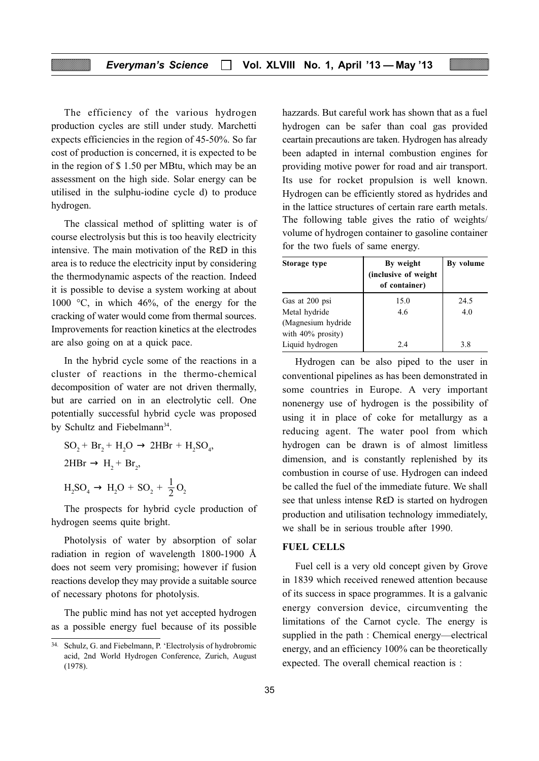The efficiency of the various hydrogen production cycles are still under study. Marchetti expects efficiencies in the region of 45-50%. So far cost of production is concerned, it is expected to be in the region of \$ 1.50 per MBtu, which may be an assessment on the high side. Solar energy can be utilised in the sulphu-iodine cycle d) to produce hydrogen.

The classical method of splitting water is of course electrolysis but this is too heavily electricity intensive. The main motivation of the RεD in this area is to reduce the electricity input by considering the thermodynamic aspects of the reaction. Indeed it is possible to devise a system working at about 1000 °C, in which 46%, of the energy for the cracking of water would come from thermal sources. Improvements for reaction kinetics at the electrodes are also going on at a quick pace.

In the hybrid cycle some of the reactions in a cluster of reactions in the thermo-chemical decomposition of water are not driven thermally, but are carried on in an electrolytic cell. One potentially successful hybrid cycle was proposed by Schultz and Fiebelmann<sup>34</sup>.

$$
SO_2 + Br_2 + H_2O \rightarrow 2HBr + H_2SO_4,
$$
  

$$
2HBr \rightarrow H_2 + Br_2,
$$
  

$$
H_2SO_4 \rightarrow H_2O + SO_2 + \frac{1}{2}O_2
$$

The prospects for hybrid cycle production of hydrogen seems quite bright.

Photolysis of water by absorption of solar radiation in region of wavelength 1800-1900 Å does not seem very promising; however if fusion reactions develop they may provide a suitable source of necessary photons for photolysis.

The public mind has not yet accepted hydrogen as a possible energy fuel because of its possible hazzards. But careful work has shown that as a fuel hydrogen can be safer than coal gas provided ceartain precautions are taken. Hydrogen has already been adapted in internal combustion engines for providing motive power for road and air transport. Its use for rocket propulsion is well known. Hydrogen can be efficiently stored as hydrides and in the lattice structures of certain rare earth metals. The following table gives the ratio of weights/ volume of hydrogen container to gasoline container for the two fuels of same energy.

| Storage type         | By weight<br>(inclusive of weight<br>of container) | By volume |  |
|----------------------|----------------------------------------------------|-----------|--|
| Gas at 200 psi       | 15.0                                               | 24.5      |  |
| Metal hydride        | 4.6                                                | 4.0       |  |
| (Magnesium hydride   |                                                    |           |  |
| with $40\%$ prosity) |                                                    |           |  |
| Liquid hydrogen      | 24                                                 | 3.8       |  |

Hydrogen can be also piped to the user in conventional pipelines as has been demonstrated in some countries in Europe. A very important nonenergy use of hydrogen is the possibility of using it in place of coke for metallurgy as a reducing agent. The water pool from which hydrogen can be drawn is of almost limitless dimension, and is constantly replenished by its combustion in course of use. Hydrogen can indeed be called the fuel of the immediate future. We shall see that unless intense RεD is started on hydrogen production and utilisation technology immediately, we shall be in serious trouble after 1990.

#### FUEL CELLS

Fuel cell is a very old concept given by Grove in 1839 which received renewed attention because of its success in space programmes. It is a galvanic energy conversion device, circumventing the limitations of the Carnot cycle. The energy is supplied in the path : Chemical energy—electrical energy, and an efficiency 100% can be theoretically expected. The overall chemical reaction is :

Schulz, G. and Fiebelmann, P. 'Electrolysis of hydrobromic acid, 2nd World Hydrogen Conference, Zurich, August (1978).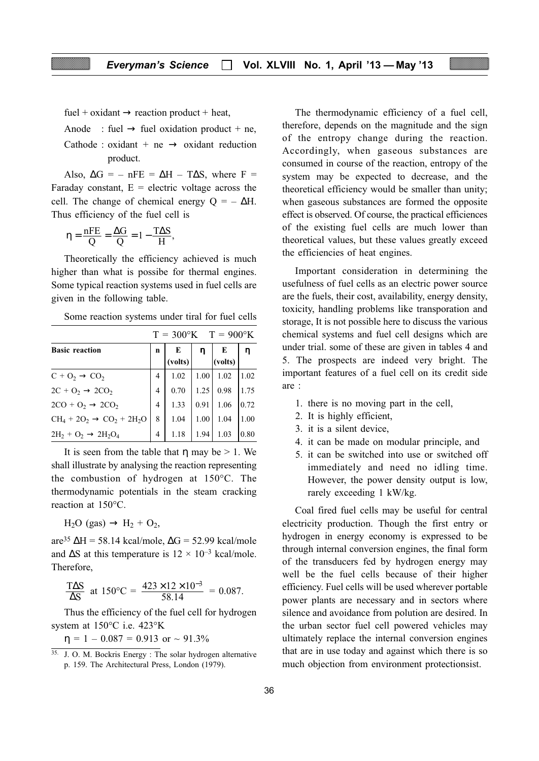fuel + oxidant  $\rightarrow$  reaction product + heat,

Anode : fuel  $\rightarrow$  fuel oxidation product + ne, Cathode : oxidant + ne  $\rightarrow$  oxidant reduction product.

Also,  $\Delta G = -nFE = \Delta H - T\Delta S$ , where F = Faraday constant,  $E =$  electric voltage across the cell. The change of chemical energy  $Q = -\Delta H$ . Thus efficiency of the fuel cell is

$$
\eta = \frac{nFE}{Q} = \frac{\Delta G}{Q} = 1 - \frac{T\Delta S}{H},
$$

Theoretically the efficiency achieved is much higher than what is possibe for thermal engines. Some typical reaction systems used in fuel cells are given in the following table.

Some reaction systems under tiral for fuel cells

|                                        |   | $T = 300$ °K $T = 900$ °K |      |         |      |
|----------------------------------------|---|---------------------------|------|---------|------|
| <b>Basic reaction</b>                  | n | E                         | η    | E       | η    |
|                                        |   | (volts)                   |      | (volts) |      |
| $C + O_2 \rightarrow CO_2$             | 4 | 1.02                      | 1.00 | 1.02    | 1.02 |
| $2C + O_2 \rightarrow 2CO_2$           | 4 | 0.70                      | 1.25 | 0.98    | 1.75 |
| $2CO + O2 \rightarrow 2CO2$            | 4 | 1.33                      | 0.91 | 1.06    | 0.72 |
| $CH_4 + 2O_2 \rightarrow CO_2 + 2H_2O$ | 8 | 1.04                      | 1.00 | 1.04    | 1.00 |
| $2H_2 + O_2 \rightarrow 2H_2O_4$       | 4 | 1.18                      | 1.94 | 1.03    | 0.80 |

It is seen from the table that η may be  $> 1$ . We shall illustrate by analysing the reaction representing the combustion of hydrogen at 150°C. The thermodynamic potentials in the steam cracking reaction at 150°C.

$$
H_2O \text{ (gas)} \rightarrow H_2 + O_2,
$$

are<sup>35</sup>  $\Delta H = 58.14$  kcal/mole,  $\Delta G = 52.99$  kcal/mole and  $\Delta S$  at this temperature is  $12 \times 10^{-3}$  kcal/mole. Therefore,

$$
\frac{\text{T}\Delta\text{S}}{\Delta\text{S}} \text{ at } 150^{\circ}\text{C} = \frac{423 \times 12 \times 10^{-3}}{58.14} = 0.087.
$$

Thus the efficiency of the fuel cell for hydrogen system at 150°C i.e. 423°K

 $\eta = 1 - 0.087 = 0.913$  or  $\sim 91.3\%$ 

The thermodynamic efficiency of a fuel cell, therefore, depends on the magnitude and the sign of the entropy change during the reaction. Accordingly, when gaseous substances are consumed in course of the reaction, entropy of the system may be expected to decrease, and the theoretical efficiency would be smaller than unity; when gaseous substances are formed the opposite effect is observed. Of course, the practical efficiences of the existing fuel cells are much lower than theoretical values, but these values greatly exceed the efficiencies of heat engines.

Important consideration in determining the usefulness of fuel cells as an electric power source are the fuels, their cost, availability, energy density, toxicity, handling problems like transporation and storage, It is not possible here to discuss the various chemical systems and fuel cell designs which are under trial. some of these are given in tables 4 and 5. The prospects are indeed very bright. The important features of a fuel cell on its credit side are :

- 1. there is no moving part in the cell,
- 2. It is highly efficient,
- 3. it is a silent device,
- 4. it can be made on modular principle, and
- 5. it can be switched into use or switched off immediately and need no idling time. However, the power density output is low, rarely exceeding 1 kW/kg.

Coal fired fuel cells may be useful for central electricity production. Though the first entry or hydrogen in energy economy is expressed to be through internal conversion engines, the final form of the transducers fed by hydrogen energy may well be the fuel cells because of their higher efficiency. Fuel cells will be used wherever portable power plants are necessary and in sectors where silence and avoidance from polution are desired. In the urban sector fuel cell powered vehicles may ultimately replace the internal conversion engines that are in use today and against which there is so much objection from environment protectionsist.

<sup>35.</sup> J. O. M. Bockris Energy : The solar hydrogen alternative p. 159. The Architectural Press, London (1979).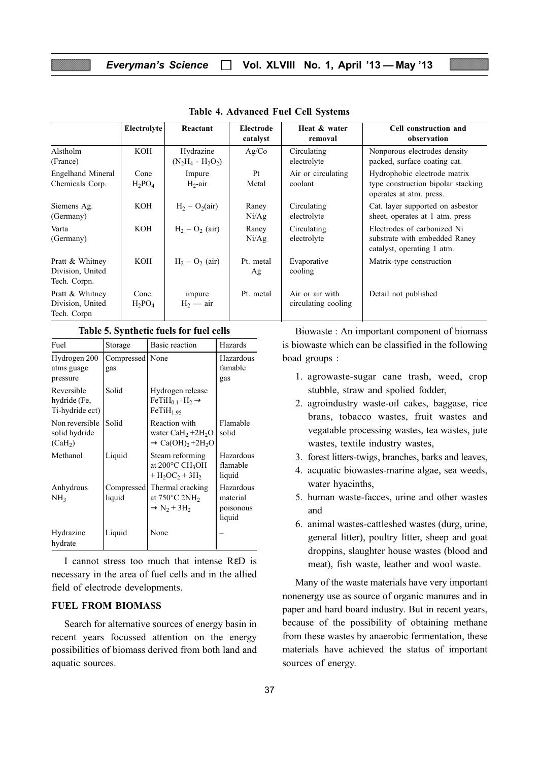|                                                     | <b>Electrolyte</b> | Reactant                         | Electrode<br>catalyst | Heat & water<br>removal                | Cell construction and<br>observation                                                          |
|-----------------------------------------------------|--------------------|----------------------------------|-----------------------|----------------------------------------|-----------------------------------------------------------------------------------------------|
| Alstholm<br>(France)                                | <b>KOH</b>         | Hydrazine<br>$(N_2H_4 - H_2O_2)$ | Ag/Co                 | Circulating<br>electrolyte             | Nonporous electrodes density<br>packed, surface coating cat.                                  |
| <b>Engelhand Mineral</b><br>Chemicals Corp.         | Cone<br>$H_2PO_4$  | Impure<br>$H_2$ -air             | Pt<br>Metal           | Air or circulating<br>coolant          | Hydrophobic electrode matrix<br>type construction bipolar stacking<br>operates at atm. press. |
| Siemens Ag.<br>(Germany)                            | KOH                | $H_2 - O_2(air)$                 | Raney<br>Ni/Ag        | Circulating<br>electrolyte             | Cat. layer supported on asbestor<br>sheet, operates at 1 atm. press                           |
| Varta<br>(Germany)                                  | <b>KOH</b>         | $H_2 - O_2$ (air)                | Raney<br>Ni/Ag        | Circulating<br>electrolyte             | Electrodes of carbonized Ni<br>substrate with embedded Raney<br>catalyst, operating 1 atm.    |
| Pratt & Whitney<br>Division, United<br>Tech. Corpn. | <b>KOH</b>         | $H_2 - O_2$ (air)                | Pt. metal<br>Ag       | Evaporative<br>cooling                 | Matrix-type construction                                                                      |
| Pratt & Whitney<br>Division, United<br>Tech. Corpn  | Cone.<br>$H_2PO_4$ | impure<br>$H_2$ — air            | Pt. metal             | Air or air with<br>circulating cooling | Detail not published                                                                          |

Table 4. Advanced Fuel Cell Systems

#### Table 5. Synthetic fuels for fuel cells

| Fuel                                                   | Storage              | <b>Basic reaction</b>                                                                                     | Hazards                                      |
|--------------------------------------------------------|----------------------|-----------------------------------------------------------------------------------------------------------|----------------------------------------------|
| Hydrogen 200<br>atms guage<br>pressure                 | Compressed<br>gas    | None                                                                                                      | Hazardous<br>famable<br>gas                  |
| Reversible<br>hydride (Fe,<br>Ti-hydride ect)          | Solid                | Hydrogen release<br>$FeTiH01+H2\rightarrow$<br>FeTiH <sub>1.95</sub>                                      |                                              |
| Non reversible<br>solid hydride<br>(CaH <sub>2</sub> ) | Solid                | Reaction with<br>water $CaH2 + 2H2O$<br>$\rightarrow$ Ca(OH) <sub>2</sub> +2H <sub>2</sub> O              | Flamable<br>solid                            |
| Methanol                                               | Liquid               | Steam reforming<br>at $200^{\circ}$ C CH <sub>3</sub> OH<br>$+ H2OC2 + 3H2$                               | Hazardous<br>flamable<br>liquid              |
| Anhydrous<br>NH <sub>3</sub>                           | Compressed<br>liquid | Thermal cracking<br>at $750^{\circ}$ C 2NH <sub>2</sub><br>$\rightarrow$ N <sub>2</sub> + 3H <sub>2</sub> | Hazardous<br>material<br>poisonous<br>liquid |
| Hydrazine<br>hydrate                                   | Liquid               | None                                                                                                      |                                              |

I cannot stress too much that intense RεD is necessary in the area of fuel cells and in the allied field of electrode developments.

#### FUEL FROM BIOMASS

Search for alternative sources of energy basin in recent years focussed attention on the energy possibilities of biomass derived from both land and aquatic sources.

Biowaste : An important component of biomass is biowaste which can be classified in the following boad groups :

- 1. agrowaste-sugar cane trash, weed, crop stubble, straw and spolied fodder,
- 2. agroindustry waste-oil cakes, baggase, rice brans, tobacco wastes, fruit wastes and vegatable processing wastes, tea wastes, jute wastes, textile industry wastes,
- 3. forest litters-twigs, branches, barks and leaves,
- 4. acquatic biowastes-marine algae, sea weeds, water hyacinths,
- 5. human waste-facces, urine and other wastes and
- 6. animal wastes-cattleshed wastes (durg, urine, general litter), poultry litter, sheep and goat droppins, slaughter house wastes (blood and meat), fish waste, leather and wool waste.

Many of the waste materials have very important nonenergy use as source of organic manures and in paper and hard board industry. But in recent years, because of the possibility of obtaining methane from these wastes by anaerobic fermentation, these materials have achieved the status of important sources of energy.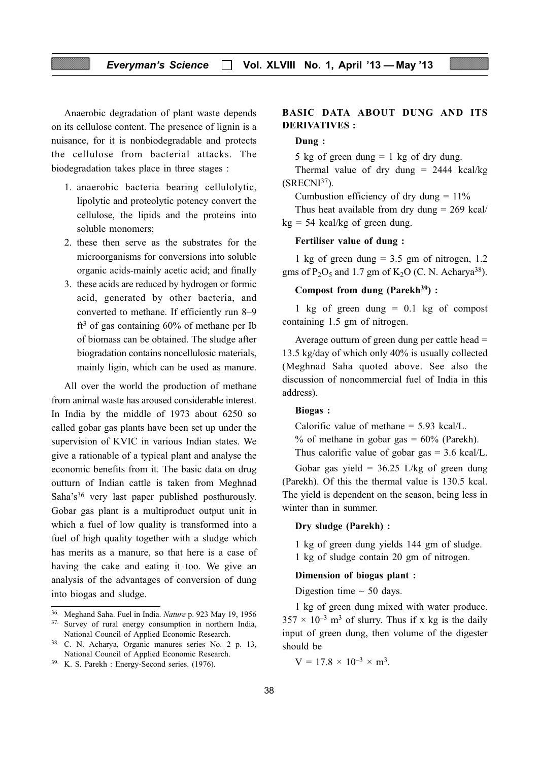## Everyman's Science  $\Box$  Vol. XLVIII No. 1, April '13 - May '13

Anaerobic degradation of plant waste depends on its cellulose content. The presence of lignin is a nuisance, for it is nonbiodegradable and protects the cellulose from bacterial attacks. The biodegradation takes place in three stages :

- 1. anaerobic bacteria bearing cellulolytic, lipolytic and proteolytic potency convert the cellulose, the lipids and the proteins into soluble monomers;
- 2. these then serve as the substrates for the microorganisms for conversions into soluble organic acids-mainly acetic acid; and finally
- 3. these acids are reduced by hydrogen or formic acid, generated by other bacteria, and converted to methane. If efficiently run 8–9  $ft<sup>3</sup>$  of gas containing 60% of methane per Ib of biomass can be obtained. The sludge after biogradation contains noncellulosic materials, mainly ligin, which can be used as manure.

All over the world the production of methane from animal waste has aroused considerable interest. In India by the middle of 1973 about 6250 so called gobar gas plants have been set up under the supervision of KVIC in various Indian states. We give a rationable of a typical plant and analyse the economic benefits from it. The basic data on drug outturn of Indian cattle is taken from Meghnad Saha's<sup>36</sup> very last paper published posthurously. Gobar gas plant is a multiproduct output unit in which a fuel of low quality is transformed into a fuel of high quality together with a sludge which has merits as a manure, so that here is a case of having the cake and eating it too. We give an analysis of the advantages of conversion of dung into biogas and sludge.

## BASIC DATA ABOUT DUNG AND ITS DERIVATIVES :

### Dung :

5 kg of green dung  $= 1$  kg of dry dung.

Thermal value of dry dung  $= 2444$  kcal/kg  $(SRECNI<sup>37</sup>)$ .

Cumbustion efficiency of dry dung  $= 11\%$ 

Thus heat available from dry dung  $= 269$  kcal/  $kg = 54$  kcal/kg of green dung.

#### Fertiliser value of dung :

1 kg of green dung  $= 3.5$  gm of nitrogen, 1.2 gms of  $P_2O_5$  and 1.7 gm of K<sub>2</sub>O (C. N. Acharya<sup>38</sup>).

## Compost from dung  $(Parekh^{39})$ :

1 kg of green dung = 0.1 kg of compost containing 1.5 gm of nitrogen.

Average outturn of green dung per cattle head = 13.5 kg/day of which only 40% is usually collected (Meghnad Saha quoted above. See also the discussion of noncommercial fuel of India in this address).

#### Biogas :

Calorific value of methane  $= 5.93$  kcal/L.

% of methane in gobar gas  $= 60\%$  (Parekh).

Thus calorific value of gobar gas  $= 3.6$  kcal/L.

Gobar gas yield =  $36.25$  L/kg of green dung (Parekh). Of this the thermal value is 130.5 kcal. The yield is dependent on the season, being less in winter than in summer.

### Dry sludge (Parekh) :

1 kg of green dung yields 144 gm of sludge. 1 kg of sludge contain 20 gm of nitrogen.

### Dimension of biogas plant :

Digestion time  $\sim$  50 days.

1 kg of green dung mixed with water produce.  $357 \times 10^{-3}$  m<sup>3</sup> of slurry. Thus if x kg is the daily input of green dung, then volume of the digester should be

 $V = 17.8 \times 10^{-3} \times m^3$ .

<sup>36.</sup> Meghand Saha. Fuel in India. Nature p. 923 May 19, 1956

<sup>37.</sup> Survey of rural energy consumption in northern India, National Council of Applied Economic Research.

<sup>38.</sup> C. N. Acharya, Organic manures series No. 2 p. 13, National Council of Applied Economic Research.

<sup>39.</sup> K. S. Parekh : Energy-Second series. (1976).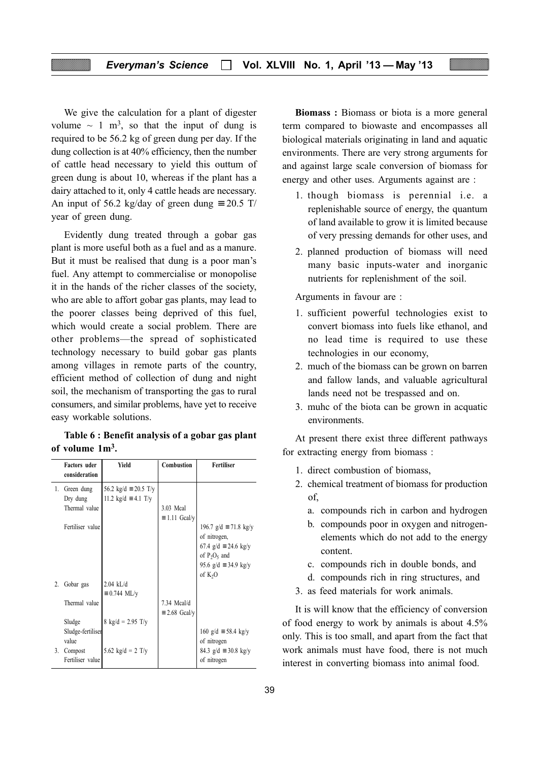### Everyman's Science  $\Box$  Vol. XLVIII No. 1, April '13 - May '13

We give the calculation for a plant of digester volume  $\sim$  1 m<sup>3</sup>, so that the input of dung is required to be 56.2 kg of green dung per day. If the dung collection is at 40% efficiency, then the number of cattle head necessary to yield this outtum of green dung is about 10, whereas if the plant has a dairy attached to it, only 4 cattle heads are necessary. An input of 56.2 kg/day of green dung  $\equiv 20.5$  T/ year of green dung.

Evidently dung treated through a gobar gas plant is more useful both as a fuel and as a manure. But it must be realised that dung is a poor man's fuel. Any attempt to commercialise or monopolise it in the hands of the richer classes of the society, who are able to affort gobar gas plants, may lead to the poorer classes being deprived of this fuel, which would create a social problem. There are other problems—the spread of sophisticated technology necessary to build gobar gas plants among villages in remote parts of the country, efficient method of collection of dung and night soil, the mechanism of transporting the gas to rural consumers, and similar problems, have yet to receive easy workable solutions.

### Table 6 : Benefit analysis of a gobar gas plant of volume 1m3.

|    | <b>Factors</b> uder<br>consideration | <b>Yield</b>         | Combustion           | <b>Fertiliser</b>                    |
|----|--------------------------------------|----------------------|----------------------|--------------------------------------|
|    |                                      |                      |                      |                                      |
| 1. | Green dung                           | 56.2 kg/d = 20.5 T/y |                      |                                      |
|    | Dry dung                             | 11.2 kg/d = 4.1 T/y  |                      |                                      |
|    | Thermal value                        |                      | 3.03 Mcal            |                                      |
|    |                                      |                      | $\equiv$ 1.11 Gcal/y |                                      |
|    | Fertiliser value                     |                      |                      | 196.7 $g/d \equiv 71.8 \text{ kg/y}$ |
|    |                                      |                      |                      | of nitrogen,                         |
|    |                                      |                      |                      | 67.4 $g/d \equiv 24.6 \text{ kg/y}$  |
|    |                                      |                      |                      | of $P_2O_5$ and                      |
|    |                                      |                      |                      | 95.6 $g/d \equiv 34.9 \text{ kg/y}$  |
|    |                                      |                      |                      | of $K_2O$                            |
| 2. | Gobar gas                            | $2.04$ kL/d          |                      |                                      |
|    |                                      | $= 0.744$ ML/y       |                      |                                      |
|    | Thermal value                        |                      | 7.34 Mcal/d          |                                      |
|    |                                      |                      | $\equiv$ 2.68 Gcal/y |                                      |
|    | Sludge                               | 8 kg/d = 2.95 T/y    |                      |                                      |
|    | Sludge-fertiliser                    |                      |                      | 160 $g/d \equiv 58.4 \text{ kg/y}$   |
|    | value                                |                      |                      | of nitrogen                          |
| 3. | Compost                              | 5.62 $kg/d = 2$ T/y  |                      | 84.3 $g/d \equiv 30.8 \text{ kg/y}$  |
|    | Fertiliser value                     |                      |                      | of nitrogen                          |
|    |                                      |                      |                      |                                      |

Biomass : Biomass or biota is a more general term compared to biowaste and encompasses all biological materials originating in land and aquatic environments. There are very strong arguments for and against large scale conversion of biomass for energy and other uses. Arguments against are :

- 1. though biomass is perennial i.e. a replenishable source of energy, the quantum of land available to grow it is limited because of very pressing demands for other uses, and
- 2. planned production of biomass will need many basic inputs-water and inorganic nutrients for replenishment of the soil.

Arguments in favour are :

- 1. sufficient powerful technologies exist to convert biomass into fuels like ethanol, and no lead time is required to use these technologies in our economy,
- 2. much of the biomass can be grown on barren and fallow lands, and valuable agricultural lands need not be trespassed and on.
- 3. muhc of the biota can be grown in acquatic environments.

At present there exist three different pathways for extracting energy from biomass :

- 1. direct combustion of biomass,
- 2. chemical treatment of biomass for production of,
	- a. compounds rich in carbon and hydrogen
	- b. compounds poor in oxygen and nitrogenelements which do not add to the energy content.
	- c. compounds rich in double bonds, and
	- d. compounds rich in ring structures, and
- 3. as feed materials for work animals.

It is will know that the efficiency of conversion of food energy to work by animals is about 4.5% only. This is too small, and apart from the fact that work animals must have food, there is not much interest in converting biomass into animal food.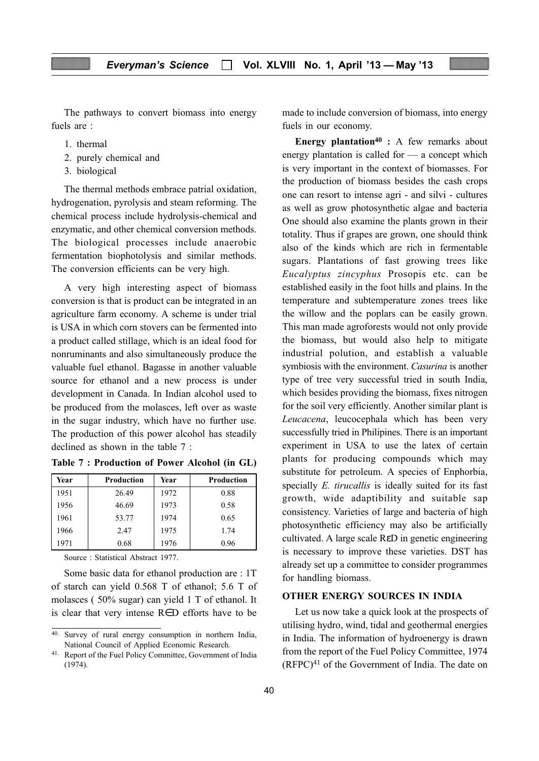The pathways to convert biomass into energy fuels are :

- 1. thermal
- 2. purely chemical and
- 3. biological

The thermal methods embrace patrial oxidation, hydrogenation, pyrolysis and steam reforming. The chemical process include hydrolysis-chemical and enzymatic, and other chemical conversion methods. The biological processes include anaerobic fermentation biophotolysis and similar methods. The conversion efficients can be very high.

A very high interesting aspect of biomass conversion is that is product can be integrated in an agriculture farm economy. A scheme is under trial is USA in which corn stovers can be fermented into a product called stillage, which is an ideal food for nonruminants and also simultaneously produce the valuable fuel ethanol. Bagasse in another valuable source for ethanol and a new process is under development in Canada. In Indian alcohol used to be produced from the molasces, left over as waste in the sugar industry, which have no further use. The production of this power alcohol has steadily declined as shown in the table 7 :

|  |  |  | Table 7 : Production of Power Alcohol (in GL) |  |  |  |  |  |  |
|--|--|--|-----------------------------------------------|--|--|--|--|--|--|
|--|--|--|-----------------------------------------------|--|--|--|--|--|--|

| Year | <b>Production</b> | Year | <b>Production</b> |
|------|-------------------|------|-------------------|
| 1951 | 26.49             | 1972 | 0.88              |
| 1956 | 46.69             | 1973 | 0.58              |
| 1961 | 53.77             | 1974 | 0.65              |
| 1966 | 2.47              | 1975 | 1.74              |
| 1971 | 0.68              | 1976 | 0.96              |

Source : Statistical Abstract 1977.

Some basic data for ethanol production are : 1T of starch can yield 0.568 T of ethanol; 5.6 T of molasces ( 50% sugar) can yield 1 T of ethanol. It is clear that very intense R∈D efforts have to be

made to include conversion of biomass, into energy fuels in our economy.

Energy plantation<sup>40</sup>: A few remarks about energy plantation is called for — a concept which is very important in the context of biomasses. For the production of biomass besides the cash crops one can resort to intense agri - and silvi - cultures as well as grow photosynthetic algae and bacteria One should also examine the plants grown in their totality. Thus if grapes are grown, one should think also of the kinds which are rich in fermentable sugars. Plantations of fast growing trees like Eucalyptus zincyphus Prosopis etc. can be established easily in the foot hills and plains. In the temperature and subtemperature zones trees like the willow and the poplars can be easily grown. This man made agroforests would not only provide the biomass, but would also help to mitigate industrial polution, and establish a valuable symbiosis with the environment. Casurina is another type of tree very successful tried in south India, which besides providing the biomass, fixes nitrogen for the soil very efficiently. Another similar plant is Leucacena, leucocephala which has been very successfully tried in Philipines. There is an important experiment in USA to use the latex of certain plants for producing compounds which may substitute for petroleum. A species of Enphorbia, specially E. tirucallis is ideally suited for its fast growth, wide adaptibility and suitable sap consistency. Varieties of large and bacteria of high photosynthetic efficiency may also be artificially cultivated. A large scale RεD in genetic engineering is necessary to improve these varieties. DST has already set up a committee to consider programmes for handling biomass.

#### OTHER ENERGY SOURCES IN INDIA

Let us now take a quick look at the prospects of utilising hydro, wind, tidal and geothermal energies in India. The information of hydroenergy is drawn from the report of the Fuel Policy Committee, 1974  $(RFPC)^{41}$  of the Government of India. The date on

<sup>40.</sup> Survey of rural energy consumption in northern India, National Council of Applied Economic Research.

<sup>41.</sup> Report of the Fuel Policy Committee, Government of India (1974).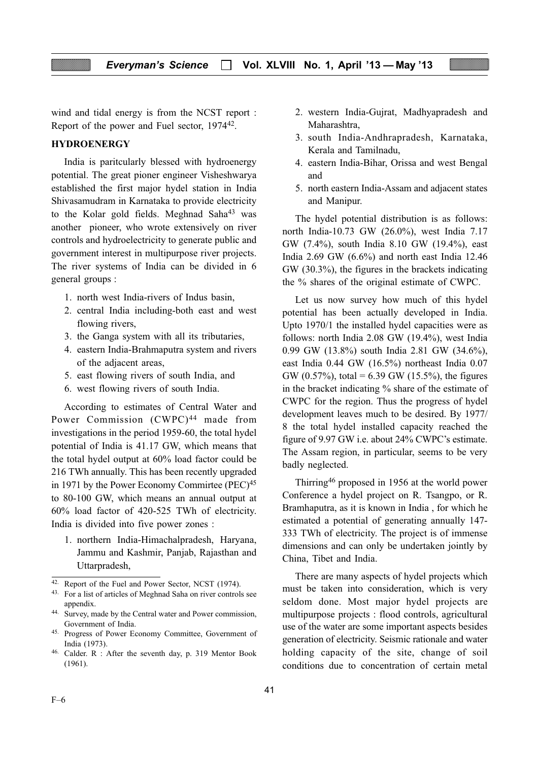wind and tidal energy is from the NCST report : Report of the power and Fuel sector, 197442.

### **HYDROENERGY**

India is paritcularly blessed with hydroenergy potential. The great pioner engineer Visheshwarya established the first major hydel station in India Shivasamudram in Karnataka to provide electricity to the Kolar gold fields. Meghnad Saha<sup>43</sup> was another pioneer, who wrote extensively on river controls and hydroelectricity to generate public and government interest in multipurpose river projects. The river systems of India can be divided in 6 general groups :

- 1. north west India-rivers of Indus basin,
- 2. central India including-both east and west flowing rivers,
- 3. the Ganga system with all its tributaries,
- 4. eastern India-Brahmaputra system and rivers of the adjacent areas,
- 5. east flowing rivers of south India, and
- 6. west flowing rivers of south India.

According to estimates of Central Water and Power Commission (CWPC)<sup>44</sup> made from investigations in the period 1959-60, the total hydel potential of India is 41.17 GW, which means that the total hydel output at 60% load factor could be 216 TWh annually. This has been recently upgraded in 1971 by the Power Economy Commirtee (PEC)45 to 80-100 GW, which means an annual output at 60% load factor of 420-525 TWh of electricity. India is divided into five power zones :

1. northern India-Himachalpradesh, Haryana, Jammu and Kashmir, Panjab, Rajasthan and Uttarpradesh,

- 2. western India-Gujrat, Madhyapradesh and Maharashtra,
- 3. south India-Andhrapradesh, Karnataka, Kerala and Tamilnadu,
- 4. eastern India-Bihar, Orissa and west Bengal and
- 5. north eastern India-Assam and adjacent states and Manipur.

The hydel potential distribution is as follows: north India-10.73 GW (26.0%), west India 7.17 GW (7.4%), south India 8.10 GW (19.4%), east India 2.69 GW (6.6%) and north east India 12.46 GW (30.3%), the figures in the brackets indicating the % shares of the original estimate of CWPC.

Let us now survey how much of this hydel potential has been actually developed in India. Upto 1970/1 the installed hydel capacities were as follows: north India 2.08 GW (19.4%), west India 0.99 GW (13.8%) south India 2.81 GW (34.6%), east India 0.44 GW (16.5%) northeast India 0.07 GW (0.57%), total = 6.39 GW (15.5%), the figures in the bracket indicating % share of the estimate of CWPC for the region. Thus the progress of hydel development leaves much to be desired. By 1977/ 8 the total hydel installed capacity reached the figure of 9.97 GW i.e. about 24% CWPC's estimate. The Assam region, in particular, seems to be very badly neglected.

Thirring46 proposed in 1956 at the world power Conference a hydel project on R. Tsangpo, or R. Bramhaputra, as it is known in India , for which he estimated a potential of generating annually 147- 333 TWh of electricity. The project is of immense dimensions and can only be undertaken jointly by China, Tibet and India.

There are many aspects of hydel projects which must be taken into consideration, which is very seldom done. Most major hydel projects are multipurpose projects : flood controls, agricultural use of the water are some important aspects besides generation of electricity. Seismic rationale and water holding capacity of the site, change of soil conditions due to concentration of certain metal

<sup>42.</sup> Report of the Fuel and Power Sector, NCST (1974).

<sup>43.</sup> For a list of articles of Meghnad Saha on river controls see appendix.

<sup>44.</sup> Survey, made by the Central water and Power commission, Government of India.

<sup>45.</sup> Progress of Power Economy Committee, Government of India (1973).

<sup>46.</sup> Calder. R : After the seventh day, p. 319 Mentor Book (1961).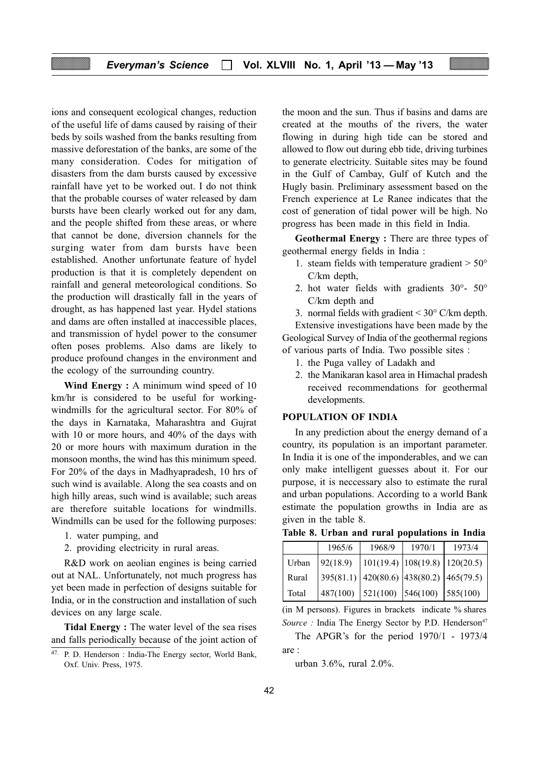ions and consequent ecological changes, reduction of the useful life of dams caused by raising of their beds by soils washed from the banks resulting from massive deforestation of the banks, are some of the many consideration. Codes for mitigation of disasters from the dam bursts caused by excessive rainfall have yet to be worked out. I do not think that the probable courses of water released by dam bursts have been clearly worked out for any dam, and the people shifted from these areas, or where that cannot be done, diversion channels for the surging water from dam bursts have been established. Another unfortunate feature of hydel production is that it is completely dependent on rainfall and general meteorological conditions. So the production will drastically fall in the years of drought, as has happened last year. Hydel stations and dams are often installed at inaccessible places, and transmission of hydel power to the consumer often poses problems. Also dams are likely to produce profound changes in the environment and the ecology of the surrounding country.

Wind Energy : A minimum wind speed of 10 km/hr is considered to be useful for workingwindmills for the agricultural sector. For 80% of the days in Karnataka, Maharashtra and Gujrat with 10 or more hours, and 40% of the days with 20 or more hours with maximum duration in the monsoon months, the wind has this minimum speed. For 20% of the days in Madhyapradesh, 10 hrs of such wind is available. Along the sea coasts and on high hilly areas, such wind is available; such areas are therefore suitable locations for windmills. Windmills can be used for the following purposes:

- 1. water pumping, and
- 2. providing electricity in rural areas.

R&D work on aeolian engines is being carried out at NAL. Unfortunately, not much progress has yet been made in perfection of designs suitable for India, or in the construction and installation of such devices on any large scale.

Tidal Energy : The water level of the sea rises and falls periodically because of the joint action of the moon and the sun. Thus if basins and dams are created at the mouths of the rivers, the water flowing in during high tide can be stored and allowed to flow out during ebb tide, driving turbines to generate electricity. Suitable sites may be found in the Gulf of Cambay, Gulf of Kutch and the Hugly basin. Preliminary assessment based on the French experience at Le Ranee indicates that the cost of generation of tidal power will be high. No progress has been made in this field in India.

Geothermal Energy : There are three types of geothermal energy fields in India :

- 1. steam fields with temperature gradient  $> 50^\circ$ C/km depth,
- 2. hot water fields with gradients 30°- 50° C/km depth and
- 3. normal fields with gradient < 30° C/km depth.

Extensive investigations have been made by the Geological Survey of India of the geothermal regions of various parts of India. Two possible sites :

- 1. the Puga valley of Ladakh and
- 2. the Manikaran kasol area in Himachal pradesh received recommendations for geothermal developments.

### POPULATION OF INDIA

In any prediction about the energy demand of a country, its population is an important parameter. In India it is one of the imponderables, and we can only make intelligent guesses about it. For our purpose, it is neccessary also to estimate the rural and urban populations. According to a world Bank estimate the population growths in India are as given in the table 8.

Table 8. Urban and rural populations in India

|       | 1965/6 | 1968/9                                                                                                        | 1970/1 | 1973/4 |
|-------|--------|---------------------------------------------------------------------------------------------------------------|--------|--------|
| Urban |        | $\vert 92(18.9) \vert 101(19.4) \vert 108(19.8) \vert 120(20.5)$                                              |        |        |
| Rural |        | $ 395(81.1) $ 420(80.6) 438(80.2) 465(79.5)                                                                   |        |        |
| Total |        | $\left  \right.487(100) \left  \right.521(100) \left. \right  \left. 546(100) \left. \right  \right.585(100)$ |        |        |

(in M persons). Figures in brackets indicate % shares Source : India The Energy Sector by P.D. Henderson<sup>47</sup>

The APGR's for the period 1970/1 - 1973/4 are :

urban 3.6%, rural 2.0%.

<sup>47.</sup> P. D. Henderson : India-The Energy sector, World Bank, Oxf. Univ. Press, 1975.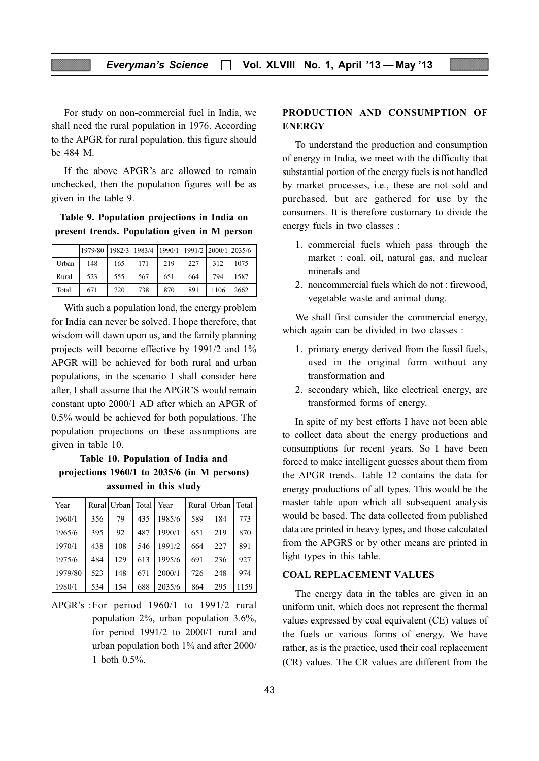For study on non-commercial fuel in India, we shall need the rural population in 1976. According to the APGR for rural population, this figure should be 484 M.

If the above APGR's are allowed to remain unchecked, then the population figures will be as given in the table 9.

## Table 9. Population projections in India on present trends. Population given in M person

|       | 1979/80   1982/3   1983/4   1990/1   1991/2   2000/1   2035/6 |     |     |     |     |      |      |
|-------|---------------------------------------------------------------|-----|-----|-----|-----|------|------|
| Urban | 148                                                           | 165 | 171 | 219 | 227 | 312  | 1075 |
| Rural | 523                                                           | 555 | 567 | 651 | 664 | 794  | 1587 |
| Total | 671                                                           | 720 | 738 | 870 | 891 | 1106 | 2662 |

With such a population load, the energy problem for India can never be solved. I hope therefore, that wisdom will dawn upon us, and the family planning projects will become effective by 1991/2 and 1% APGR will be achieved for both rural and urban populations, in the scenario I shall consider here after, I shall assume that the APGR'S would remain constant upto 2000/1 AD after which an APGR of 0.5% would be achieved for both populations. The population projections on these assumptions are given in table 10.

# Table 10. Population of India and projections 1960/1 to 2035/6 (in M persons) assumed in this study

| Year    |     | Rural Urban   Total |     | Year   |     | Rural Urban | Total |
|---------|-----|---------------------|-----|--------|-----|-------------|-------|
| 1960/1  | 356 | 79                  | 435 | 1985/6 | 589 | 184         | 773   |
| 1965/6  | 395 | 92                  | 487 | 1990/1 | 651 | 219         | 870   |
| 1970/1  | 438 | 108                 | 546 | 1991/2 | 664 | 227         | 891   |
| 1975/6  | 484 | 129                 | 613 | 1995/6 | 691 | 236         | 927   |
| 1979/80 | 523 | 148                 | 671 | 2000/1 | 726 | 248         | 974   |
| 1980/1  | 534 | 154                 | 688 | 2035/6 | 864 | 295         | 1159  |

APGR's : For period 1960/1 to 1991/2 rural population 2%, urban population 3.6%, for period 1991/2 to 2000/1 rural and urban population both 1% and after 2000/ 1 both 0.5%.

## PRODUCTION AND CONSUMPTION OF **ENERGY**

To understand the production and consumption of energy in India, we meet with the difficulty that substantial portion of the energy fuels is not handled by market processes, i.e., these are not sold and purchased, but are gathered for use by the consumers. It is therefore customary to divide the energy fuels in two classes :

- 1. commercial fuels which pass through the market : coal, oil, natural gas, and nuclear minerals and
- 2. noncommercial fuels which do not : firewood, vegetable waste and animal dung.

We shall first consider the commercial energy, which again can be divided in two classes :

- 1. primary energy derived from the fossil fuels, used in the original form without any transformation and
- 2. secondary which, like electrical energy, are transformed forms of energy.

In spite of my best efforts I have not been able to collect data about the energy productions and consumptions for recent years. So I have been forced to make intelligent guesses about them from the APGR trends. Table 12 contains the data for energy productions of all types. This would be the master table upon which all subsequent analysis would be based. The data collected from published data are printed in heavy types, and those calculated from the APGRS or by other means are printed in light types in this table.

### COAL REPLACEMENT VALUES

The energy data in the tables are given in an uniform unit, which does not represent the thermal values expressed by coal equivalent (CE) values of the fuels or various forms of energy. We have rather, as is the practice, used their coal replacement (CR) values. The CR values are different from the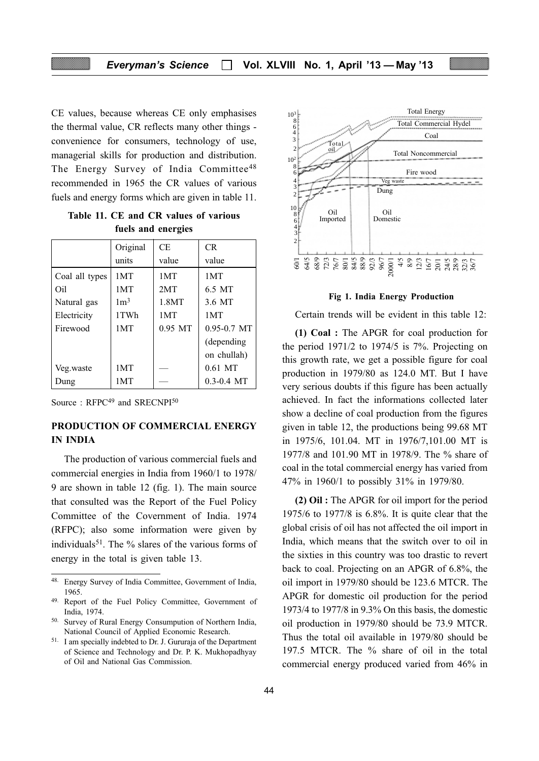CE values, because whereas CE only emphasises the thermal value, CR reflects many other things convenience for consumers, technology of use, managerial skills for production and distribution. The Energy Survey of India Committee<sup>48</sup> recommended in 1965 the CR values of various fuels and energy forms which are given in table 11.

Table 11. CE and CR values of various fuels and energies

|                | Original       | <b>CE</b> | CR.             |
|----------------|----------------|-----------|-----------------|
|                | units          | value     | value           |
| Coal all types | 1MT            | 1MT       | 1MT             |
| Oil            | 1MT            | 2MT       | 6.5 MT          |
| Natural gas    | $1 \text{m}^3$ | 1.8MT     | 3.6 MT          |
| Electricity    | 1TWh           | 1MT       | 1MT             |
| Firewood       | 1MT            | $0.95$ MT | $0.95 - 0.7$ MT |
|                |                |           | (depending)     |
|                |                |           | on chullah)     |
| Veg.waste      | 1MT            |           | $0.61$ MT       |
| Dung           | 1MT            |           | $0.3 - 0.4$ MT  |

Source : RFPC<sup>49</sup> and SRECNPI<sup>50</sup>

## PRODUCTION OF COMMERCIAL ENERGY IN INDIA

The production of various commercial fuels and commercial energies in India from 1960/1 to 1978/ 9 are shown in table 12 (fig. 1). The main source that consulted was the Report of the Fuel Policy Committee of the Covernment of India. 1974 (RFPC); also some information were given by individuals<sup>51</sup>. The  $\%$  slares of the various forms of energy in the total is given table 13.



Fig 1. India Energy Production

Certain trends will be evident in this table 12:

(1) Coal : The APGR for coal production for the period 1971/2 to 1974/5 is 7%. Projecting on this growth rate, we get a possible figure for coal production in 1979/80 as 124.0 MT. But I have very serious doubts if this figure has been actually achieved. In fact the informations collected later show a decline of coal production from the figures given in table 12, the productions being 99.68 MT in 1975/6, 101.04. MT in 1976/7,101.00 MT is 1977/8 and 101.90 MT in 1978/9. The % share of coal in the total commercial energy has varied from 47% in 1960/1 to possibly 31% in 1979/80.

(2) Oil : The APGR for oil import for the period 1975/6 to 1977/8 is 6.8%. It is quite clear that the global crisis of oil has not affected the oil import in India, which means that the switch over to oil in the sixties in this country was too drastic to revert back to coal. Projecting on an APGR of 6.8%, the oil import in 1979/80 should be 123.6 MTCR. The APGR for domestic oil production for the period 1973/4 to 1977/8 in 9.3% On this basis, the domestic oil production in 1979/80 should be 73.9 MTCR. Thus the total oil available in 1979/80 should be 197.5 MTCR. The % share of oil in the total commercial energy produced varied from 46% in

<sup>48.</sup> Energy Survey of India Committee, Government of India, 1965.

<sup>49.</sup> Report of the Fuel Policy Committee, Government of India, 1974.

<sup>50.</sup> Survey of Rural Energy Consumpution of Northern India, National Council of Applied Economic Research.

<sup>51.</sup> I am specially indebted to Dr. J. Gururaja of the Department of Science and Technology and Dr. P. K. Mukhopadhyay of Oil and National Gas Commission.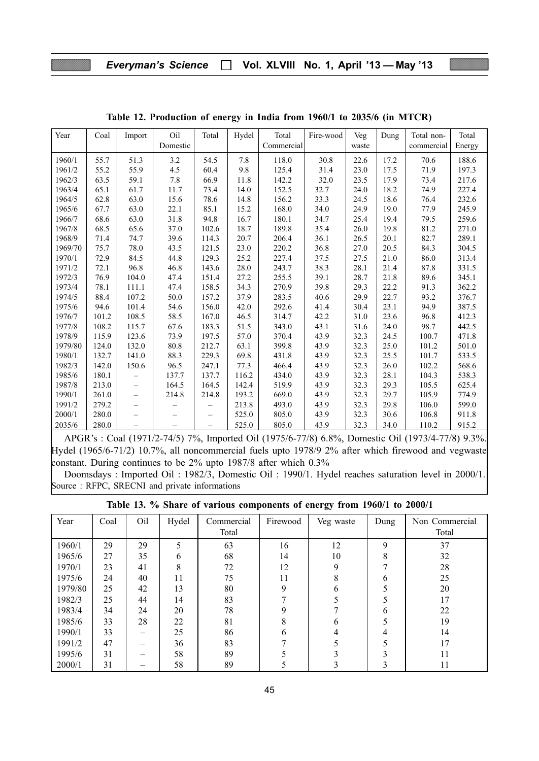| Year    | Coal  | Import                   | Oil                      | Total                    | Hydel | Total      | Fire-wood | Veg   | Dung | Total non- | Total  |
|---------|-------|--------------------------|--------------------------|--------------------------|-------|------------|-----------|-------|------|------------|--------|
|         |       |                          | Domestic                 |                          |       | Commercial |           | waste |      | commercial | Energy |
| 1960/1  | 55.7  | 51.3                     | 3.2                      | 54.5                     | 7.8   | 118.0      | 30.8      | 22.6  | 17.2 | 70.6       | 188.6  |
| 1961/2  | 55.2  | 55.9                     | 4.5                      | 60.4                     | 9.8   | 125.4      | 31.4      | 23.0  | 17.5 | 71.9       | 197.3  |
| 1962/3  | 63.5  | 59.1                     | 7.8                      | 66.9                     | 11.8  | 142.2      | 32.0      | 23.5  | 17.9 | 73.4       | 217.6  |
| 1963/4  | 65.1  | 61.7                     | 11.7                     | 73.4                     | 14.0  | 152.5      | 32.7      | 24.0  | 18.2 | 74.9       | 227.4  |
| 1964/5  | 62.8  | 63.0                     | 15.6                     | 78.6                     | 14.8  | 156.2      | 33.3      | 24.5  | 18.6 | 76.4       | 232.6  |
| 1965/6  | 67.7  | 63.0                     | 22.1                     | 85.1                     | 15.2  | 168.0      | 34.0      | 24.9  | 19.0 | 77.9       | 245.9  |
| 1966/7  | 68.6  | 63.0                     | 31.8                     | 94.8                     | 16.7  | 180.1      | 34.7      | 25.4  | 19.4 | 79.5       | 259.6  |
| 1967/8  | 68.5  | 65.6                     | 37.0                     | 102.6                    | 18.7  | 189.8      | 35.4      | 26.0  | 19.8 | 81.2       | 271.0  |
| 1968/9  | 71.4  | 74.7                     | 39.6                     | 114.3                    | 20.7  | 206.4      | 36.1      | 26.5  | 20.1 | 82.7       | 289.1  |
| 1969/70 | 75.7  | 78.0                     | 43.5                     | 121.5                    | 23.0  | 220.2      | 36.8      | 27.0  | 20.5 | 84.3       | 304.5  |
| 1970/1  | 72.9  | 84.5                     | 44.8                     | 129.3                    | 25.2  | 227.4      | 37.5      | 27.5  | 21.0 | 86.0       | 313.4  |
| 1971/2  | 72.1  | 96.8                     | 46.8                     | 143.6                    | 28.0  | 243.7      | 38.3      | 28.1  | 21.4 | 87.8       | 331.5  |
| 1972/3  | 76.9  | 104.0                    | 47.4                     | 151.4                    | 27.2  | 255.5      | 39.1      | 28.7  | 21.8 | 89.6       | 345.1  |
| 1973/4  | 78.1  | 111.1                    | 47.4                     | 158.5                    | 34.3  | 270.9      | 39.8      | 29.3  | 22.2 | 91.3       | 362.2  |
| 1974/5  | 88.4  | 107.2                    | 50.0                     | 157.2                    | 37.9  | 283.5      | 40.6      | 29.9  | 22.7 | 93.2       | 376.7  |
| 1975/6  | 94.6  | 101.4                    | 54.6                     | 156.0                    | 42.0  | 292.6      | 41.4      | 30.4  | 23.1 | 94.9       | 387.5  |
| 1976/7  | 101.2 | 108.5                    | 58.5                     | 167.0                    | 46.5  | 314.7      | 42.2      | 31.0  | 23.6 | 96.8       | 412.3  |
| 1977/8  | 108.2 | 115.7                    | 67.6                     | 183.3                    | 51.5  | 343.0      | 43.1      | 31.6  | 24.0 | 98.7       | 442.5  |
| 1978/9  | 115.9 | 123.6                    | 73.9                     | 197.5                    | 57.0  | 370.4      | 43.9      | 32.3  | 24.5 | 100.7      | 471.8  |
| 1979/80 | 124.0 | 132.0                    | 80.8                     | 212.7                    | 63.1  | 399.8      | 43.9      | 32.3  | 25.0 | 101.2      | 501.0  |
| 1980/1  | 132.7 | 141.0                    | 88.3                     | 229.3                    | 69.8  | 431.8      | 43.9      | 32.3  | 25.5 | 101.7      | 533.5  |
| 1982/3  | 142.0 | 150.6                    | 96.5                     | 247.1                    | 77.3  | 466.4      | 43.9      | 32.3  | 26.0 | 102.2      | 568.6  |
| 1985/6  | 180.1 |                          | 137.7                    | 137.7                    | 116.2 | 434.0      | 43.9      | 32.3  | 28.1 | 104.3      | 538.3  |
| 1987/8  | 213.0 | $\overline{\phantom{0}}$ | 164.5                    | 164.5                    | 142.4 | 519.9      | 43.9      | 32.3  | 29.3 | 105.5      | 625.4  |
| 1990/1  | 261.0 | $\overline{\phantom{0}}$ | 214.8                    | 214.8                    | 193.2 | 669.0      | 43.9      | 32.3  | 29.7 | 105.9      | 774.9  |
| 1991/2  | 279.2 | $\overline{\phantom{0}}$ |                          |                          | 213.8 | 493.0      | 43.9      | 32.3  | 29.8 | 106.0      | 599.0  |
| 2000/1  | 280.0 | $\overline{\phantom{0}}$ | $\overline{\phantom{0}}$ | $\overline{\phantom{0}}$ | 525.0 | 805.0      | 43.9      | 32.3  | 30.6 | 106.8      | 911.8  |
| 2035/6  | 280.0 | $\overline{\phantom{0}}$ | $\overline{\phantom{0}}$ | $\overline{\phantom{0}}$ | 525.0 | 805.0      | 43.9      | 32.3  | 34.0 | 110.2      | 915.2  |

Table 12. Production of energy in India from 1960/1 to 2035/6 (in MTCR)

APGR's : Coal (1971/2-74/5) 7%, Imported Oil (1975/6-77/8) 6.8%, Domestic Oil (1973/4-77/8) 9.3%. Hydel (1965/6-71/2) 10.7%, all noncommercial fuels upto 1978/9 2% after which firewood and vegwaste constant. During continues to be 2% upto 1987/8 after which 0.3%

Doomsdays : Imported Oil : 1982/3, Domestic Oil : 1990/1. Hydel reaches saturation level in 2000/1. Source : RFPC, SRECNI and private informations

Table 13. % Share of various components of energy from 1960/1 to 2000/1

| Year    | Coal | Oil | Hydel | Commercial<br>Total | Firewood | Veg waste | Dung | Non Commercial<br>Total |
|---------|------|-----|-------|---------------------|----------|-----------|------|-------------------------|
|         |      |     |       |                     |          |           |      |                         |
| 1960/1  | 29   | 29  | 5     | 63                  | 16       | 12        | 9    | 37                      |
| 1965/6  | 27   | 35  | 6     | 68                  | 14       | 10        | 8    | 32                      |
| 1970/1  | 23   | 41  | 8     | 72                  | 12       | 9         |      | 28                      |
| 1975/6  | 24   | 40  | 11    | 75                  | 11       |           | 6    | 25                      |
| 1979/80 | 25   | 42  | 13    | 80                  | 9        | h         |      | 20                      |
| 1982/3  | 25   | 44  | 14    | 83                  |          |           |      | 17                      |
| 1983/4  | 34   | 24  | 20    | 78                  | 9        |           | 6    | 22                      |
| 1985/6  | 33   | 28  | 22    | 81                  | 8        | h.        |      | 19                      |
| 1990/1  | 33   |     | 25    | 86                  | 6        |           |      | 14                      |
| 1991/2  | 47   |     | 36    | 83                  |          |           |      | 17                      |
| 1995/6  | 31   |     | 58    | 89                  |          |           |      | 11                      |
| 2000/1  | 31   |     | 58    | 89                  |          |           |      | 11                      |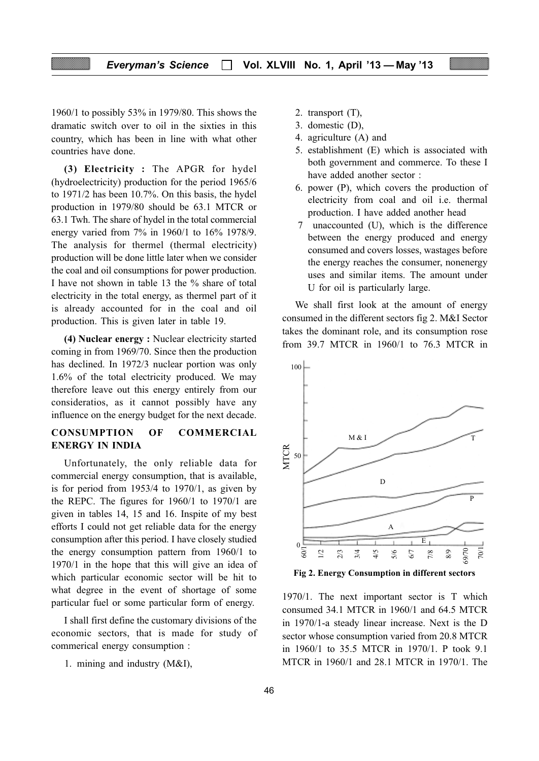### Everyman's Science  $\Box$  Vol. XLVIII No. 1, April '13 - May '13

1960/1 to possibly 53% in 1979/80. This shows the dramatic switch over to oil in the sixties in this country, which has been in line with what other countries have done.

(3) Electricity : The APGR for hydel (hydroelectricity) production for the period 1965/6 to 1971/2 has been 10.7%. On this basis, the hydel production in 1979/80 should be 63.1 MTCR or 63.1 Twh. The share of hydel in the total commercial energy varied from 7% in 1960/1 to 16% 1978/9. The analysis for thermel (thermal electricity) production will be done little later when we consider the coal and oil consumptions for power production. I have not shown in table 13 the % share of total electricity in the total energy, as thermel part of it is already accounted for in the coal and oil production. This is given later in table 19.

(4) Nuclear energy : Nuclear electricity started coming in from 1969/70. Since then the production has declined. In 1972/3 nuclear portion was only 1.6% of the total electricity produced. We may therefore leave out this energy entirely from our consideratios, as it cannot possibly have any influence on the energy budget for the next decade.

## CONSUMPTION OF COMMERCIAL ENERGY IN INDIA

Unfortunately, the only reliable data for commercial energy consumption, that is available, is for period from 1953/4 to 1970/1, as given by the REPC. The figures for 1960/1 to 1970/1 are given in tables 14, 15 and 16. Inspite of my best efforts I could not get reliable data for the energy consumption after this period. I have closely studied the energy consumption pattern from 1960/1 to 1970/1 in the hope that this will give an idea of which particular economic sector will be hit to what degree in the event of shortage of some particular fuel or some particular form of energy.

I shall first define the customary divisions of the economic sectors, that is made for study of commerical energy consumption :

1. mining and industry (M&I),

- 2. transport (T),
- 3. domestic (D),
- 4. agriculture (A) and
- 5. establishment (E) which is associated with both government and commerce. To these I have added another sector :
- 6. power (P), which covers the production of electricity from coal and oil i.e. thermal production. I have added another head
- 7 unaccounted (U), which is the difference between the energy produced and energy consumed and covers losses, wastages before the energy reaches the consumer, nonenergy uses and similar items. The amount under U for oil is particularly large.

We shall first look at the amount of energy consumed in the different sectors fig 2. M&I Sector takes the dominant role, and its consumption rose from 39.7 MTCR in 1960/1 to 76.3 MTCR in



Fig 2. Energy Consumption in different sectors

1970/1. The next important sector is T which consumed 34.1 MTCR in 1960/1 and 64.5 MTCR in 1970/1-a steady linear increase. Next is the D sector whose consumption varied from 20.8 MTCR in 1960/1 to 35.5 MTCR in 1970/1. P took 9.1 MTCR in 1960/1 and 28.1 MTCR in 1970/1. The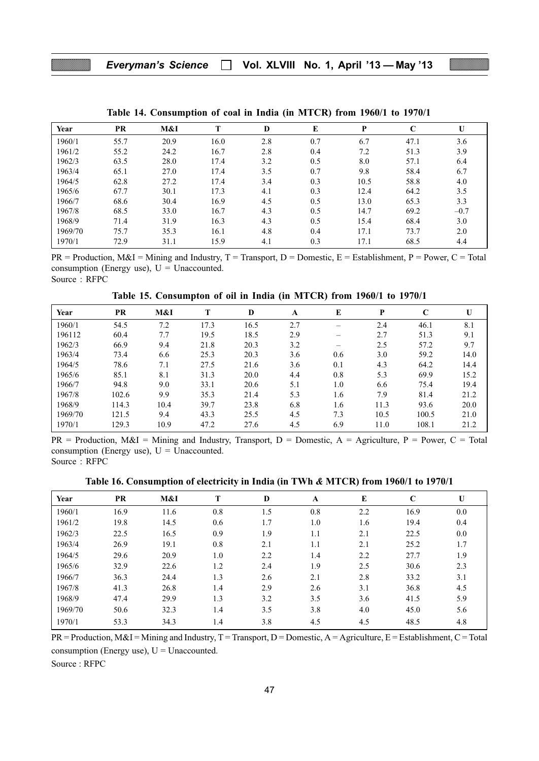| Year    | PR   | M&I  | т    | D   | E   | P    | $\mathbf C$ | U      |
|---------|------|------|------|-----|-----|------|-------------|--------|
| 1960/1  | 55.7 | 20.9 | 16.0 | 2.8 | 0.7 | 6.7  | 47.1        | 3.6    |
| 1961/2  | 55.2 | 24.2 | 16.7 | 2.8 | 0.4 | 7.2  | 51.3        | 3.9    |
| 1962/3  | 63.5 | 28.0 | 17.4 | 3.2 | 0.5 | 8.0  | 57.1        | 6.4    |
| 1963/4  | 65.1 | 27.0 | 17.4 | 3.5 | 0.7 | 9.8  | 58.4        | 6.7    |
| 1964/5  | 62.8 | 27.2 | 17.4 | 3.4 | 0.3 | 10.5 | 58.8        | 4.0    |
| 1965/6  | 67.7 | 30.1 | 17.3 | 4.1 | 0.3 | 12.4 | 64.2        | 3.5    |
| 1966/7  | 68.6 | 30.4 | 16.9 | 4.5 | 0.5 | 13.0 | 65.3        | 3.3    |
| 1967/8  | 68.5 | 33.0 | 16.7 | 4.3 | 0.5 | 14.7 | 69.2        | $-0.7$ |
| 1968/9  | 71.4 | 31.9 | 16.3 | 4.3 | 0.5 | 15.4 | 68.4        | 3.0    |
| 1969/70 | 75.7 | 35.3 | 16.1 | 4.8 | 0.4 | 17.1 | 73.7        | 2.0    |
| 1970/1  | 72.9 | 31.1 | 15.9 | 4.1 | 0.3 | 17.1 | 68.5        | 4.4    |

Table 14. Consumption of coal in India (in MTCR) from 1960/1 to 1970/1

 $PR = Production, M&I = Mining and Industry, T = Transport, D = Domestic, E = Establishment, P = Power, C = Total$ consumption (Energy use),  $U =$  Unaccounted.

Source : RFPC

Table 15. Consumpton of oil in India (in MTCR) from 1960/1 to 1970/1

| Year    | PR    | M&I  |      | D    | A   | E                 | P    | $\mathbf C$ | U    |
|---------|-------|------|------|------|-----|-------------------|------|-------------|------|
| 1960/1  | 54.5  | 7.2  | 17.3 | 16.5 | 2.7 | $\qquad \qquad$   | 2.4  | 46.1        | 8.1  |
| 196112  | 60.4  | 7.7  | 19.5 | 18.5 | 2.9 |                   | 2.7  | 51.3        | 9.1  |
| 1962/3  | 66.9  | 9.4  | 21.8 | 20.3 | 3.2 | $\qquad \qquad -$ | 2.5  | 57.2        | 9.7  |
| 1963/4  | 73.4  | 6.6  | 25.3 | 20.3 | 3.6 | 0.6               | 3.0  | 59.2        | 14.0 |
| 1964/5  | 78.6  | 7.1  | 27.5 | 21.6 | 3.6 | 0.1               | 4.3  | 64.2        | 14.4 |
| 1965/6  | 85.1  | 8.1  | 31.3 | 20.0 | 4.4 | 0.8               | 5.3  | 69.9        | 15.2 |
| 1966/7  | 94.8  | 9.0  | 33.1 | 20.6 | 5.1 | 1.0               | 6.6  | 75.4        | 19.4 |
| 1967/8  | 102.6 | 9.9  | 35.3 | 21.4 | 5.3 | 1.6               | 7.9  | 81.4        | 21.2 |
| 1968/9  | 114.3 | 10.4 | 39.7 | 23.8 | 6.8 | 1.6               | 11.3 | 93.6        | 20.0 |
| 1969/70 | 121.5 | 9.4  | 43.3 | 25.5 | 4.5 | 7.3               | 10.5 | 100.5       | 21.0 |
| 1970/1  | 129.3 | 10.9 | 47.2 | 27.6 | 4.5 | 6.9               | 11.0 | 108.1       | 21.2 |

 $PR = Production, M&I = Mining and Industry, Transport, D = Domestic, A = Agriculture, P = Power, C = Total$ consumption (Energy use),  $U =$  Unaccounted. Source : RFPC

Table 16. Consumption of electricity in India (in TWh & MTCR) from 1960/1 to 1970/1

| Year    | <b>PR</b> | M&I  | т   | D   | A   | E   | $\mathbf C$ | U   |
|---------|-----------|------|-----|-----|-----|-----|-------------|-----|
| 1960/1  | 16.9      | 11.6 | 0.8 | 1.5 | 0.8 | 2.2 | 16.9        | 0.0 |
| 1961/2  | 19.8      | 14.5 | 0.6 | 1.7 | 1.0 | 1.6 | 19.4        | 0.4 |
| 1962/3  | 22.5      | 16.5 | 0.9 | 1.9 | 1.1 | 2.1 | 22.5        | 0.0 |
| 1963/4  | 26.9      | 19.1 | 0.8 | 2.1 | 1.1 | 2.1 | 25.2        | 1.7 |
| 1964/5  | 29.6      | 20.9 | 1.0 | 2.2 | 1.4 | 2.2 | 27.7        | 1.9 |
| 1965/6  | 32.9      | 22.6 | 1.2 | 2.4 | 1.9 | 2.5 | 30.6        | 2.3 |
| 1966/7  | 36.3      | 24.4 | 1.3 | 2.6 | 2.1 | 2.8 | 33.2        | 3.1 |
| 1967/8  | 41.3      | 26.8 | 1.4 | 2.9 | 2.6 | 3.1 | 36.8        | 4.5 |
| 1968/9  | 47.4      | 29.9 | 1.3 | 3.2 | 3.5 | 3.6 | 41.5        | 5.9 |
| 1969/70 | 50.6      | 32.3 | 1.4 | 3.5 | 3.8 | 4.0 | 45.0        | 5.6 |
| 1970/1  | 53.3      | 34.3 | 1.4 | 3.8 | 4.5 | 4.5 | 48.5        | 4.8 |

 $PR = Production, M&I = Mining and Industry, T = Transport, D = Domestic, A = Agriculture, E = Establishment, C = Total$ consumption (Energy use),  $U =$  Unaccounted. Source : RFPC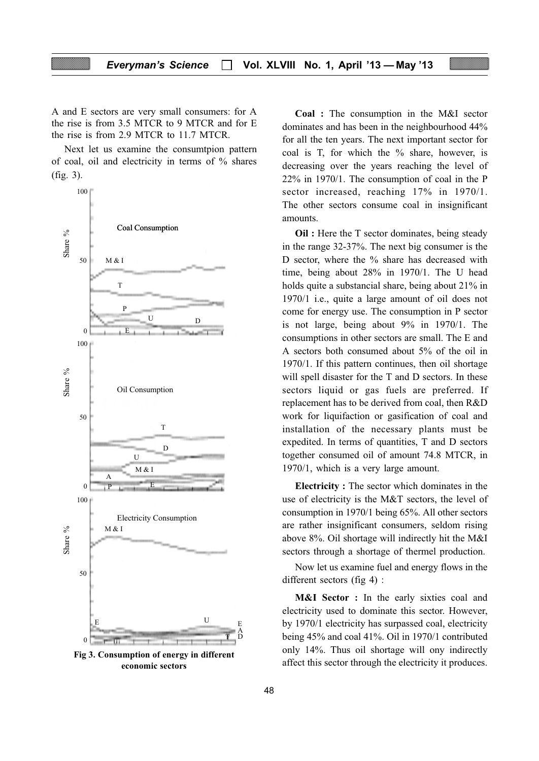A and E sectors are very small consumers: for A the rise is from 3.5 MTCR to 9 MTCR and for E the rise is from 2.9 MTCR to 11.7 MTCR.

Next let us examine the consumtpion pattern of coal, oil and electricity in terms of % shares (fig. 3).





Coal : The consumption in the M&I sector dominates and has been in the neighbourhood 44% for all the ten years. The next important sector for coal is T, for which the % share, however, is decreasing over the years reaching the level of 22% in 1970/1. The consumption of coal in the P sector increased, reaching  $17\%$  in  $1970/1$ . The other sectors consume coal in insignificant amounts.

Oil : Here the T sector dominates, being steady in the range 32-37%. The next big consumer is the D sector, where the % share has decreased with time, being about 28% in 1970/1. The U head holds quite a substancial share, being about 21% in 1970/1 i.e., quite a large amount of oil does not come for energy use. The consumption in P sector is not large, being about 9% in 1970/1. The consumptions in other sectors are small. The E and A sectors both consumed about 5% of the oil in 1970/1. If this pattern continues, then oil shortage will spell disaster for the T and D sectors. In these sectors liquid or gas fuels are preferred. If replacement has to be derived from coal, then R&D work for liquifaction or gasification of coal and installation of the necessary plants must be expedited. In terms of quantities, T and D sectors together consumed oil of amount 74.8 MTCR, in 1970/1, which is a very large amount.

Electricity : The sector which dominates in the use of electricity is the M&T sectors, the level of consumption in 1970/1 being 65%. All other sectors are rather insignificant consumers, seldom rising above 8%. Oil shortage will indirectly hit the M&I sectors through a shortage of thermel production.

Now let us examine fuel and energy flows in the different sectors (fig 4) :

M&I Sector : In the early sixties coal and electricity used to dominate this sector. However, by 1970/1 electricity has surpassed coal, electricity being 45% and coal 41%. Oil in 1970/1 contributed only 14%. Thus oil shortage will ony indirectly affect this sector through the electricity it produces.

A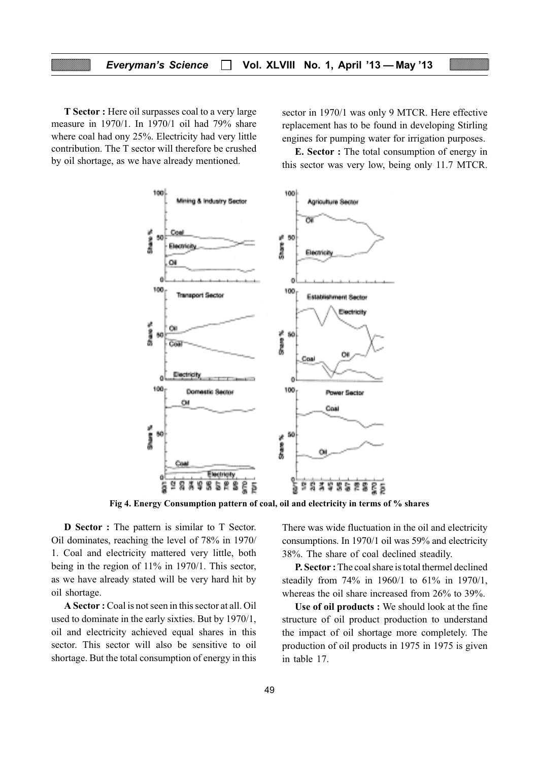T Sector : Here oil surpasses coal to a very large measure in 1970/1. In 1970/1 oil had 79% share where coal had ony 25%. Electricity had very little contribution. The T sector will therefore be crushed by oil shortage, as we have already mentioned.

sector in 1970/1 was only 9 MTCR. Here effective replacement has to be found in developing Stirling engines for pumping water for irrigation purposes.

E. Sector : The total consumption of energy in this sector was very low, being only 11.7 MTCR.



Fig 4. Energy Consumption pattern of coal, oil and electricity in terms of % shares

D Sector : The pattern is similar to T Sector. Oil dominates, reaching the level of 78% in 1970/ 1. Coal and electricity mattered very little, both being in the region of 11% in 1970/1. This sector, as we have already stated will be very hard hit by oil shortage.

A Sector : Coal is not seen in this sector at all. Oil used to dominate in the early sixties. But by 1970/1, oil and electricity achieved equal shares in this sector. This sector will also be sensitive to oil shortage. But the total consumption of energy in this There was wide fluctuation in the oil and electricity consumptions. In 1970/1 oil was 59% and electricity 38%. The share of coal declined steadily.

P. Sector : The coal share is total thermel declined steadily from 74% in 1960/1 to 61% in 1970/1, whereas the oil share increased from 26% to 39%.

Use of oil products : We should look at the fine structure of oil product production to understand the impact of oil shortage more completely. The production of oil products in 1975 in 1975 is given in table 17.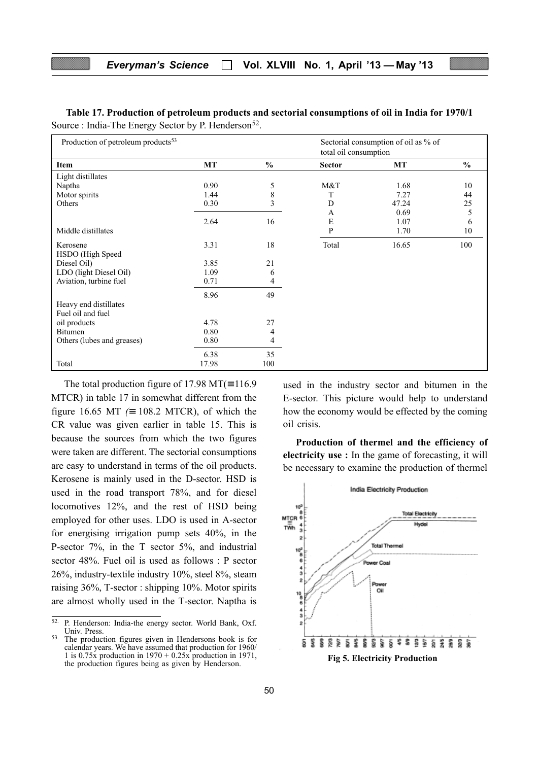| Production of petroleum products <sup>53</sup> |       |                  | total oil consumption | Sectorial consumption of oil as % of |               |
|------------------------------------------------|-------|------------------|-----------------------|--------------------------------------|---------------|
| Item                                           | MT    | $\frac{0}{0}$    | <b>Sector</b>         | MT                                   | $\frac{0}{0}$ |
| Light distillates                              |       |                  |                       |                                      |               |
| Naptha                                         | 0.90  | 5                | M&T                   | 1.68                                 | 10            |
| Motor spirits                                  | 1.44  | $\boldsymbol{8}$ | T                     | 7.27                                 | 44            |
| Others                                         | 0.30  | 3                | D                     | 47.24                                | 25            |
|                                                |       |                  | A                     | 0.69                                 | 5             |
|                                                | 2.64  | 16               | ${\bf E}$             | 1.07                                 | 6             |
| Middle distillates                             |       |                  | $\mathbf{P}$          | 1.70                                 | 10            |
| Kerosene                                       | 3.31  | 18               | Total                 | 16.65                                | 100           |
| HSDO (High Speed                               |       |                  |                       |                                      |               |
| Diesel Oil)                                    | 3.85  | 21               |                       |                                      |               |
| LDO (light Diesel Oil)                         | 1.09  | 6                |                       |                                      |               |
| Aviation, turbine fuel                         | 0.71  | 4                |                       |                                      |               |
|                                                | 8.96  | 49               |                       |                                      |               |
| Heavy end distillates                          |       |                  |                       |                                      |               |
| Fuel oil and fuel                              |       |                  |                       |                                      |               |
| oil products                                   | 4.78  | 27               |                       |                                      |               |
| <b>Bitumen</b>                                 | 0.80  | 4                |                       |                                      |               |
| Others (lubes and greases)                     | 0.80  | 4                |                       |                                      |               |
|                                                | 6.38  | 35               |                       |                                      |               |
| Total                                          | 17.98 | 100              |                       |                                      |               |

Table 17. Production of petroleum products and sectorial consumptions of oil in India for 1970/1 Source : India-The Energy Sector by P. Henderson<sup>52</sup>.

The total production figure of 17.98 MT( $\equiv$  116.9 MTCR) in table 17 in somewhat different from the figure 16.65 MT ( $\equiv$  108.2 MTCR), of which the CR value was given earlier in table 15. This is because the sources from which the two figures were taken are different. The sectorial consumptions are easy to understand in terms of the oil products. Kerosene is mainly used in the D-sector. HSD is used in the road transport 78%, and for diesel locomotives 12%, and the rest of HSD being employed for other uses. LDO is used in A-sector for energising irrigation pump sets 40%, in the P-sector 7%, in the T sector 5%, and industrial sector 48%. Fuel oil is used as follows : P sector 26%, industry-textile industry 10%, steel 8%, steam raising 36%, T-sector : shipping 10%. Motor spirits are almost wholly used in the T-sector. Naptha is

used in the industry sector and bitumen in the E-sector. This picture would help to understand how the economy would be effected by the coming oil crisis.

Production of thermel and the efficiency of electricity use : In the game of forecasting, it will be necessary to examine the production of thermel



<sup>52.</sup> P. Henderson: India-the energy sector. World Bank, Oxf.

<sup>53.</sup> The production figures given in Hendersons book is for calendar years. We have assumed that production for 1960/ 1 is 0.75x production in 1970 + 0.25x production in 1971, the production figures being as given by Henderson.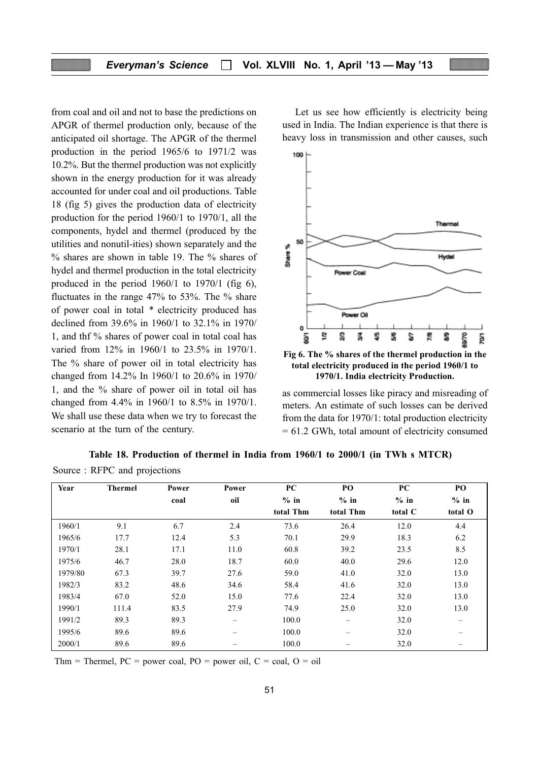from coal and oil and not to base the predictions on APGR of thermel production only, because of the anticipated oil shortage. The APGR of the thermel production in the period 1965/6 to 1971/2 was 10.2%. But the thermel production was not explicitly shown in the energy production for it was already accounted for under coal and oil productions. Table 18 (fig 5) gives the production data of electricity production for the period 1960/1 to 1970/1, all the components, hydel and thermel (produced by the utilities and nonutil-ities) shown separately and the % shares are shown in table 19. The % shares of hydel and thermel production in the total electricity produced in the period  $1960/1$  to  $1970/1$  (fig 6), fluctuates in the range 47% to 53%. The % share of power coal in total \* electricity produced has declined from 39.6% in 1960/1 to 32.1% in 1970/ 1, and thf % shares of power coal in total coal has varied from 12% in 1960/1 to 23.5% in 1970/1. The % share of power oil in total electricity has changed from 14.2% In 1960/1 to 20.6% in 1970/ 1, and the % share of power oil in total oil has changed from 4.4% in 1960/1 to 8.5% in 1970/1. We shall use these data when we try to forecast the scenario at the turn of the century.

Let us see how efficiently is electricity being used in India. The Indian experience is that there is heavy loss in transmission and other causes, such



Fig 6. The % shares of the thermel production in the total electricity produced in the period 1960/1 to 1970/1. India electricity Production.

as commercial losses like piracy and misreading of meters. An estimate of such losses can be derived from the data for 1970/1: total production electricity = 61.2 GWh, total amount of electricity consumed

Table 18. Production of thermel in India from 1960/1 to 2000/1 (in TWh s MTCR) Source : RFPC and projections

| Year    | <b>Thermel</b> | Power | Power                    | PC        | PO        | PC      | P <sub>O</sub> |
|---------|----------------|-------|--------------------------|-----------|-----------|---------|----------------|
|         |                | coal  | oil                      | $%$ in    | $%$ in    | $%$ in  | $%$ in         |
|         |                |       |                          | total Thm | total Thm | total C | total O        |
| 1960/1  | 9.1            | 6.7   | 2.4                      | 73.6      | 26.4      | 12.0    | 4.4            |
| 1965/6  | 17.7           | 12.4  | 5.3                      | 70.1      | 29.9      | 18.3    | 6.2            |
| 1970/1  | 28.1           | 17.1  | 11.0                     | 60.8      | 39.2      | 23.5    | 8.5            |
| 1975/6  | 46.7           | 28.0  | 18.7                     | 60.0      | 40.0      | 29.6    | 12.0           |
| 1979/80 | 67.3           | 39.7  | 27.6                     | 59.0      | 41.0      | 32.0    | 13.0           |
| 1982/3  | 83.2           | 48.6  | 34.6                     | 58.4      | 41.6      | 32.0    | 13.0           |
| 1983/4  | 67.0           | 52.0  | 15.0                     | 77.6      | 22.4      | 32.0    | 13.0           |
| 1990/1  | 111.4          | 83.5  | 27.9                     | 74.9      | 25.0      | 32.0    | 13.0           |
| 1991/2  | 89.3           | 89.3  |                          | 100.0     |           | 32.0    |                |
| 1995/6  | 89.6           | 89.6  | $\overline{\phantom{0}}$ | 100.0     |           | 32.0    |                |
| 2000/1  | 89.6           | 89.6  |                          | 100.0     |           | 32.0    |                |

Thm = Thermel,  $PC = power coal$ ,  $PO = power oil$ ,  $C = coal$ ,  $O = oil$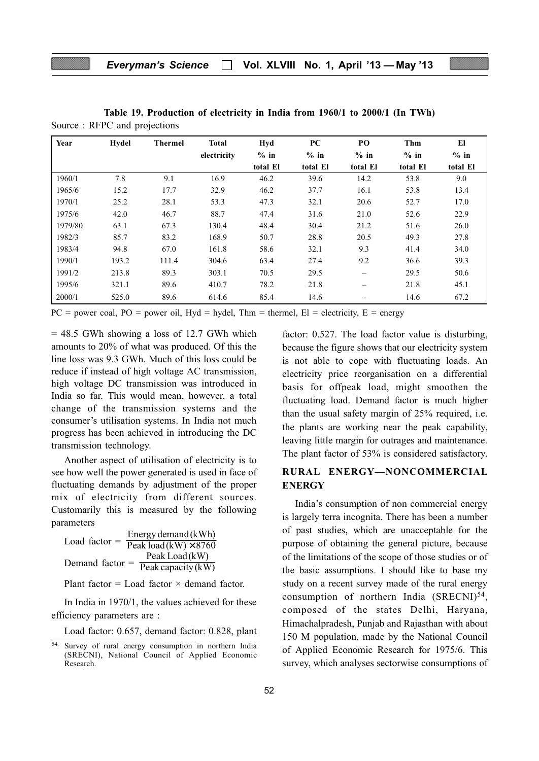| Year    | Hydel | <b>Thermel</b> | <b>Total</b> | Hyd      | PC       | PO                       | Thm      | El       |
|---------|-------|----------------|--------------|----------|----------|--------------------------|----------|----------|
|         |       |                | electricity  | $%$ in   | $%$ in   | $%$ in                   | $%$ in   | $%$ in   |
|         |       |                |              | total El | total El | total El                 | total El | total El |
| 1960/1  | 7.8   | 9.1            | 16.9         | 46.2     | 39.6     | 14.2                     | 53.8     | 9.0      |
| 1965/6  | 15.2  | 17.7           | 32.9         | 46.2     | 37.7     | 16.1                     | 53.8     | 13.4     |
| 1970/1  | 25.2  | 28.1           | 53.3         | 47.3     | 32.1     | 20.6                     | 52.7     | 17.0     |
| 1975/6  | 42.0  | 46.7           | 88.7         | 47.4     | 31.6     | 21.0                     | 52.6     | 22.9     |
| 1979/80 | 63.1  | 67.3           | 130.4        | 48.4     | 30.4     | 21.2                     | 51.6     | 26.0     |
| 1982/3  | 85.7  | 83.2           | 168.9        | 50.7     | 28.8     | 20.5                     | 49.3     | 27.8     |
| 1983/4  | 94.8  | 67.0           | 161.8        | 58.6     | 32.1     | 9.3                      | 41.4     | 34.0     |
| 1990/1  | 193.2 | 111.4          | 304.6        | 63.4     | 27.4     | 9.2                      | 36.6     | 39.3     |
| 1991/2  | 213.8 | 89.3           | 303.1        | 70.5     | 29.5     | $\overline{\phantom{0}}$ | 29.5     | 50.6     |
| 1995/6  | 321.1 | 89.6           | 410.7        | 78.2     | 21.8     | $\qquad \qquad$          | 21.8     | 45.1     |
| 2000/1  | 525.0 | 89.6           | 614.6        | 85.4     | 14.6     |                          | 14.6     | 67.2     |

Table 19. Production of electricity in India from 1960/1 to 2000/1 (In TWh) Source : RFPC and projections

 $PC$  = power coal,  $PO$  = power oil,  $Hyd$  = hydel, Thm = thermel,  $El$  = electricity,  $E$  = energy

 $= 48.5$  GWh showing a loss of 12.7 GWh which amounts to 20% of what was produced. Of this the line loss was 9.3 GWh. Much of this loss could be reduce if instead of high voltage AC transmission, high voltage DC transmission was introduced in India so far. This would mean, however, a total change of the transmission systems and the consumer's utilisation systems. In India not much progress has been achieved in introducing the DC transmission technology.

Another aspect of utilisation of electricity is to see how well the power generated is used in face of fluctuating demands by adjustment of the proper mix of electricity from different sources. Customarily this is measured by the following parameters

Load factor =  $\frac{\text{Energy demand}(\text{kWh})}{\text{Peak load}(\text{kW}) \times 8760}$ Demand factor =  $\frac{\text{Peak Load(kW)}}{\text{Peak capacity(kW)}}$ 

Plant factor = Load factor  $\times$  demand factor.

In India in 1970/1, the values achieved for these efficiency parameters are :

Load factor: 0.657, demand factor: 0.828, plant

factor: 0.527. The load factor value is disturbing, because the figure shows that our electricity system is not able to cope with fluctuating loads. An electricity price reorganisation on a differential basis for offpeak load, might smoothen the fluctuating load. Demand factor is much higher than the usual safety margin of 25% required, i.e. the plants are working near the peak capability, leaving little margin for outrages and maintenance. The plant factor of 53% is considered satisfactory.

### RURAL ENERGY—NONCOMMERCIAL **ENERGY**

India's consumption of non commercial energy is largely terra incognita. There has been a number of past studies, which are unacceptable for the purpose of obtaining the general picture, because of the limitations of the scope of those studies or of the basic assumptions. I should like to base my study on a recent survey made of the rural energy consumption of northern India  $(SRECNI)^{54}$ , composed of the states Delhi, Haryana, Himachalpradesh, Punjab and Rajasthan with about 150 M population, made by the National Council of Applied Economic Research for 1975/6. This survey, which analyses sectorwise consumptions of

Survey of rural energy consumption in northern India (SRECNI), National Council of Applied Economic Research.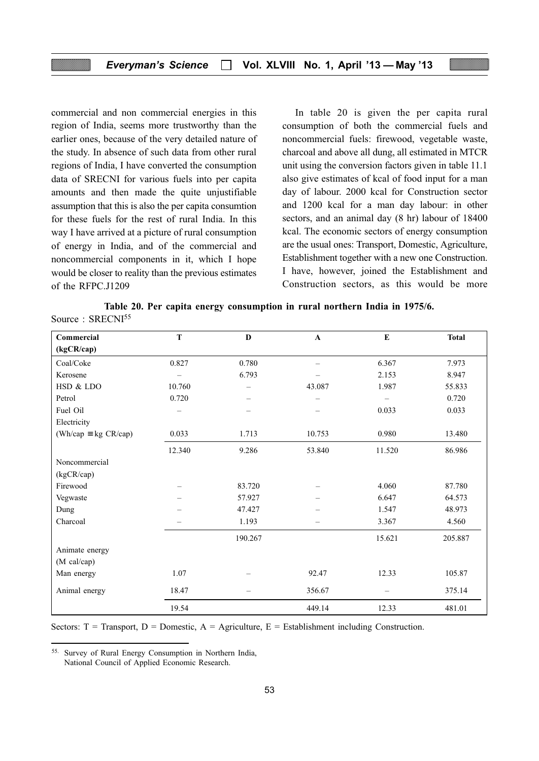commercial and non commercial energies in this region of India, seems more trustworthy than the earlier ones, because of the very detailed nature of the study. In absence of such data from other rural regions of India, I have converted the consumption data of SRECNI for various fuels into per capita amounts and then made the quite unjustifiable assumption that this is also the per capita consumtion for these fuels for the rest of rural India. In this way I have arrived at a picture of rural consumption of energy in India, and of the commercial and noncommercial components in it, which I hope would be closer to reality than the previous estimates of the RFPC.J1209

In table 20 is given the per capita rural consumption of both the commercial fuels and noncommercial fuels: firewood, vegetable waste, charcoal and above all dung, all estimated in MTCR unit using the conversion factors given in table 11.1 also give estimates of kcal of food input for a man day of labour. 2000 kcal for Construction sector and 1200 kcal for a man day labour: in other sectors, and an animal day (8 hr) labour of 18400 kcal. The economic sectors of energy consumption are the usual ones: Transport, Domestic, Agriculture, Establishment together with a new one Construction. I have, however, joined the Establishment and Construction sectors, as this would be more

Table 20. Per capita energy consumption in rural northern India in 1975/6. Source : SRECNI<sup>55</sup>

| Commercial                     | T      | D       | $\mathbf{A}$ | E      | <b>Total</b> |
|--------------------------------|--------|---------|--------------|--------|--------------|
| (kgCR/cap)                     |        |         |              |        |              |
| Coal/Coke                      | 0.827  | 0.780   |              | 6.367  | 7.973        |
| Kerosene                       |        | 6.793   |              | 2.153  | 8.947        |
| HSD & LDO                      | 10.760 |         | 43.087       | 1.987  | 55.833       |
| Petrol                         | 0.720  |         |              |        | 0.720        |
| Fuel Oil                       |        |         |              | 0.033  | 0.033        |
| Electricity                    |        |         |              |        |              |
| $(Wh/cap \equiv kg \, CR/cap)$ | 0.033  | 1.713   | 10.753       | 0.980  | 13.480       |
|                                | 12.340 | 9.286   | 53.840       | 11.520 | 86.986       |
| Noncommercial                  |        |         |              |        |              |
| (kgCR/cap)                     |        |         |              |        |              |
| Firewood                       |        | 83.720  |              | 4.060  | 87.780       |
| Vegwaste                       |        | 57.927  |              | 6.647  | 64.573       |
| Dung                           |        | 47.427  |              | 1.547  | 48.973       |
| Charcoal                       |        | 1.193   |              | 3.367  | 4.560        |
|                                |        | 190.267 |              | 15.621 | 205.887      |
| Animate energy                 |        |         |              |        |              |
| (M cal/cap)                    |        |         |              |        |              |
| Man energy                     | 1.07   |         | 92.47        | 12.33  | 105.87       |
| Animal energy                  | 18.47  |         | 356.67       |        | 375.14       |
|                                | 19.54  |         | 449.14       | 12.33  | 481.01       |

Sectors:  $T =$  Transport,  $D =$  Domestic,  $A =$  Agriculture,  $E =$  Establishment including Construction.

55. Survey of Rural Energy Consumption in Northern India, National Council of Applied Economic Research.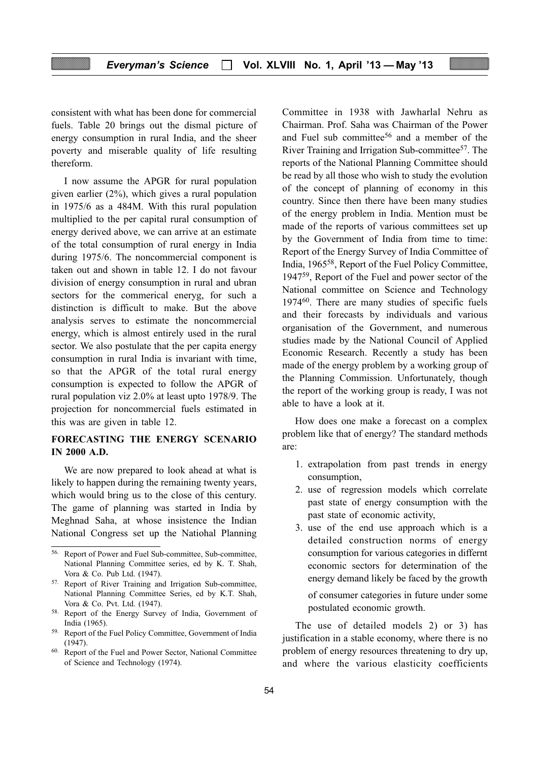consistent with what has been done for commercial fuels. Table 20 brings out the dismal picture of energy consumption in rural India, and the sheer poverty and miserable quality of life resulting thereform.

I now assume the APGR for rural population given earlier (2%), which gives a rural population in 1975/6 as a 484M. With this rural population multiplied to the per capital rural consumption of energy derived above, we can arrive at an estimate of the total consumption of rural energy in India during 1975/6. The noncommercial component is taken out and shown in table 12. I do not favour division of energy consumption in rural and ubran sectors for the commerical eneryg, for such a distinction is difficult to make. But the above analysis serves to estimate the noncommercial energy, which is almost entirely used in the rural sector. We also postulate that the per capita energy consumption in rural India is invariant with time, so that the APGR of the total rural energy consumption is expected to follow the APGR of rural population viz 2.0% at least upto 1978/9. The projection for noncommercial fuels estimated in this was are given in table 12.

## FORECASTING THE ENERGY SCENARIO IN 2000 A.D.

We are now prepared to look ahead at what is likely to happen during the remaining twenty years, which would bring us to the close of this century. The game of planning was started in India by Meghnad Saha, at whose insistence the Indian National Congress set up the Natiohal Planning Committee in 1938 with Jawharlal Nehru as Chairman. Prof. Saha was Chairman of the Power and Fuel sub committee56 and a member of the River Training and Irrigation Sub-committee<sup>57</sup>. The reports of the National Planning Committee should be read by all those who wish to study the evolution of the concept of planning of economy in this country. Since then there have been many studies of the energy problem in India. Mention must be made of the reports of various committees set up by the Government of India from time to time: Report of the Energy Survey of India Committee of India, 196558, Report of the Fuel Policy Committee, 194759, Report of the Fuel and power sector of the National committee on Science and Technology 1974<sup>60</sup>. There are many studies of specific fuels and their forecasts by individuals and various organisation of the Government, and numerous studies made by the National Council of Applied Economic Research. Recently a study has been made of the energy problem by a working group of the Planning Commission. Unfortunately, though the report of the working group is ready, I was not able to have a look at it.

How does one make a forecast on a complex problem like that of energy? The standard methods are:

- 1. extrapolation from past trends in energy consumption,
- 2. use of regression models which correlate past state of energy consumption with the past state of economic activity,
- 3. use of the end use approach which is a detailed construction norms of energy consumption for various categories in differnt economic sectors for determination of the energy demand likely be faced by the growth

of consumer categories in future under some postulated economic growth.

The use of detailed models 2) or 3) has justification in a stable economy, where there is no problem of energy resources threatening to dry up, and where the various elasticity coefficients

<sup>56.</sup> Report of Power and Fuel Sub-committee, Sub-committee, National Planning Committee series, ed by K. T. Shah, Vora & Co. Pub Ltd. (1947).

<sup>57.</sup> Report of River Training and Irrigation Sub-committee, National Planning Committee Series, ed by K.T. Shah, Vora & Co. Pvt. Ltd. (1947).

<sup>58.</sup> Report of the Energy Survey of India, Government of India (1965).

<sup>59.</sup> Report of the Fuel Policy Committee, Government of India (1947).

<sup>60.</sup> Report of the Fuel and Power Sector, National Committee of Science and Technology (1974).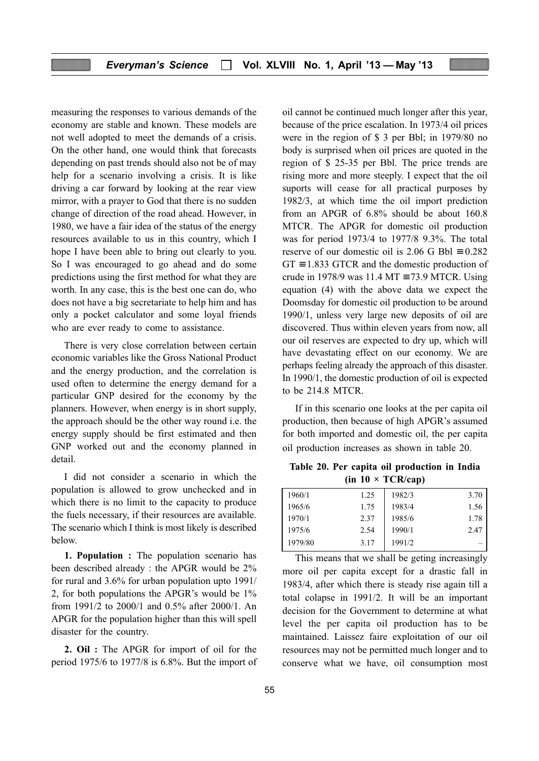measuring the responses to various demands of the economy are stable and known. These models are not well adopted to meet the demands of a crisis. On the other hand, one would think that forecasts depending on past trends should also not be of may help for a scenario involving a crisis. It is like driving a car forward by looking at the rear view mirror, with a prayer to God that there is no sudden change of direction of the road ahead. However, in 1980, we have a fair idea of the status of the energy resources available to us in this country, which I hope I have been able to bring out clearly to you. So I was encouraged to go ahead and do some predictions using the first method for what they are worth. In any case, this is the best one can do, who does not have a big secretariate to help him and has only a pocket calculator and some loyal friends who are ever ready to come to assistance.

There is very close correlation between certain economic variables like the Gross National Product and the energy production, and the correlation is used often to determine the energy demand for a particular GNP desired for the economy by the planners. However, when energy is in short supply, the approach should be the other way round i.e. the energy supply should be first estimated and then GNP worked out and the economy planned in detail.

I did not consider a scenario in which the population is allowed to grow unchecked and in which there is no limit to the capacity to produce the fuels necessary, if their resources are available. The scenario which I think is most likely is described below.

1. Population : The population scenario has been described already : the APGR would be 2% for rural and 3.6% for urban population upto 1991/ 2, for both populations the APGR's would be 1% from 1991/2 to 2000/1 and 0.5% after 2000/1. An APGR for the population higher than this will spell disaster for the country.

2. Oil : The APGR for import of oil for the period 1975/6 to 1977/8 is 6.8%. But the import of oil cannot be continued much longer after this year, because of the price escalation. In 1973/4 oil prices were in the region of \$ 3 per Bbl; in 1979/80 no body is surprised when oil prices are quoted in the region of \$ 25-35 per Bbl. The price trends are rising more and more steeply. I expect that the oil suports will cease for all practical purposes by 1982/3, at which time the oil import prediction from an APGR of 6.8% should be about 160.8 MTCR. The APGR for domestic oil production was for period 1973/4 to 1977/8 9.3%. The total reserve of our domestic oil is 2.06 G Bbl  $\equiv 0.282$  $GT \equiv 1.833$  GTCR and the domestic production of crude in 1978/9 was 11.4 MT  $\equiv$  73.9 MTCR. Using equation (4) with the above data we expect the Doomsday for domestic oil production to be around 1990/1, unless very large new deposits of oil are discovered. Thus within eleven years from now, all our oil reserves are expected to dry up, which will have devastating effect on our economy. We are perhaps feeling already the approach of this disaster. In 1990/1, the domestic production of oil is expected to be 214.8 MTCR.

If in this scenario one looks at the per capita oil production, then because of high APGR's assumed for both imported and domestic oil, the per capita oil production increases as shown in table 20.

Table 20. Per capita oil production in India  $(in 10 \times TCR/cap)$ 

| 1960/1  | 1.25 | 1982/3 | 3.70 |
|---------|------|--------|------|
| 1965/6  | 1.75 | 1983/4 | 1.56 |
| 1970/1  | 2.37 | 1985/6 | 1.78 |
| 1975/6  | 2.54 | 1990/1 | 2.47 |
| 1979/80 | 3.17 | 1991/2 |      |

This means that we shall be geting increasingly more oil per capita except for a drastic fall in 1983/4, after which there is steady rise again till a total colapse in 1991/2. It will be an important decision for the Government to determine at what level the per capita oil production has to be maintained. Laissez faire exploitation of our oil resources may not be permitted much longer and to conserve what we have, oil consumption most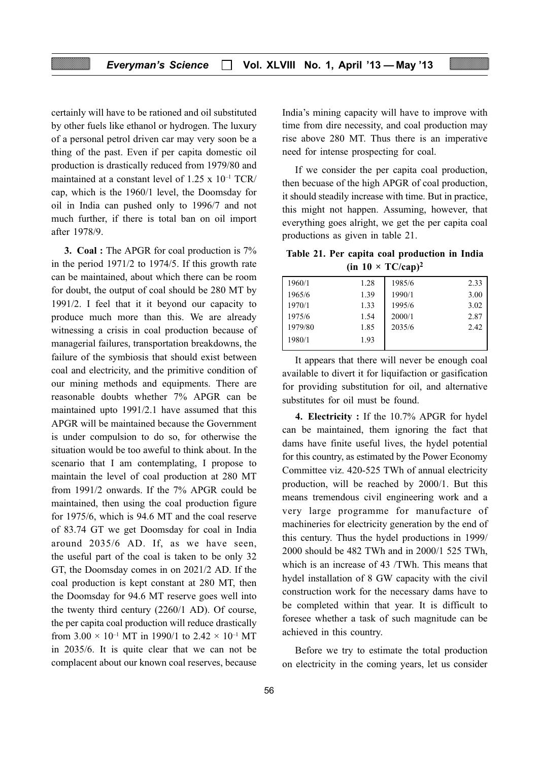certainly will have to be rationed and oil substituted by other fuels like ethanol or hydrogen. The luxury of a personal petrol driven car may very soon be a thing of the past. Even if per capita domestic oil production is drastically reduced from 1979/80 and maintained at a constant level of  $1.25 \times 10^{-1}$  TCR/ cap, which is the 1960/1 level, the Doomsday for oil in India can pushed only to 1996/7 and not much further, if there is total ban on oil import after 1978/9.

3. Coal : The APGR for coal production is 7% in the period 1971/2 to 1974/5. If this growth rate can be maintained, about which there can be room for doubt, the output of coal should be 280 MT by 1991/2. I feel that it it beyond our capacity to produce much more than this. We are already witnessing a crisis in coal production because of managerial failures, transportation breakdowns, the failure of the symbiosis that should exist between coal and electricity, and the primitive condition of our mining methods and equipments. There are reasonable doubts whether 7% APGR can be maintained upto 1991/2.1 have assumed that this APGR will be maintained because the Government is under compulsion to do so, for otherwise the situation would be too aweful to think about. In the scenario that I am contemplating, I propose to maintain the level of coal production at 280 MT from 1991/2 onwards. If the 7% APGR could be maintained, then using the coal production figure for 1975/6, which is 94.6 MT and the coal reserve of 83.74 GT we get Doomsday for coal in India around 2035/6 AD. If, as we have seen, the useful part of the coal is taken to be only 32 GT, the Doomsday comes in on 2021/2 AD. If the coal production is kept constant at 280 MT, then the Doomsday for 94.6 MT reserve goes well into the twenty third century (2260/1 AD). Of course, the per capita coal production will reduce drastically from  $3.00 \times 10^{-1}$  MT in 1990/1 to  $2.42 \times 10^{-1}$  MT in 2035/6. It is quite clear that we can not be complacent about our known coal reserves, because

India's mining capacity will have to improve with time from dire necessity, and coal production may rise above 280 MT. Thus there is an imperative need for intense prospecting for coal.

If we consider the per capita coal production, then becuase of the high APGR of coal production, it should steadily increase with time. But in practice, this might not happen. Assuming, however, that everything goes alright, we get the per capita coal productions as given in table 21.

Table 21. Per capita coal production in India  $(in 10 \times TC/cap)^2$ 

| 1960/1  | 1.28 | 1985/6 | 2.33 |
|---------|------|--------|------|
| 1965/6  | 1.39 | 1990/1 | 3.00 |
| 1970/1  | 1.33 | 1995/6 | 3.02 |
| 1975/6  | 1.54 | 2000/1 | 2.87 |
| 1979/80 | 1.85 | 2035/6 | 2.42 |
| 1980/1  | 1.93 |        |      |
|         |      |        |      |

It appears that there will never be enough coal available to divert it for liquifaction or gasification for providing substitution for oil, and alternative substitutes for oil must be found.

4. Electricity : If the 10.7% APGR for hydel can be maintained, them ignoring the fact that dams have finite useful lives, the hydel potential for this country, as estimated by the Power Economy Committee viz. 420-525 TWh of annual electricity production, will be reached by 2000/1. But this means tremendous civil engineering work and a very large programme for manufacture of machineries for electricity generation by the end of this century. Thus the hydel productions in 1999/ 2000 should be 482 TWh and in 2000/1 525 TWh, which is an increase of 43 /TWh. This means that hydel installation of 8 GW capacity with the civil construction work for the necessary dams have to be completed within that year. It is difficult to foresee whether a task of such magnitude can be achieved in this country.

Before we try to estimate the total production on electricity in the coming years, let us consider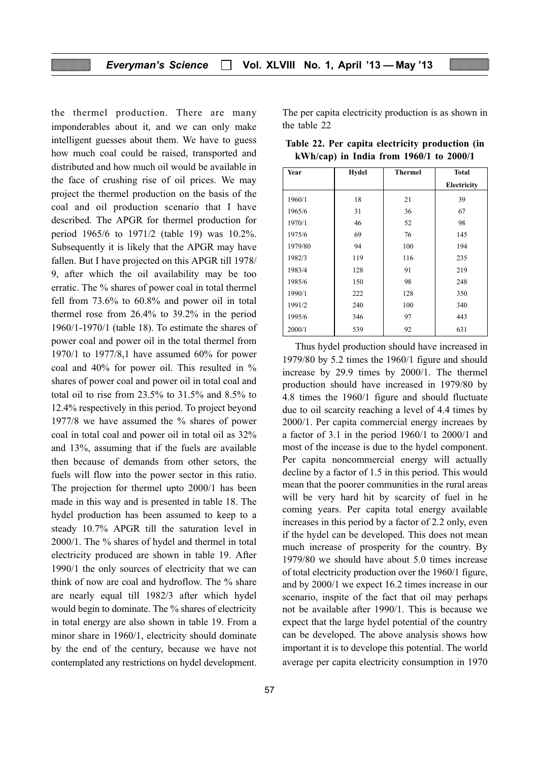the thermel production. There are many imponderables about it, and we can only make intelligent guesses about them. We have to guess how much coal could be raised, transported and distributed and how much oil would be available in the face of crushing rise of oil prices. We may project the thermel production on the basis of the coal and oil production scenario that I have described. The APGR for thermel production for period 1965/6 to 1971/2 (table 19) was 10.2%. Subsequently it is likely that the APGR may have fallen. But I have projected on this APGR till 1978/ 9, after which the oil availability may be too erratic. The % shares of power coal in total thermel fell from 73.6% to 60.8% and power oil in total thermel rose from 26.4% to 39.2% in the period 1960/1-1970/1 (table 18). To estimate the shares of power coal and power oil in the total thermel from 1970/1 to 1977/8,1 have assumed 60% for power coal and 40% for power oil. This resulted in % shares of power coal and power oil in total coal and total oil to rise from 23.5% to 31.5% and 8.5% to 12.4% respectively in this period. To project beyond 1977/8 we have assumed the % shares of power coal in total coal and power oil in total oil as 32% and 13%, assuming that if the fuels are available then because of demands from other setors, the fuels will flow into the power sector in this ratio. The projection for thermel upto 2000/1 has been made in this way and is presented in table 18. The hydel production has been assumed to keep to a steady 10.7% APGR till the saturation level in 2000/1. The % shares of hydel and thermel in total electricity produced are shown in table 19. After 1990/1 the only sources of electricity that we can think of now are coal and hydroflow. The % share are nearly equal till 1982/3 after which hydel would begin to dominate. The % shares of electricity in total energy are also shown in table 19. From a minor share in 1960/1, electricity should dominate by the end of the century, because we have not contemplated any restrictions on hydel development.

The per capita electricity production is as shown in the table 22

| Year    | Hydel | <b>Thermel</b> | <b>Total</b>       |
|---------|-------|----------------|--------------------|
|         |       |                | <b>Electricity</b> |
| 1960/1  | 18    | 21             | 39                 |
| 1965/6  | 31    | 36             | 67                 |
| 1970/1  | 46    | 52             | 98                 |
| 1975/6  | 69    | 76             | 145                |
| 1979/80 | 94    | 100            | 194                |
| 1982/3  | 119   | 116            | 235                |
| 1983/4  | 128   | 91             | 219                |
| 1985/6  | 150   | 98             | 248                |
| 1990/1  | 222   | 128            | 350                |
| 1991/2  | 240   | 100            | 340                |
| 1995/6  | 346   | 97             | 443                |
| 2000/1  | 539   | 92             | 631                |

Table 22. Per capita electricity production (in kWh/cap) in India from 1960/1 to 2000/1

Thus hydel production should have increased in 1979/80 by 5.2 times the 1960/1 figure and should increase by 29.9 times by 2000/1. The thermel production should have increased in 1979/80 by 4.8 times the 1960/1 figure and should fluctuate due to oil scarcity reaching a level of 4.4 times by 2000/1. Per capita commercial energy increaes by a factor of 3.1 in the period 1960/1 to 2000/1 and most of the incease is due to the hydel component. Per capita noncommercial energy will actually decline by a factor of 1.5 in this period. This would mean that the poorer communities in the rural areas will be very hard hit by scarcity of fuel in he coming years. Per capita total energy available increases in this period by a factor of 2.2 only, even if the hydel can be developed. This does not mean much increase of prosperity for the country. By 1979/80 we should have about 5.0 times increase of total electricity production over the 1960/1 figure, and by 2000/1 we expect 16.2 times increase in our scenario, inspite of the fact that oil may perhaps not be available after 1990/1. This is because we expect that the large hydel potential of the country can be developed. The above analysis shows how important it is to develope this potential. The world average per capita electricity consumption in 1970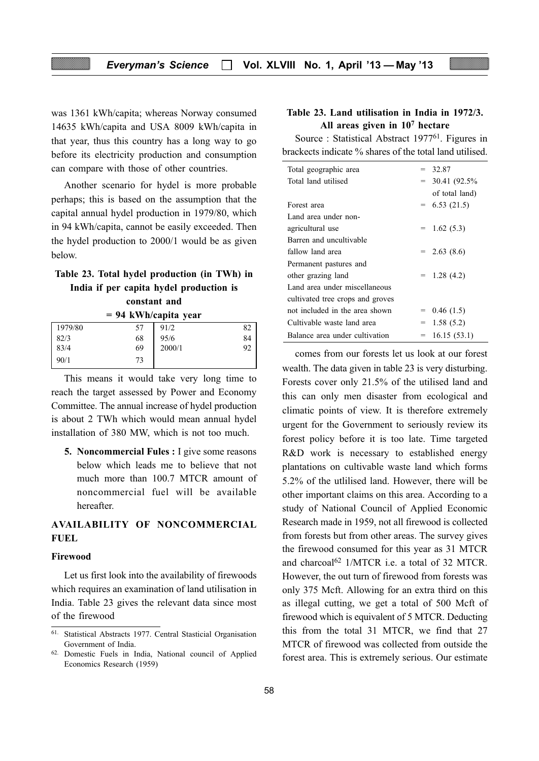was 1361 kWh/capita; whereas Norway consumed 14635 kWh/capita and USA 8009 kWh/capita in that year, thus this country has a long way to go before its electricity production and consumption can compare with those of other countries.

Another scenario for hydel is more probable perhaps; this is based on the assumption that the capital annual hydel production in 1979/80, which in 94 kWh/capita, cannot be easily exceeded. Then the hydel production to 2000/1 would be as given below.

## Table 23. Total hydel production (in TWh) in India if per capita hydel production is constant and

= 94 kWh/capita year

|         |    | $\cdot$ |    |
|---------|----|---------|----|
| 1979/80 | 57 | 91/2    | 82 |
| 82/3    | 68 | 95/6    | 84 |
| 83/4    | 69 | 2000/1  | 92 |
| 90/1    | 73 |         |    |

This means it would take very long time to reach the target assessed by Power and Economy Committee. The annual increase of hydel production is about 2 TWh which would mean annual hydel installation of 380 MW, which is not too much.

5. Noncommercial Fules : I give some reasons below which leads me to believe that not much more than 100.7 MTCR amount of noncommercial fuel will be available hereafter.

## AVAILABILITY OF NONCOMMERCIAL FUEL

#### Firewood

Let us first look into the availability of firewoods which requires an examination of land utilisation in India. Table 23 gives the relevant data since most of the firewood

## Table 23. Land utilisation in India in 1972/3. All areas given in  $10<sup>7</sup>$  hectare

Source : Statistical Abstract 197761. Figures in brackects indicate % shares of the total land utilised.

| Total geographic area            | $= 32.87$        |
|----------------------------------|------------------|
| Total land utilised              | $= 30.41(92.5\%$ |
|                                  | of total land)   |
| Forest area                      | $= 6.53(21.5)$   |
| Land area under non-             |                  |
| agricultural use                 | $= 1.62(5.3)$    |
| Barren and uncultivable          |                  |
| fallow land area                 | $= 2.63(8.6)$    |
| Permanent pastures and           |                  |
| other grazing land               | $= 1.28(4.2)$    |
| Land area under miscellaneous    |                  |
| cultivated tree crops and groves |                  |
| not included in the area shown   | $= 0.46(1.5)$    |
| Cultivable waste land area       | $= 1.58(5.2)$    |
| Balance area under cultivation   | $= 16.15(53.1)$  |

comes from our forests let us look at our forest wealth. The data given in table 23 is very disturbing. Forests cover only 21.5% of the utilised land and this can only men disaster from ecological and climatic points of view. It is therefore extremely urgent for the Government to seriously review its forest policy before it is too late. Time targeted R&D work is necessary to established energy plantations on cultivable waste land which forms 5.2% of the utlilised land. However, there will be other important claims on this area. According to a study of National Council of Applied Economic Research made in 1959, not all firewood is collected from forests but from other areas. The survey gives the firewood consumed for this year as 31 MTCR and charcoal62 1/MTCR i.e. a total of 32 MTCR. However, the out turn of firewood from forests was only 375 Mcft. Allowing for an extra third on this as illegal cutting, we get a total of 500 Mcft of firewood which is equivalent of 5 MTCR. Deducting this from the total 31 MTCR, we find that 27 MTCR of firewood was collected from outside the forest area. This is extremely serious. Our estimate

<sup>61.</sup> Statistical Abstracts 1977. Central Stasticial Organisation Government of India.

<sup>62.</sup> Domestic Fuels in India, National council of Applied Economics Research (1959)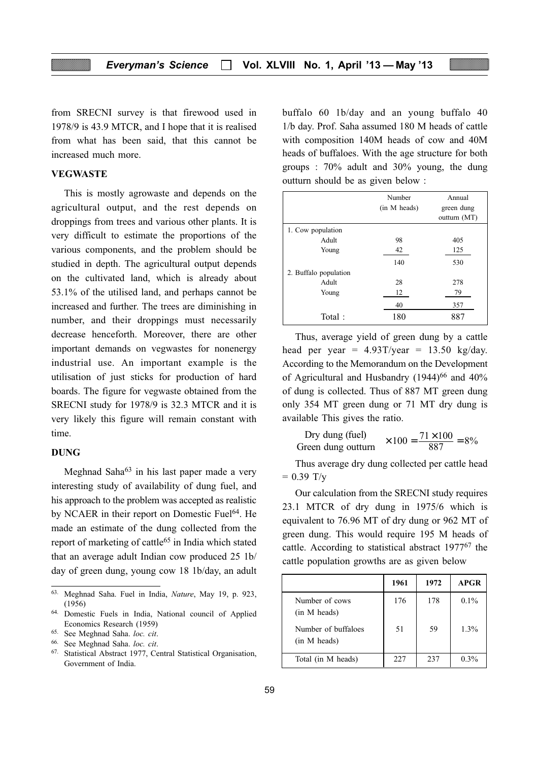from SRECNI survey is that firewood used in 1978/9 is 43.9 MTCR, and I hope that it is realised from what has been said, that this cannot be increased much more.

## VEGWASTE

This is mostly agrowaste and depends on the agricultural output, and the rest depends on droppings from trees and various other plants. It is very difficult to estimate the proportions of the various components, and the problem should be studied in depth. The agricultural output depends on the cultivated land, which is already about 53.1% of the utilised land, and perhaps cannot be increased and further. The trees are diminishing in number, and their droppings must necessarily decrease henceforth. Moreover, there are other important demands on vegwastes for nonenergy industrial use. An important example is the utilisation of just sticks for production of hard boards. The figure for vegwaste obtained from the SRECNI study for 1978/9 is 32.3 MTCR and it is very likely this figure will remain constant with time.

### DUNG

Meghnad Saha<sup>63</sup> in his last paper made a very interesting study of availability of dung fuel, and his approach to the problem was accepted as realistic by NCAER in their report on Domestic Fuel<sup>64</sup>. He made an estimate of the dung collected from the report of marketing of cattle<sup>65</sup> in India which stated that an average adult Indian cow produced 25 1b/ day of green dung, young cow 18 1b/day, an adult

66. See Meghnad Saha. loc. cit.

buffalo 60 1b/day and an young buffalo 40 1/b day. Prof. Saha assumed 180 M heads of cattle with composition 140M heads of cow and 40M heads of buffaloes. With the age structure for both groups : 70% adult and 30% young, the dung outturn should be as given below :

|                       | Number<br>(in M heads) | Annual<br>green dung<br>outturn (MT) |
|-----------------------|------------------------|--------------------------------------|
| 1. Cow population     |                        |                                      |
| Adult                 | 98                     | 405                                  |
| Young                 | 42                     | 125                                  |
|                       | 140                    | 530                                  |
| 2. Buffalo population |                        |                                      |
| Adult                 | 28                     | 278                                  |
| Young                 | 12                     | 79                                   |
|                       | 40                     | 357                                  |
| Total:                | 180                    | 887                                  |

Thus, average yield of green dung by a cattle head per year =  $4.93T/year = 13.50 kg/day.$ According to the Memorandum on the Development of Agricultural and Husbandry  $(1944)^{66}$  and  $40\%$ of dung is collected. Thus of 887 MT green dung only 354 MT green dung or 71 MT dry dung is available This gives the ratio.

$$
ext{Dry dung (fuel)} \quad \times 100 = \frac{71 \times 100}{887} = 8\%
$$

Thus average dry dung collected per cattle head  $= 0.39$  T/y

Our calculation from the SRECNI study requires 23.1 MTCR of dry dung in 1975/6 which is equivalent to 76.96 MT of dry dung or 962 MT of green dung. This would require 195 M heads of cattle. According to statistical abstract 197767 the cattle population growths are as given below

|                                     | 1961 | 1972 | <b>APGR</b> |
|-------------------------------------|------|------|-------------|
| Number of cows<br>(in M heads)      | 176  | 178  | $0.1\%$     |
| Number of buffaloes<br>(in M heads) | 51   | 59   | $1.3\%$     |
| Total (in M heads)                  | 22.7 | 237  | $0.3\%$     |

<sup>63.</sup> Meghnad Saha. Fuel in India, Nature, May 19, p. 923, (1956)

<sup>64.</sup> Domestic Fuels in India, National council of Applied Economics Research (1959)

<sup>65.</sup> See Meghnad Saha. loc. cit.

<sup>67.</sup> Statistical Abstract 1977, Central Statistical Organisation, Government of India.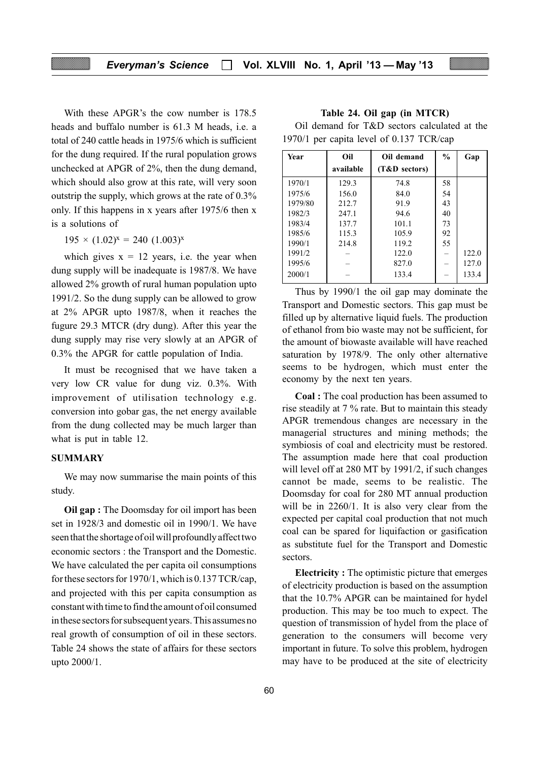With these APGR's the cow number is 178.5 heads and buffalo number is 61.3 M heads, i.e. a total of 240 cattle heads in 1975/6 which is sufficient for the dung required. If the rural population grows unchecked at APGR of 2%, then the dung demand, which should also grow at this rate, will very soon outstrip the supply, which grows at the rate of 0.3% only. If this happens in x years after 1975/6 then x is a solutions of

 $195 \times (1.02)^{x} = 240 (1.003)^{x}$ 

which gives  $x = 12$  years, i.e. the year when dung supply will be inadequate is 1987/8. We have allowed 2% growth of rural human population upto 1991/2. So the dung supply can be allowed to grow at 2% APGR upto 1987/8, when it reaches the fugure 29.3 MTCR (dry dung). After this year the dung supply may rise very slowly at an APGR of 0.3% the APGR for cattle population of India.

It must be recognised that we have taken a very low CR value for dung viz. 0.3%. With improvement of utilisation technology e.g. conversion into gobar gas, the net energy available from the dung collected may be much larger than what is put in table 12.

### SUMMARY

We may now summarise the main points of this study.

Oil gap : The Doomsday for oil import has been set in 1928/3 and domestic oil in 1990/1. We have seen that the shortage of oil will profoundly affect two economic sectors : the Transport and the Domestic. We have calculated the per capita oil consumptions for these sectors for 1970/1, which is 0.137 TCR/cap, and projected with this per capita consumption as constant with time to find the amount of oil consumed in these sectors for subsequent years. This assumes no real growth of consumption of oil in these sectors. Table 24 shows the state of affairs for these sectors upto 2000/1.

|  | Oil demand for T&D sectors calculated at the |  |
|--|----------------------------------------------|--|
|  | 1970/1 per capita level of 0.137 TCR/cap     |  |
|  |                                              |  |

Table 24. Oil gap (in MTCR)

| Year    | Oil       | Oil demand      | $\frac{0}{0}$ | Gap   |
|---------|-----------|-----------------|---------------|-------|
|         | available | $(T&D$ sectors) |               |       |
| 1970/1  | 129.3     | 74.8            | 58            |       |
| 1975/6  | 156.0     | 84.0            | 54            |       |
| 1979/80 | 212.7     | 91.9            | 43            |       |
| 1982/3  | 247.1     | 94.6            | 40            |       |
| 1983/4  | 137.7     | 101.1           | 73            |       |
| 1985/6  | 115.3     | 105.9           | 92            |       |
| 1990/1  | 214.8     | 119.2           | 55            |       |
| 1991/2  |           | 122.0           |               | 122.0 |
| 1995/6  |           | 827.0           |               | 127.0 |
| 2000/1  |           | 133.4           |               | 133.4 |

Thus by 1990/1 the oil gap may dominate the Transport and Domestic sectors. This gap must be filled up by alternative liquid fuels. The production of ethanol from bio waste may not be sufficient, for the amount of biowaste available will have reached saturation by 1978/9. The only other alternative seems to be hydrogen, which must enter the economy by the next ten years.

Coal : The coal production has been assumed to rise steadily at 7 % rate. But to maintain this steady APGR tremendous changes are necessary in the managerial structures and mining methods; the symbiosis of coal and electricity must be restored. The assumption made here that coal production will level off at 280 MT by 1991/2, if such changes cannot be made, seems to be realistic. The Doomsday for coal for 280 MT annual production will be in  $2260/1$ . It is also very clear from the expected per capital coal production that not much coal can be spared for liquifaction or gasification as substitute fuel for the Transport and Domestic sectors.

Electricity : The optimistic picture that emerges of electricity production is based on the assumption that the 10.7% APGR can be maintained for hydel production. This may be too much to expect. The question of transmission of hydel from the place of generation to the consumers will become very important in future. To solve this problem, hydrogen may have to be produced at the site of electricity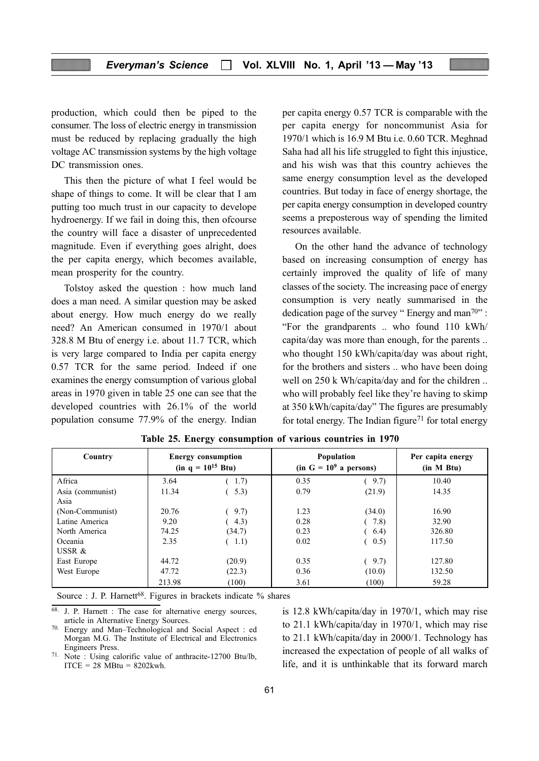production, which could then be piped to the consumer. The loss of electric energy in transmission must be reduced by replacing gradually the high voltage AC transmission systems by the high voltage DC transmission ones.

This then the picture of what I feel would be shape of things to come. It will be clear that I am putting too much trust in our capacity to develope hydroenergy. If we fail in doing this, then ofcourse the country will face a disaster of unprecedented magnitude. Even if everything goes alright, does the per capita energy, which becomes available, mean prosperity for the country.

Tolstoy asked the question : how much land does a man need. A similar question may be asked about energy. How much energy do we really need? An American consumed in 1970/1 about 328.8 M Btu of energy i.e. about 11.7 TCR, which is very large compared to India per capita energy 0.57 TCR for the same period. Indeed if one examines the energy comsumption of various global areas in 1970 given in table 25 one can see that the developed countries with 26.1% of the world population consume 77.9% of the energy. Indian per capita energy 0.57 TCR is comparable with the per capita energy for noncommunist Asia for 1970/1 which is 16.9 M Btu i.e. 0.60 TCR. Meghnad Saha had all his life struggled to fight this injustice, and his wish was that this country achieves the same energy consumption level as the developed countries. But today in face of energy shortage, the per capita energy consumption in developed country seems a preposterous way of spending the limited resources available.

On the other hand the advance of technology based on increasing consumption of energy has certainly improved the quality of life of many classes of the society. The increasing pace of energy consumption is very neatly summarised in the dedication page of the survey " Energy and man<sup>70</sup>" : "For the grandparents .. who found 110 kWh/ capita/day was more than enough, for the parents .. who thought 150 kWh/capita/day was about right, for the brothers and sisters .. who have been doing well on 250 k Wh/capita/day and for the children ... who will probably feel like they're having to skimp at 350 kWh/capita/day" The figures are presumably for total energy. The Indian figure<sup>71</sup> for total energy

| Country          | <b>Energy consumption</b><br>$(in q = 10^{15} Btu)$ |        | Population<br>$(in G = 109 a persons)$ |        | Per capita energy<br>(in M Btu) |
|------------------|-----------------------------------------------------|--------|----------------------------------------|--------|---------------------------------|
| Africa           | 3.64                                                | 1.7)   | 0.35                                   | (9.7)  | 10.40                           |
| Asia (communist) | 11.34                                               | (5.3)  | 0.79                                   | (21.9) | 14.35                           |
| Asia             |                                                     |        |                                        |        |                                 |
| (Non-Communist)  | 20.76                                               | (9.7)  | 1.23                                   | (34.0) | 16.90                           |
| Latine America   | 9.20                                                | 4.3)   | 0.28                                   | 7.8)   | 32.90                           |
| North America    | 74.25                                               | (34.7) | 0.23                                   | 6.4    | 326.80                          |
| Oceania          | 2.35                                                | (1.1)  | 0.02                                   | (0.5)  | 117.50                          |
| USSR &           |                                                     |        |                                        |        |                                 |
| East Europe      | 44.72                                               | (20.9) | 0.35                                   | (9.7)  | 127.80                          |
| West Europe      | 47.72                                               | (22.3) | 0.36                                   | (10.0) | 132.50                          |
|                  | 213.98                                              | (100)  | 3.61                                   | (100)  | 59.28                           |

Table 25. Energy consumption of various countries in 1970

Source : J. P. Harnett<sup>68</sup>. Figures in brackets indicate % shares

68. J. P. Harnett : The case for alternative energy sources, article in Alternative Energy Sources.

70. Energy and Man–Technological and Social Aspect : ed Morgan M.G. The Institute of Electrical and Electronics Engineers Press.

is 12.8 kWh/capita/day in 1970/1, which may rise to 21.1 kWh/capita/day in 1970/1, which may rise to 21.1 kWh/capita/day in 2000/1. Technology has increased the expectation of people of all walks of life, and it is unthinkable that its forward march

<sup>71.</sup> Note : Using calorific value of anthracite-12700 Btu/lb,  $ITCE = 28$  MBtu = 8202kwh.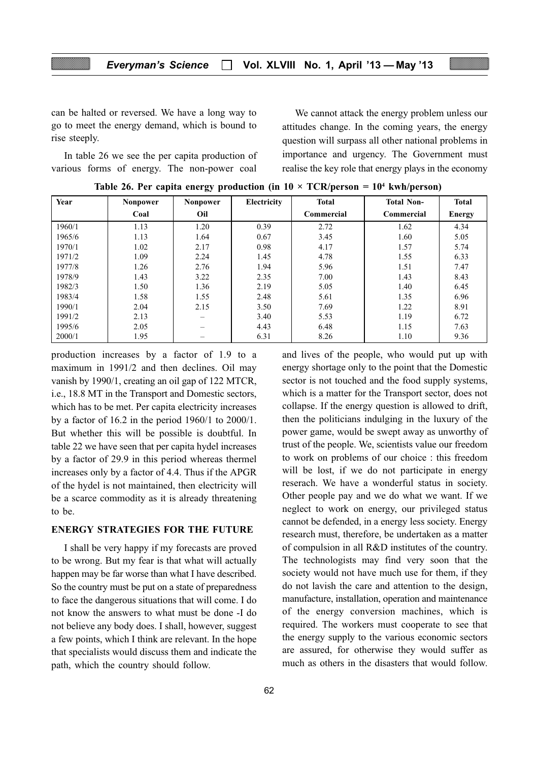can be halted or reversed. We have a long way to go to meet the energy demand, which is bound to rise steeply.

In table 26 we see the per capita production of various forms of energy. The non-power coal

We cannot attack the energy problem unless our attitudes change. In the coming years, the energy question will surpass all other national problems in importance and urgency. The Government must realise the key role that energy plays in the economy

| Year   | <b>Nonpower</b> | Nonpower | Electricity | <b>Total</b> | <b>Total Non-</b> | <b>Total</b>  |
|--------|-----------------|----------|-------------|--------------|-------------------|---------------|
|        | Coal            | Oil      |             | Commercial   | Commercial        | <b>Energy</b> |
| 1960/1 | 1.13            | 1.20     | 0.39        | 2.72         | 1.62              | 4.34          |
| 1965/6 | 1.13            | 1.64     | 0.67        | 3.45         | 1.60              | 5.05          |
| 1970/1 | 1.02            | 2.17     | 0.98        | 4.17         | 1.57              | 5.74          |
| 1971/2 | 1.09            | 2.24     | 1.45        | 4.78         | 1.55              | 6.33          |
| 1977/8 | 1.26            | 2.76     | 1.94        | 5.96         | 1.51              | 7.47          |
| 1978/9 | 1.43            | 3.22     | 2.35        | 7.00         | 1.43              | 8.43          |
| 1982/3 | 1.50            | 1.36     | 2.19        | 5.05         | 1.40              | 6.45          |
| 1983/4 | 1.58            | 1.55     | 2.48        | 5.61         | 1.35              | 6.96          |
| 1990/1 | 2.04            | 2.15     | 3.50        | 7.69         | 1.22              | 8.91          |
| 1991/2 | 2.13            |          | 3.40        | 5.53         | 1.19              | 6.72          |
| 1995/6 | 2.05            |          | 4.43        | 6.48         | 1.15              | 7.63          |
| 2000/1 | 1.95            |          | 6.31        | 8.26         | 1.10              | 9.36          |

Table 26. Per capita energy production (in  $10 \times TCR/person = 10^4$  kwh/person)

production increases by a factor of 1.9 to a maximum in 1991/2 and then declines. Oil may vanish by 1990/1, creating an oil gap of 122 MTCR, i.e., 18.8 MT in the Transport and Domestic sectors, which has to be met. Per capita electricity increases by a factor of 16.2 in the period 1960/1 to 2000/1. But whether this will be possible is doubtful. In table 22 we have seen that per capita hydel increases by a factor of 29.9 in this period whereas thermel increases only by a factor of 4.4. Thus if the APGR of the hydel is not maintained, then electricity will be a scarce commodity as it is already threatening to be.

### ENERGY STRATEGIES FOR THE FUTURE

I shall be very happy if my forecasts are proved to be wrong. But my fear is that what will actually happen may be far worse than what I have described. So the country must be put on a state of preparedness to face the dangerous situations that will come. I do not know the answers to what must be done -I do not believe any body does. I shall, however, suggest a few points, which I think are relevant. In the hope that specialists would discuss them and indicate the path, which the country should follow.

and lives of the people, who would put up with energy shortage only to the point that the Domestic sector is not touched and the food supply systems, which is a matter for the Transport sector, does not collapse. If the energy question is allowed to drift, then the politicians indulging in the luxury of the power game, would be swept away as unworthy of trust of the people. We, scientists value our freedom to work on problems of our choice : this freedom will be lost, if we do not participate in energy reserach. We have a wonderful status in society. Other people pay and we do what we want. If we neglect to work on energy, our privileged status cannot be defended, in a energy less society. Energy research must, therefore, be undertaken as a matter of compulsion in all R&D institutes of the country. The technologists may find very soon that the society would not have much use for them, if they do not lavish the care and attention to the design, manufacture, installation, operation and maintenance of the energy conversion machines, which is required. The workers must cooperate to see that the energy supply to the various economic sectors are assured, for otherwise they would suffer as much as others in the disasters that would follow.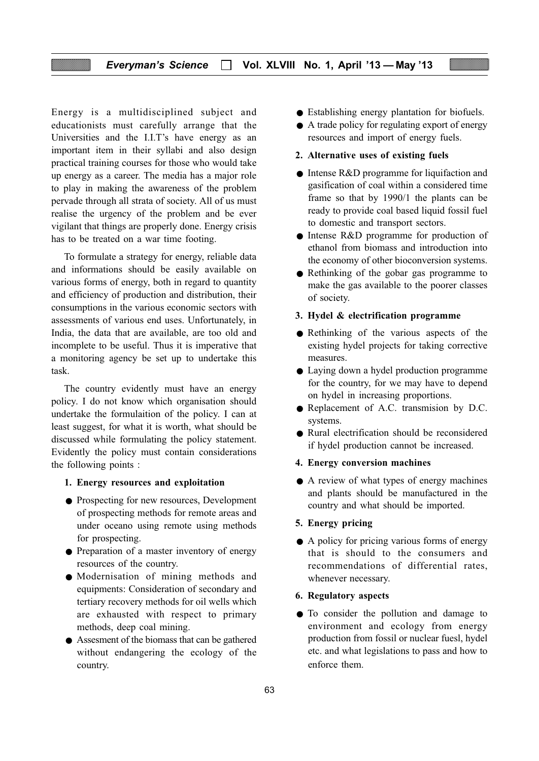### Everyman's Science  $\Box$  Vol. XLVIII No. 1, April '13 - May '13

Energy is a multidisciplined subject and educationists must carefully arrange that the Universities and the I.I.T's have energy as an important item in their syllabi and also design practical training courses for those who would take up energy as a career. The media has a major role to play in making the awareness of the problem pervade through all strata of society. All of us must realise the urgency of the problem and be ever vigilant that things are properly done. Energy crisis has to be treated on a war time footing.

To formulate a strategy for energy, reliable data and informations should be easily available on various forms of energy, both in regard to quantity and efficiency of production and distribution, their consumptions in the various economic sectors with assessments of various end uses. Unfortunately, in India, the data that are available, are too old and incomplete to be useful. Thus it is imperative that a monitoring agency be set up to undertake this task.

The country evidently must have an energy policy. I do not know which organisation should undertake the formulaition of the policy. I can at least suggest, for what it is worth, what should be discussed while formulating the policy statement. Evidently the policy must contain considerations the following points :

#### 1. Energy resources and exploitation

- Prospecting for new resources, Development of prospecting methods for remote areas and under oceano using remote using methods for prospecting.
- Preparation of a master inventory of energy resources of the country.
- Modernisation of mining methods and equipments: Consideration of secondary and tertiary recovery methods for oil wells which are exhausted with respect to primary methods, deep coal mining.
- Assesment of the biomass that can be gathered without endangering the ecology of the country.
- Establishing energy plantation for biofuels.
- A trade policy for regulating export of energy resources and import of energy fuels.
- 2. Alternative uses of existing fuels
- Intense R&D programme for liquifaction and gasification of coal within a considered time frame so that by 1990/1 the plants can be ready to provide coal based liquid fossil fuel to domestic and transport sectors.
- Intense R&D programme for production of ethanol from biomass and introduction into the economy of other bioconversion systems.
- Rethinking of the gobar gas programme to make the gas available to the poorer classes of society.

#### 3. Hydel & electrification programme

- Rethinking of the various aspects of the existing hydel projects for taking corrective measures.
- Laying down a hydel production programme for the country, for we may have to depend on hydel in increasing proportions.
- Replacement of A.C. transmision by D.C. systems.
- Rural electrification should be reconsidered if hydel production cannot be increased.

### 4. Energy conversion machines

● A review of what types of energy machines and plants should be manufactured in the country and what should be imported.

#### 5. Energy pricing

● A policy for pricing various forms of energy that is should to the consumers and recommendations of differential rates, whenever necessary.

#### 6. Regulatory aspects

● To consider the pollution and damage to environment and ecology from energy production from fossil or nuclear fuesl, hydel etc. and what legislations to pass and how to enforce them.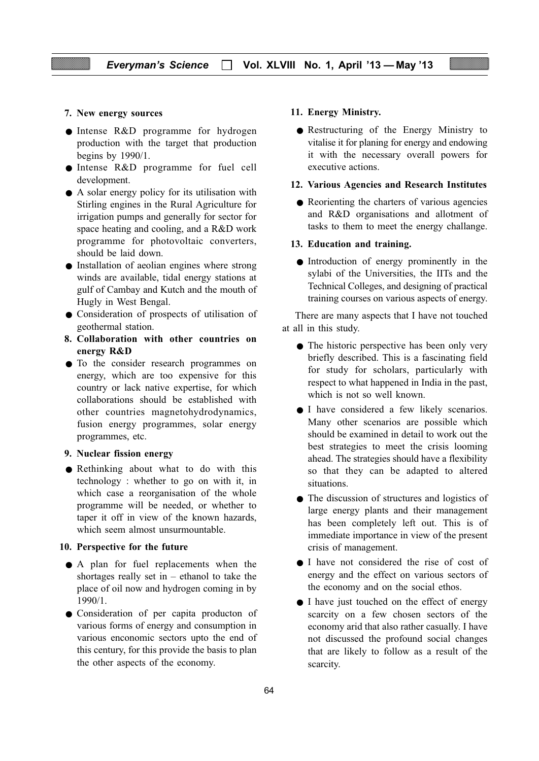#### 7. New energy sources

- Intense R&D programme for hydrogen production with the target that production begins by 1990/1.
- Intense R&D programme for fuel cell development.
- A solar energy policy for its utilisation with Stirling engines in the Rural Agriculture for irrigation pumps and generally for sector for space heating and cooling, and a R&D work programme for photovoltaic converters, should be laid down.
- Installation of aeolian engines where strong winds are available, tidal energy stations at gulf of Cambay and Kutch and the mouth of Hugly in West Bengal.
- Consideration of prospects of utilisation of geothermal station.
- 8. Collaboration with other countries on energy R&D
- To the consider research programmes on energy, which are too expensive for this country or lack native expertise, for which collaborations should be established with other countries magnetohydrodynamics, fusion energy programmes, solar energy programmes, etc.

#### 9. Nuclear fission energy

● Rethinking about what to do with this technology : whether to go on with it, in which case a reorganisation of the whole programme will be needed, or whether to taper it off in view of the known hazards, which seem almost unsurmountable.

#### 10. Perspective for the future

- A plan for fuel replacements when the shortages really set in  $-$  ethanol to take the place of oil now and hydrogen coming in by 1990/1.
- Consideration of per capita producton of various forms of energy and consumption in various enconomic sectors upto the end of this century, for this provide the basis to plan the other aspects of the economy.

#### 11. Energy Ministry.

● Restructuring of the Energy Ministry to vitalise it for planing for energy and endowing it with the necessary overall powers for executive actions.

#### 12. Various Agencies and Research Institutes

● Reorienting the charters of various agencies and R&D organisations and allotment of tasks to them to meet the energy challange.

#### 13. Education and training.

● Introduction of energy prominently in the sylabi of the Universities, the IITs and the Technical Colleges, and designing of practical training courses on various aspects of energy.

There are many aspects that I have not touched at all in this study.

- The historic perspective has been only very briefly described. This is a fascinating field for study for scholars, particularly with respect to what happened in India in the past, which is not so well known.
- I have considered a few likely scenarios. Many other scenarios are possible which should be examined in detail to work out the best strategies to meet the crisis looming ahead. The strategies should have a flexibility so that they can be adapted to altered situations.
- The discussion of structures and logistics of large energy plants and their management has been completely left out. This is of immediate importance in view of the present crisis of management.
- I have not considered the rise of cost of energy and the effect on various sectors of the economy and on the social ethos.
- I have just touched on the effect of energy scarcity on a few chosen sectors of the economy arid that also rather casually. I have not discussed the profound social changes that are likely to follow as a result of the scarcity.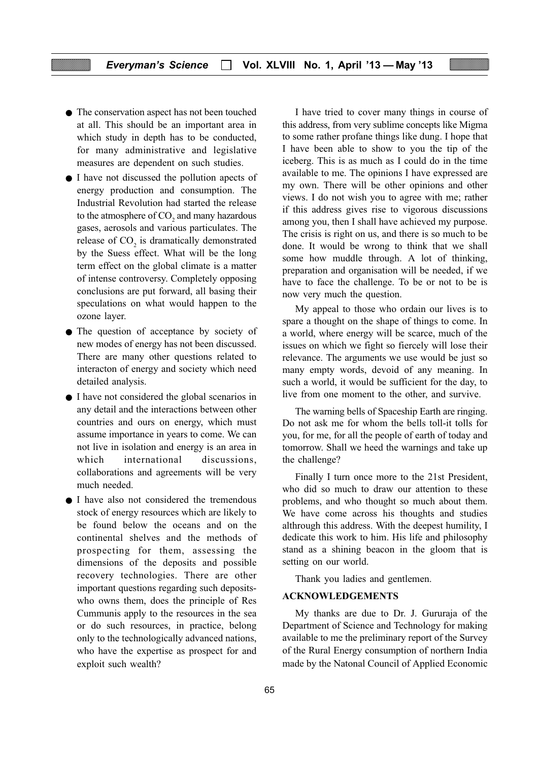- The conservation aspect has not been touched at all. This should be an important area in which study in depth has to be conducted, for many administrative and legislative measures are dependent on such studies.
- I have not discussed the pollution apects of energy production and consumption. The Industrial Revolution had started the release to the atmosphere of  $\mathrm{CO}_2$  and many hazardous gases, aerosols and various particulates. The release of  $CO<sub>2</sub>$  is dramatically demonstrated by the Suess effect. What will be the long term effect on the global climate is a matter of intense controversy. Completely opposing conclusions are put forward, all basing their speculations on what would happen to the ozone layer.
- The question of acceptance by society of new modes of energy has not been discussed. There are many other questions related to interacton of energy and society which need detailed analysis.
- I have not considered the global scenarios in any detail and the interactions between other countries and ours on energy, which must assume importance in years to come. We can not live in isolation and energy is an area in which international discussions, collaborations and agreements will be very much needed.
- I have also not considered the tremendous stock of energy resources which are likely to be found below the oceans and on the continental shelves and the methods of prospecting for them, assessing the dimensions of the deposits and possible recovery technologies. There are other important questions regarding such depositswho owns them, does the principle of Res Cummunis apply to the resources in the sea or do such resources, in practice, belong only to the technologically advanced nations, who have the expertise as prospect for and exploit such wealth?

I have tried to cover many things in course of this address, from very sublime concepts like Migma to some rather profane things like dung. I hope that I have been able to show to you the tip of the iceberg. This is as much as I could do in the time available to me. The opinions I have expressed are my own. There will be other opinions and other views. I do not wish you to agree with me; rather if this address gives rise to vigorous discussions among you, then I shall have achieved my purpose. The crisis is right on us, and there is so much to be done. It would be wrong to think that we shall some how muddle through. A lot of thinking, preparation and organisation will be needed, if we have to face the challenge. To be or not to be is now very much the question.

My appeal to those who ordain our lives is to spare a thought on the shape of things to come. In a world, where energy will be scarce, much of the issues on which we fight so fiercely will lose their relevance. The arguments we use would be just so many empty words, devoid of any meaning. In such a world, it would be sufficient for the day, to live from one moment to the other, and survive.

The warning bells of Spaceship Earth are ringing. Do not ask me for whom the bells toll-it tolls for you, for me, for all the people of earth of today and tomorrow. Shall we heed the warnings and take up the challenge?

Finally I turn once more to the 21st President, who did so much to draw our attention to these problems, and who thought so much about them. We have come across his thoughts and studies althrough this address. With the deepest humility, I dedicate this work to him. His life and philosophy stand as a shining beacon in the gloom that is setting on our world.

Thank you ladies and gentlemen.

### ACKNOWLEDGEMENTS

My thanks are due to Dr. J. Gururaja of the Department of Science and Technology for making available to me the preliminary report of the Survey of the Rural Energy consumption of northern India made by the Natonal Council of Applied Economic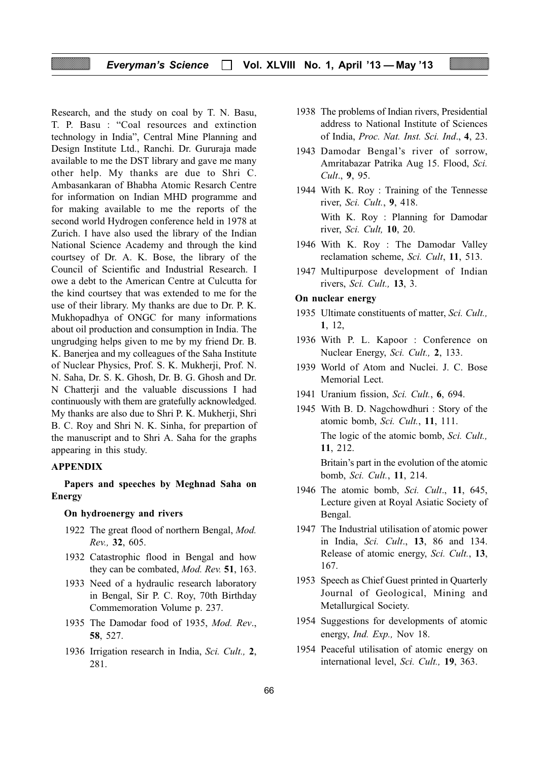Research, and the study on coal by T. N. Basu, T. P. Basu : "Coal resources and extinction technology in India", Central Mine Planning and Design Institute Ltd., Ranchi. Dr. Gururaja made available to me the DST library and gave me many other help. My thanks are due to Shri C. Ambasankaran of Bhabha Atomic Resarch Centre for information on Indian MHD programme and for making available to me the reports of the second world Hydrogen conference held in 1978 at Zurich. I have also used the library of the Indian National Science Academy and through the kind courtsey of Dr. A. K. Bose, the library of the Council of Scientific and Industrial Research. I owe a debt to the American Centre at Culcutta for the kind courtsey that was extended to me for the use of their library. My thanks are due to Dr. P. K. Mukhopadhya of ONGC for many informations about oil production and consumption in India. The ungrudging helps given to me by my friend Dr. B. K. Banerjea and my colleagues of the Saha Institute of Nuclear Physics, Prof. S. K. Mukherji, Prof. N. N. Saha, Dr. S. K. Ghosh, Dr. B. G. Ghosh and Dr. N Chatterji and the valuable discussions I had continuously with them are gratefully acknowledged. My thanks are also due to Shri P. K. Mukherji, Shri B. C. Roy and Shri N. K. Sinha, for prepartion of the manuscript and to Shri A. Saha for the graphs appearing in this study.

### APPENDIX

Papers and speeches by Meghnad Saha on Energy

### On hydroenergy and rivers

- 1922 The great flood of northern Bengal, Mod. Rev., 32, 605.
- 1932 Catastrophic flood in Bengal and how they can be combated, Mod. Rev. 51, 163.
- 1933 Need of a hydraulic research laboratory in Bengal, Sir P. C. Roy, 70th Birthday Commemoration Volume p. 237.
- 1935 The Damodar food of 1935, Mod. Rev., 58, 527.
- 1936 Irrigation research in India, Sci. Cult., 2, 281.
- 1938 The problems of Indian rivers, Presidential address to National Institute of Sciences of India, Proc. Nat. Inst. Sci. Ind., 4, 23.
- 1943 Damodar Bengal's river of sorrow, Amritabazar Patrika Aug 15. Flood, Sci. Cult., 9, 95.
- 1944 With K. Roy : Training of the Tennesse river, Sci. Cult., 9, 418. With K. Roy : Planning for Damodar river, Sci. Cult, 10, 20.
- 1946 With K. Roy : The Damodar Valley reclamation scheme, Sci. Cult, 11, 513.
- 1947 Multipurpose development of Indian rivers, Sci. Cult., 13, 3.
- On nuclear energy
- 1935 Ultimate constituents of matter, Sci. Cult., 1, 12,
- 1936 With P. L. Kapoor : Conference on Nuclear Energy, Sci. Cult., 2, 133.
- 1939 World of Atom and Nuclei. J. C. Bose Memorial Lect.
- 1941 Uranium fission, Sci. Cult., 6, 694.
- 1945 With B. D. Nagchowdhuri : Story of the atomic bomb, Sci. Cult., 11, 111. The logic of the atomic bomb, Sci. Cult., 11, 212. Britain's part in the evolution of the atomic bomb, Sci. Cult., 11, 214.
- 1946 The atomic bomb, Sci. Cult., 11, 645, Lecture given at Royal Asiatic Society of Bengal.
- 1947 The Industrial utilisation of atomic power in India, Sci. Cult., 13, 86 and 134. Release of atomic energy, Sci. Cult., 13, 167.
- 1953 Speech as Chief Guest printed in Quarterly Journal of Geological, Mining and Metallurgical Society.
- 1954 Suggestions for developments of atomic energy, Ind. Exp., Nov 18.
- 1954 Peaceful utilisation of atomic energy on international level, Sci. Cult., 19, 363.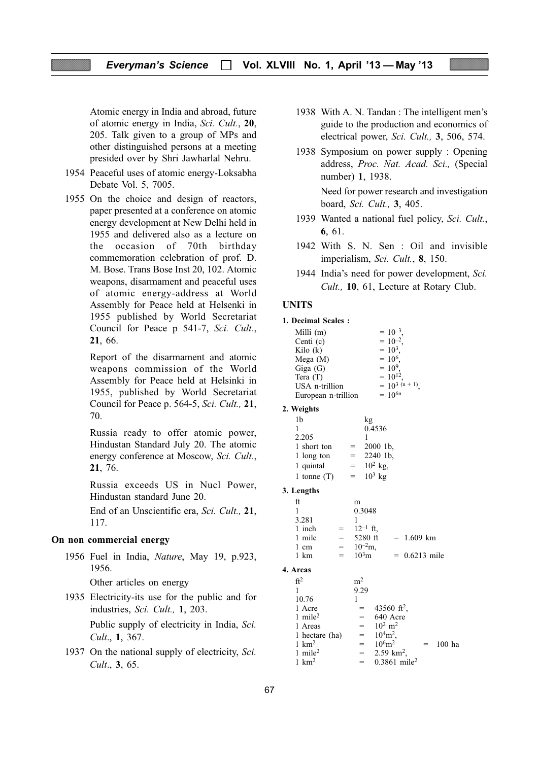### Everyman's Science  $\Box$  Vol. XLVIII No. 1, April '13 - May '13

Atomic energy in India and abroad, future of atomic energy in India, Sci. Cult., 20, 205. Talk given to a group of MPs and other distinguished persons at a meeting presided over by Shri Jawharlal Nehru.

- 1954 Peaceful uses of atomic energy-Loksabha Debate Vol. 5, 7005.
- 1955 On the choice and design of reactors, paper presented at a conference on atomic energy development at New Delhi held in 1955 and delivered also as a lecture on the occasion of 70th birthday commemoration celebration of prof. D. M. Bose. Trans Bose Inst 20, 102. Atomic weapons, disarmament and peaceful uses of atomic energy-address at World Assembly for Peace held at Helsenki in 1955 published by World Secretariat Council for Peace p 541-7, Sci. Cult., 21, 66.

Report of the disarmament and atomic weapons commission of the World Assembly for Peace held at Helsinki in 1955, published by World Secretariat Council for Peace p. 564-5, Sci. Cult., 21, 70.

Russia ready to offer atomic power, Hindustan Standard July 20. The atomic energy conference at Moscow, Sci. Cult., 21, 76.

Russia exceeds US in Nucl Power, Hindustan standard June 20.

End of an Unscientific era, Sci. Cult., 21, 117.

#### On non commercial energy

1956 Fuel in India, Nature, May 19, p.923, 1956.

Other articles on energy

1935 Electricity-its use for the public and for industries, Sci. Cult., 1, 203.

> Public supply of electricity in India, Sci. Cult., 1, 367.

1937 On the national supply of electricity, Sci. Cult., 3, 65.

- 1938 With A. N. Tandan : The intelligent men's guide to the production and economics of electrical power, Sci. Cult., 3, 506, 574.
- 1938 Symposium on power supply : Opening address, Proc. Nat. Acad. Sci., (Special number) 1, 1938. Need for power research and investigation board, Sci. Cult., 3, 405.
- 1939 Wanted a national fuel policy, Sci. Cult., 6, 61.
- 1942 With S. N. Sen : Oil and invisible imperialism, Sci. Cult., 8, 150.
- 1944 India's need for power development, Sci. Cult., 10, 61, Lecture at Rotary Club.

#### UNITS

#### 1. Decimal Scales :

| Milli $(m)$<br>Centi (c)<br>Kilo $(k)$<br>Mega(M)<br>Giga $(G)$<br>Tera $(T)$<br>USA n-trillion | $= 10^{-3}$ .<br>$= 10^{-2}$ ,<br>$= 10^3$ ,<br>$= 10^6$ .<br>$= 10^9$ .<br>$= 10^{12}$<br>$= 10^{3}$ (n + 1).<br>$= 10^{6n}$ |
|-------------------------------------------------------------------------------------------------|-------------------------------------------------------------------------------------------------------------------------------|
| European n-trillion                                                                             |                                                                                                                               |
|                                                                                                 |                                                                                                                               |

## 2. Weights

| 1b            |     | kg         |
|---------------|-----|------------|
| 1             |     | 0.4536     |
| 2.205         |     |            |
| 1 short ton   |     | 2000 lb.   |
| 1 long ton    | =   | 2240 lb,   |
| 1 quintal     | $=$ | $10^2$ kg, |
| 1 tonne $(T)$ | $=$ | $10^3$ kg  |

#### 3. Lengths

| ft     |     | m             |                 |
|--------|-----|---------------|-----------------|
| 1      |     | 0.3048        |                 |
| 3.281  |     |               |                 |
| 1 inch | $=$ | $12^{-1}$ ft. |                 |
| 1 mile | $=$ | $5280$ ft     | $= 1.609$ km    |
| 1 cm   | $=$ | $10^{-2}$ m,  |                 |
| 1 km   | $=$ | $103$ m       | $= 0.6213$ mile |
|        |     |               |                 |

### 4. Areas

| ft <sup>2</sup>  | m <sup>2</sup> |                                    |     |          |
|------------------|----------------|------------------------------------|-----|----------|
| 1                | 9.29           |                                    |     |          |
| 10.76            |                |                                    |     |          |
| 1 Acre           | $=$            | 43560 ft <sup>2</sup> ,            |     |          |
| 1 mile $^2$      | $=$            | 640 Acre                           |     |          |
| 1 Areas          |                | $=$ 10 <sup>2</sup> m <sup>2</sup> |     |          |
| 1 hectare (ha)   |                | $= 104m2$ ,                        |     |          |
| $1 \text{ km}^2$ |                | $= 10^6 \text{m}^2$                | $=$ | $100$ ha |
| 1 mile $^2$      |                | $=$ 2.59 km <sup>2</sup> .         |     |          |
| $1 \text{ km}^2$ | $=$            | $0.3861$ mile <sup>2</sup>         |     |          |
|                  |                |                                    |     |          |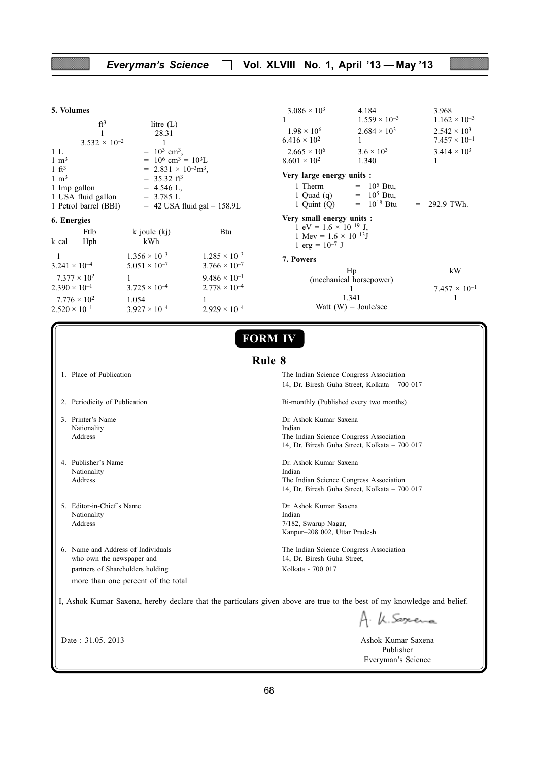#### 5. Volumes

| ft <sup>3</sup>        | litre $(L)$<br>28.31                         |
|------------------------|----------------------------------------------|
| $3.532 \times 10^{-2}$ |                                              |
| 1 L                    | $= 10^3$ cm <sup>3</sup> .                   |
| $1 \text{ m}^3$        | $= 10^6$ cm <sup>3</sup> = 10 <sup>3</sup> L |
| 1 $\mathrm{ft}^3$      | $= 2.831 \times 10^{-3} \text{m}^3$ ,        |
| $1 \text{ m}^3$        | $= 35.32 \text{ ft}^3$                       |
| 1 Imp gallon           | $= 4.546$ L.                                 |
| 1 USA fluid gallon     | $= 3.785$ L                                  |
| 1 Petrol barrel (BBI)  | $= 42$ USA fluid gal $= 158.9$ L             |
|                        |                                              |

| 6. Energies                                     |                                                  |                                                  | Very sm                |
|-------------------------------------------------|--------------------------------------------------|--------------------------------------------------|------------------------|
| Ftlb<br>Hph<br>k cal                            | $k$ joule $(kj)$<br>kWh                          | <b>Btu</b>                                       | 1 eV<br>1 M<br>$1$ erg |
| $3.241 \times 10^{-4}$                          | $1.356 \times 10^{-3}$<br>$5.051 \times 10^{-7}$ | $1.285 \times 10^{-3}$<br>$3.766 \times 10^{-7}$ | 7. Powe                |
| $7.377 \times 10^{2}$<br>$2.390 \times 10^{-1}$ | $3.725 \times 10^{-4}$                           | $9.486 \times 10^{-1}$<br>$2.778 \times 10^{-4}$ |                        |
| $7.776 \times 10^{2}$<br>$2.520 \times 10^{-1}$ | 1.054<br>$3.927 \times 10^{-4}$                  | $2.929 \times 10^{-4}$                           |                        |

| $3.086 \times 10^{3}$                                                                                                                 | 4.184                                                                             | 3.968                  |
|---------------------------------------------------------------------------------------------------------------------------------------|-----------------------------------------------------------------------------------|------------------------|
| 1                                                                                                                                     | $1.559 \times 10^{-3}$                                                            | $1.162 \times 10^{-3}$ |
| $1.98 \times 10^6$                                                                                                                    | $2.684 \times 10^3$                                                               | $2.542 \times 10^3$    |
| $6.416 \times 10^{2}$                                                                                                                 | 1                                                                                 | $7.457 \times 10^{-1}$ |
| $2.665 \times 10^{6}$                                                                                                                 | $3.6 \times 10^{3}$                                                               | $3.414 \times 10^{3}$  |
| $8.601 \times 10^{2}$                                                                                                                 | 1.340                                                                             | 1                      |
| Very large energy units :                                                                                                             |                                                                                   |                        |
| 1 Therm                                                                                                                               | $= 10^5$ Btu,<br>1 Quad (q) $= 10^5$ Btu,<br>1 Quint $(Q)$ = 10 <sup>18</sup> Btu | $= 292.9$ TWh.         |
| Very small energy units:<br>1 eV = $1.6 \times 10^{-19}$ J,<br>1 Mev = $1.6 \times 10^{-13}$ J<br>$1 \text{ erg} = 10^{-7} \text{ J}$ |                                                                                   |                        |
| 7. Powers                                                                                                                             |                                                                                   |                        |
|                                                                                                                                       | Hp                                                                                | kW                     |
| (mechanical horsepower)                                                                                                               |                                                                                   | $7.457 \times 10^{-1}$ |
|                                                                                                                                       | 1.341                                                                             | 1                      |
|                                                                                                                                       | Watt $(W) = Joule/sec$                                                            |                        |

FORM IV

### Rule 8

- 
- 
- Nationality Indian Address The Indian Property of the Indian Property Indian Property Indian Property Indian Property Indian Property Indian Property Indian Property Indian Property Indian Property Indian Property Indian P
- Nationality **Indian**
- 5. Editor-in-Chief's Name Dr. Ashok Kumar Saxena Nationality Dr. Ashok Kumar Saxena Nationality Dr. Ashok Kumar Saxena Nationality Dr. Ashok Kumar Saxena Nationality Dr. Ashok Kumar Saxena Nationality Dr. Ashok Kumar Saxen Nationality
- who own the newspaper and partners of Shareholders holding Kolkata - 700 017 more than one percent of the total

1. Place of Publication The Indian Science Congress Association 14, Dr. Biresh Guha Street, Kolkata – 700 017

2. Periodicity of Publication Bi-monthly (Published every two months)

3. Printer's Name Dr. Ashok Kumar Saxena The Indian Science Congress Association 14, Dr. Biresh Guha Street, Kolkata – 700 017

4. Publisher's Name Dr. Ashok Kumar Saxena Address The Indian Science Congress Association 14, Dr. Biresh Guha Street, Kolkata – 700 017

Address 7/182, Swarup Nagar, Kanpur–208 002, Uttar Pradesh

6. Name and Address of Individuals The Indian Science Congress Association who own the newspaper and 14, Dr. Biresh Guha Street,

I, Ashok Kumar Saxena, hereby declare that the particulars given above are true to the best of my knowledge and belief.

A. K. Sexena

Date : 31.05. 2013 Ashok Kumar Saxena Publisher Everyman's Science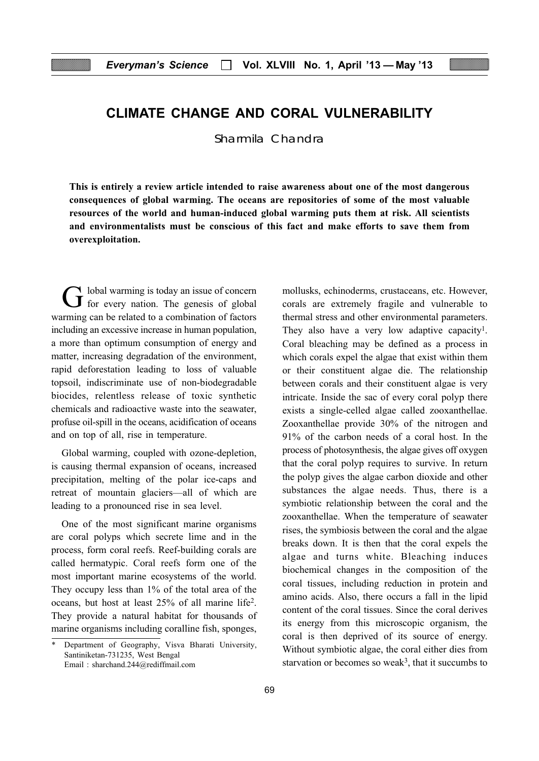# CLIMATE CHANGE AND CORAL VULNERABILITY

Sharmila Chandra

This is entirely a review article intended to raise awareness about one of the most dangerous consequences of global warming. The oceans are repositories of some of the most valuable resources of the world and human-induced global warming puts them at risk. All scientists and environmentalists must be conscious of this fact and make efforts to save them from overexploitation.

 $\cup$  lobal warming is today an issue of concern  $\bf{J}$  for every nation. The genesis of global warming can be related to a combination of factors including an excessive increase in human population, a more than optimum consumption of energy and matter, increasing degradation of the environment, rapid deforestation leading to loss of valuable topsoil, indiscriminate use of non-biodegradable biocides, relentless release of toxic synthetic chemicals and radioactive waste into the seawater, profuse oil-spill in the oceans, acidification of oceans and on top of all, rise in temperature.

Global warming, coupled with ozone-depletion, is causing thermal expansion of oceans, increased precipitation, melting of the polar ice-caps and retreat of mountain glaciers—all of which are leading to a pronounced rise in sea level.

One of the most significant marine organisms are coral polyps which secrete lime and in the process, form coral reefs. Reef-building corals are called hermatypic. Coral reefs form one of the most important marine ecosystems of the world. They occupy less than 1% of the total area of the oceans, but host at least 25% of all marine life2. They provide a natural habitat for thousands of marine organisms including coralline fish, sponges,

mollusks, echinoderms, crustaceans, etc. However, corals are extremely fragile and vulnerable to thermal stress and other environmental parameters. They also have a very low adaptive capacity<sup>1</sup>. Coral bleaching may be defined as a process in which corals expel the algae that exist within them or their constituent algae die. The relationship between corals and their constituent algae is very intricate. Inside the sac of every coral polyp there exists a single-celled algae called zooxanthellae. Zooxanthellae provide 30% of the nitrogen and 91% of the carbon needs of a coral host. In the process of photosynthesis, the algae gives off oxygen that the coral polyp requires to survive. In return the polyp gives the algae carbon dioxide and other substances the algae needs. Thus, there is a symbiotic relationship between the coral and the zooxanthellae. When the temperature of seawater rises, the symbiosis between the coral and the algae breaks down. It is then that the coral expels the algae and turns white. Bleaching induces biochemical changes in the composition of the coral tissues, including reduction in protein and amino acids. Also, there occurs a fall in the lipid content of the coral tissues. Since the coral derives its energy from this microscopic organism, the coral is then deprived of its source of energy. Without symbiotic algae, the coral either dies from starvation or becomes so weak<sup>3</sup>, that it succumbs to

Department of Geography, Visva Bharati University, Santiniketan-731235, West Bengal Email : sharchand.244@rediffmail.com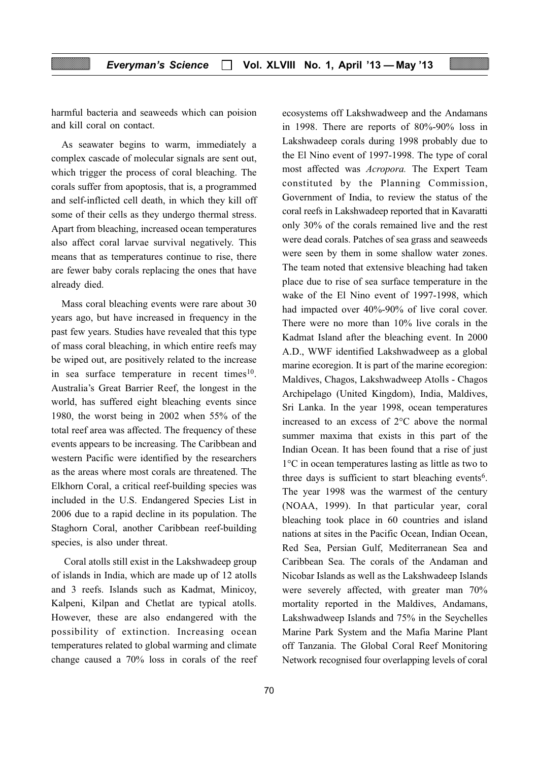harmful bacteria and seaweeds which can poision and kill coral on contact.

As seawater begins to warm, immediately a complex cascade of molecular signals are sent out, which trigger the process of coral bleaching. The corals suffer from apoptosis, that is, a programmed and self-inflicted cell death, in which they kill off some of their cells as they undergo thermal stress. Apart from bleaching, increased ocean temperatures also affect coral larvae survival negatively. This means that as temperatures continue to rise, there are fewer baby corals replacing the ones that have already died.

Mass coral bleaching events were rare about 30 years ago, but have increased in frequency in the past few years. Studies have revealed that this type of mass coral bleaching, in which entire reefs may be wiped out, are positively related to the increase in sea surface temperature in recent times $10$ . Australia's Great Barrier Reef, the longest in the world, has suffered eight bleaching events since 1980, the worst being in 2002 when 55% of the total reef area was affected. The frequency of these events appears to be increasing. The Caribbean and western Pacific were identified by the researchers as the areas where most corals are threatened. The Elkhorn Coral, a critical reef-building species was included in the U.S. Endangered Species List in 2006 due to a rapid decline in its population. The Staghorn Coral, another Caribbean reef-building species, is also under threat.

Coral atolls still exist in the Lakshwadeep group of islands in India, which are made up of 12 atolls and 3 reefs. Islands such as Kadmat, Minicoy, Kalpeni, Kilpan and Chetlat are typical atolls. However, these are also endangered with the possibility of extinction. Increasing ocean temperatures related to global warming and climate change caused a 70% loss in corals of the reef ecosystems off Lakshwadweep and the Andamans in 1998. There are reports of 80%-90% loss in Lakshwadeep corals during 1998 probably due to the El Nino event of 1997-1998. The type of coral most affected was Acropora. The Expert Team constituted by the Planning Commission, Government of India, to review the status of the coral reefs in Lakshwadeep reported that in Kavaratti only 30% of the corals remained live and the rest were dead corals. Patches of sea grass and seaweeds were seen by them in some shallow water zones. The team noted that extensive bleaching had taken place due to rise of sea surface temperature in the wake of the El Nino event of 1997-1998, which had impacted over 40%-90% of live coral cover. There were no more than 10% live corals in the Kadmat Island after the bleaching event. In 2000 A.D., WWF identified Lakshwadweep as a global marine ecoregion. It is part of the marine ecoregion: Maldives, Chagos, Lakshwadweep Atolls - Chagos Archipelago (United Kingdom), India, Maldives, Sri Lanka. In the year 1998, ocean temperatures increased to an excess of 2°C above the normal summer maxima that exists in this part of the Indian Ocean. It has been found that a rise of just 1°C in ocean temperatures lasting as little as two to three days is sufficient to start bleaching events<sup>6</sup>. The year 1998 was the warmest of the century (NOAA, 1999). In that particular year, coral bleaching took place in 60 countries and island nations at sites in the Pacific Ocean, Indian Ocean, Red Sea, Persian Gulf, Mediterranean Sea and Caribbean Sea. The corals of the Andaman and Nicobar Islands as well as the Lakshwadeep Islands were severely affected, with greater man 70% mortality reported in the Maldives, Andamans, Lakshwadweep Islands and 75% in the Seychelles Marine Park System and the Mafia Marine Plant off Tanzania. The Global Coral Reef Monitoring Network recognised four overlapping levels of coral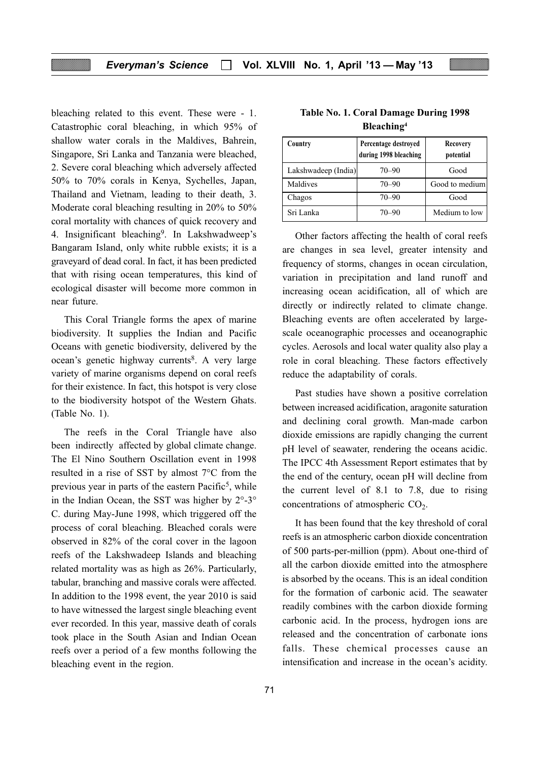bleaching related to this event. These were - 1. Catastrophic coral bleaching, in which 95% of shallow water corals in the Maldives, Bahrein, Singapore, Sri Lanka and Tanzania were bleached, 2. Severe coral bleaching which adversely affected 50% to 70% corals in Kenya, Sychelles, Japan, Thailand and Vietnam, leading to their death, 3. Moderate coral bleaching resulting in 20% to 50% coral mortality with chances of quick recovery and 4. Insignificant bleaching9. In Lakshwadweep's Bangaram Island, only white rubble exists; it is a graveyard of dead coral. In fact, it has been predicted that with rising ocean temperatures, this kind of ecological disaster will become more common in near future.

This Coral Triangle forms the apex of marine biodiversity. It supplies the Indian and Pacific Oceans with genetic biodiversity, delivered by the ocean's genetic highway currents8. A very large variety of marine organisms depend on coral reefs for their existence. In fact, this hotspot is very close to the biodiversity hotspot of the Western Ghats. (Table No. 1).

The reefs in the Coral Triangle have also been indirectly affected by global climate change. The El Nino Southern Oscillation event in 1998 resulted in a rise of SST by almost 7°C from the previous year in parts of the eastern Pacific<sup>5</sup>, while in the Indian Ocean, the SST was higher by 2°-3° C. during May-June 1998, which triggered off the process of coral bleaching. Bleached corals were observed in 82% of the coral cover in the lagoon reefs of the Lakshwadeep Islands and bleaching related mortality was as high as 26%. Particularly, tabular, branching and massive corals were affected. In addition to the 1998 event, the year 2010 is said to have witnessed the largest single bleaching event ever recorded. In this year, massive death of corals took place in the South Asian and Indian Ocean reefs over a period of a few months following the bleaching event in the region.

| Country             | Percentage destroyed<br>during 1998 bleaching | Recovery<br>potential |
|---------------------|-----------------------------------------------|-----------------------|
| Lakshwadeep (India) | $70 - 90$                                     | Good                  |
| Maldives            | $70 - 90$                                     | Good to medium        |
| Chagos              | $70 - 90$                                     | Good                  |
| Sri Lanka           | 70–90                                         | Medium to low         |

### Table No. 1. Coral Damage During 1998 Bleaching4

Other factors affecting the health of coral reefs are changes in sea level, greater intensity and frequency of storms, changes in ocean circulation, variation in precipitation and land runoff and increasing ocean acidification, all of which are directly or indirectly related to climate change. Bleaching events are often accelerated by largescale oceanographic processes and oceanographic cycles. Aerosols and local water quality also play a role in coral bleaching. These factors effectively reduce the adaptability of corals.

Past studies have shown a positive correlation between increased acidification, aragonite saturation and declining coral growth. Man-made carbon dioxide emissions are rapidly changing the current pH level of seawater, rendering the oceans acidic. The IPCC 4th Assessment Report estimates that by the end of the century, ocean pH will decline from the current level of 8.1 to 7.8, due to rising concentrations of atmospheric  $CO<sub>2</sub>$ .

It has been found that the key threshold of coral reefs is an atmospheric carbon dioxide concentration of 500 parts-per-million (ppm). About one-third of all the carbon dioxide emitted into the atmosphere is absorbed by the oceans. This is an ideal condition for the formation of carbonic acid. The seawater readily combines with the carbon dioxide forming carbonic acid. In the process, hydrogen ions are released and the concentration of carbonate ions falls. These chemical processes cause an intensification and increase in the ocean's acidity.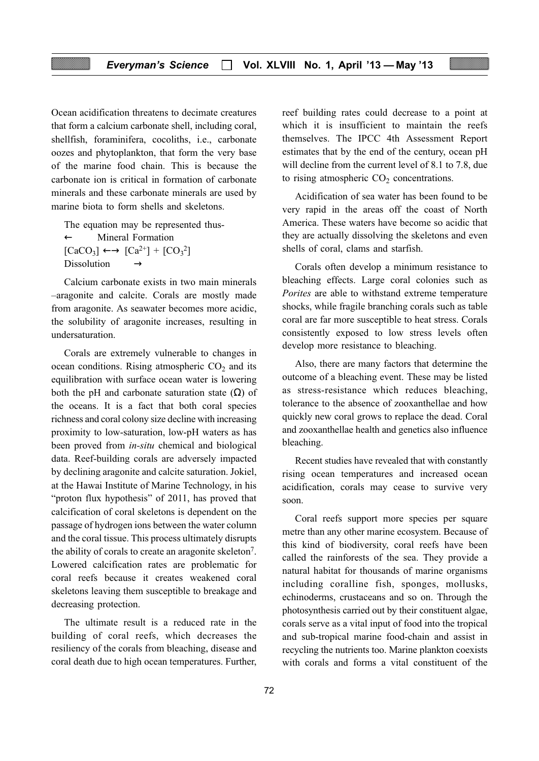Ocean acidification threatens to decimate creatures that form a calcium carbonate shell, including coral, shellfish, foraminifera, cocoliths, i.e., carbonate oozes and phytoplankton, that form the very base of the marine food chain. This is because the carbonate ion is critical in formation of carbonate minerals and these carbonate minerals are used by marine biota to form shells and skeletons.

The equation may be represented thus- ← Mineral Formation  $[CaCO<sub>3</sub>] \longleftrightarrow [Ca<sup>2+</sup>] + [CO<sub>3</sub><sup>2</sup>]$  $Dissolution \longrightarrow$ 

Calcium carbonate exists in two main minerals –aragonite and calcite. Corals are mostly made from aragonite. As seawater becomes more acidic, the solubility of aragonite increases, resulting in undersaturation.

Corals are extremely vulnerable to changes in ocean conditions. Rising atmospheric  $CO<sub>2</sub>$  and its equilibration with surface ocean water is lowering both the pH and carbonate saturation state  $(\Omega)$  of the oceans. It is a fact that both coral species richness and coral colony size decline with increasing proximity to low-saturation, low-pH waters as has been proved from in-situ chemical and biological data. Reef-building corals are adversely impacted by declining aragonite and calcite saturation. Jokiel, at the Hawai Institute of Marine Technology, in his "proton flux hypothesis" of 2011, has proved that calcification of coral skeletons is dependent on the passage of hydrogen ions between the water column and the coral tissue. This process ultimately disrupts the ability of corals to create an aragonite skeleton7. Lowered calcification rates are problematic for coral reefs because it creates weakened coral skeletons leaving them susceptible to breakage and decreasing protection.

The ultimate result is a reduced rate in the building of coral reefs, which decreases the resiliency of the corals from bleaching, disease and coral death due to high ocean temperatures. Further,

reef building rates could decrease to a point at which it is insufficient to maintain the reefs themselves. The IPCC 4th Assessment Report estimates that by the end of the century, ocean pH will decline from the current level of 8.1 to 7.8, due to rising atmospheric  $CO<sub>2</sub>$  concentrations.

Acidification of sea water has been found to be very rapid in the areas off the coast of North America. These waters have become so acidic that they are actually dissolving the skeletons and even shells of coral, clams and starfish.

Corals often develop a minimum resistance to bleaching effects. Large coral colonies such as Porites are able to withstand extreme temperature shocks, while fragile branching corals such as table coral are far more susceptible to heat stress. Corals consistently exposed to low stress levels often develop more resistance to bleaching.

Also, there are many factors that determine the outcome of a bleaching event. These may be listed as stress-resistance which reduces bleaching, tolerance to the absence of zooxanthellae and how quickly new coral grows to replace the dead. Coral and zooxanthellae health and genetics also influence bleaching.

Recent studies have revealed that with constantly rising ocean temperatures and increased ocean acidification, corals may cease to survive very soon.

Coral reefs support more species per square metre than any other marine ecosystem. Because of this kind of biodiversity, coral reefs have been called the rainforests of the sea. They provide a natural habitat for thousands of marine organisms including coralline fish, sponges, mollusks, echinoderms, crustaceans and so on. Through the photosynthesis carried out by their constituent algae, corals serve as a vital input of food into the tropical and sub-tropical marine food-chain and assist in recycling the nutrients too. Marine plankton coexists with corals and forms a vital constituent of the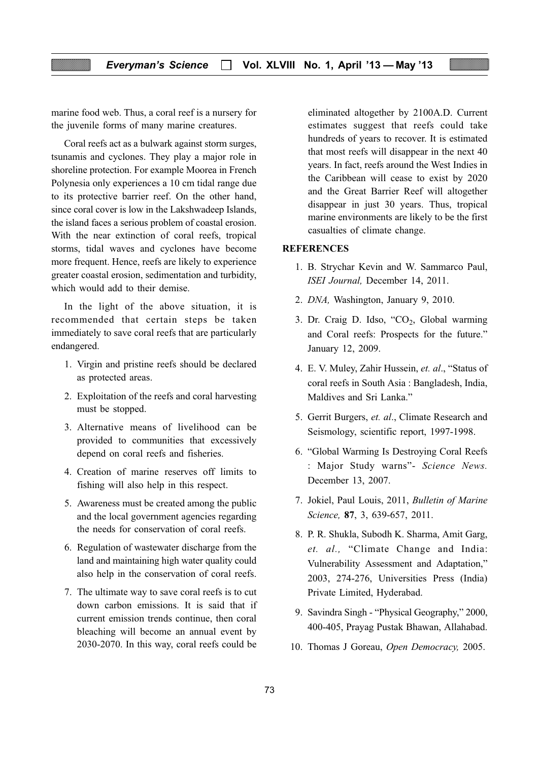marine food web. Thus, a coral reef is a nursery for the juvenile forms of many marine creatures.

Coral reefs act as a bulwark against storm surges, tsunamis and cyclones. They play a major role in shoreline protection. For example Moorea in French Polynesia only experiences a 10 cm tidal range due to its protective barrier reef. On the other hand, since coral cover is low in the Lakshwadeep Islands, the island faces a serious problem of coastal erosion. With the near extinction of coral reefs, tropical storms, tidal waves and cyclones have become more frequent. Hence, reefs are likely to experience greater coastal erosion, sedimentation and turbidity, which would add to their demise.

In the light of the above situation, it is recommended that certain steps be taken immediately to save coral reefs that are particularly endangered.

- 1. Virgin and pristine reefs should be declared as protected areas.
- 2. Exploitation of the reefs and coral harvesting must be stopped.
- 3. Alternative means of livelihood can be provided to communities that excessively depend on coral reefs and fisheries.
- 4. Creation of marine reserves off limits to fishing will also help in this respect.
- 5. Awareness must be created among the public and the local government agencies regarding the needs for conservation of coral reefs.
- 6. Regulation of wastewater discharge from the land and maintaining high water quality could also help in the conservation of coral reefs.
- 7. The ultimate way to save coral reefs is to cut down carbon emissions. It is said that if current emission trends continue, then coral bleaching will become an annual event by 2030-2070. In this way, coral reefs could be

eliminated altogether by 2100A.D. Current estimates suggest that reefs could take hundreds of years to recover. It is estimated that most reefs will disappear in the next 40 years. In fact, reefs around the West Indies in the Caribbean will cease to exist by 2020 and the Great Barrier Reef will altogether disappear in just 30 years. Thus, tropical marine environments are likely to be the first casualties of climate change.

#### **REFERENCES**

- 1. B. Strychar Kevin and W. Sammarco Paul, ISEI Journal, December 14, 2011.
- 2. DNA, Washington, January 9, 2010.
- 3. Dr. Craig D. Idso, "CO<sub>2</sub>, Global warming and Coral reefs: Prospects for the future." January 12, 2009.
- 4. E. V. Muley, Zahir Hussein, et. al., "Status of coral reefs in South Asia : Bangladesh, India, Maldives and Sri Lanka."
- 5. Gerrit Burgers, et. al., Climate Research and Seismology, scientific report, 1997-1998.
- 6. "Global Warming Is Destroying Coral Reefs : Major Study warns"- Science News. December 13, 2007.
- 7. Jokiel, Paul Louis, 2011, Bulletin of Marine Science, **87**, 3, 639-657, 2011.
- 8. P. R. Shukla, Subodh K. Sharma, Amit Garg, et. al., "Climate Change and India: Vulnerability Assessment and Adaptation," 2003, 274-276, Universities Press (India) Private Limited, Hyderabad.
- 9. Savindra Singh "Physical Geography," 2000, 400-405, Prayag Pustak Bhawan, Allahabad.
- 10. Thomas J Goreau, Open Democracy, 2005.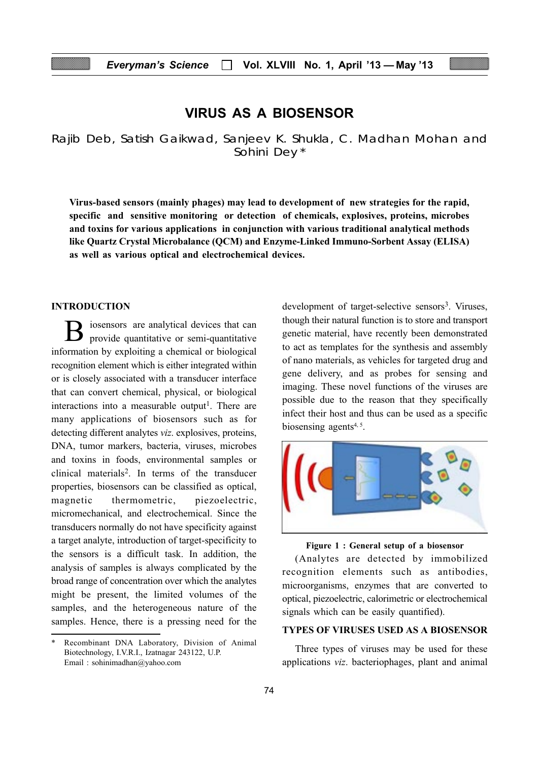# VIRUS AS A BIOSENSOR

Rajib Deb, Satish Gaikwad, Sanjeev K. Shukla, C. Madhan Mohan and Sohini Dey \*

Virus-based sensors (mainly phages) may lead to development of new strategies for the rapid, specific and sensitive monitoring or detection of chemicals, explosives, proteins, microbes and toxins for various applications in conjunction with various traditional analytical methods like Quartz Crystal Microbalance (QCM) and Enzyme-Linked Immuno-Sorbent Assay (ELISA) as well as various optical and electrochemical devices.

#### INTRODUCTION

iosensors are analytical devices that can provide quantitative or semi-quantitative information by exploiting a chemical or biological recognition element which is either integrated within or is closely associated with a transducer interface that can convert chemical, physical, or biological interactions into a measurable output<sup>1</sup>. There are many applications of biosensors such as for detecting different analytes viz. explosives, proteins, DNA, tumor markers, bacteria, viruses, microbes and toxins in foods, environmental samples or clinical materials2. In terms of the transducer properties, biosensors can be classified as optical, magnetic thermometric, piezoelectric, micromechanical, and electrochemical. Since the transducers normally do not have specificity against a target analyte, introduction of target-specificity to the sensors is a difficult task. In addition, the analysis of samples is always complicated by the broad range of concentration over which the analytes might be present, the limited volumes of the samples, and the heterogeneous nature of the samples. Hence, there is a pressing need for the development of target-selective sensors<sup>3</sup>. Viruses, though their natural function is to store and transport genetic material, have recently been demonstrated to act as templates for the synthesis and assembly of nano materials, as vehicles for targeted drug and gene delivery, and as probes for sensing and imaging. These novel functions of the viruses are possible due to the reason that they specifically infect their host and thus can be used as a specific biosensing agents<sup>4, 5</sup>.



Figure 1 : General setup of a biosensor

(Analytes are detected by immobilized recognition elements such as antibodies, microorganisms, enzymes that are converted to optical, piezoelectric, calorimetric or electrochemical signals which can be easily quantified).

#### TYPES OF VIRUSES USED AS A BIOSENSOR

Three types of viruses may be used for these applications viz. bacteriophages, plant and animal

Recombinant DNA Laboratory, Division of Animal Biotechnology, I.V.R.I., Izatnagar 243122, U.P. Email : sohinimadhan@yahoo.com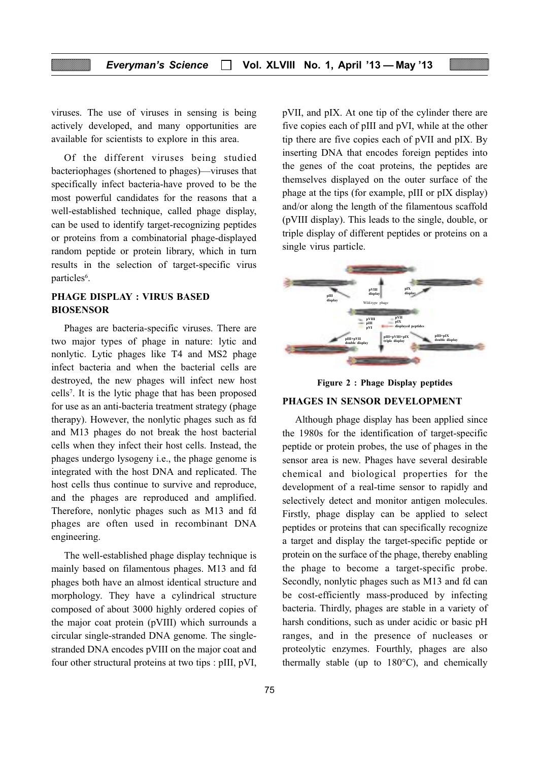viruses. The use of viruses in sensing is being actively developed, and many opportunities are available for scientists to explore in this area.

Of the different viruses being studied bacteriophages (shortened to phages)—viruses that specifically infect bacteria-have proved to be the most powerful candidates for the reasons that a well-established technique, called phage display, can be used to identify target-recognizing peptides or proteins from a combinatorial phage-displayed random peptide or protein library, which in turn results in the selection of target-specific virus particles<sup>6</sup>.

# PHAGE DISPLAY : VIRUS BASED **BIOSENSOR**

Phages are bacteria-specific viruses. There are two major types of phage in nature: lytic and nonlytic. Lytic phages like T4 and MS2 phage infect bacteria and when the bacterial cells are destroyed, the new phages will infect new host cells7 . It is the lytic phage that has been proposed for use as an anti-bacteria treatment strategy (phage therapy). However, the nonlytic phages such as fd and M13 phages do not break the host bacterial cells when they infect their host cells. Instead, the phages undergo lysogeny i.e., the phage genome is integrated with the host DNA and replicated. The host cells thus continue to survive and reproduce, and the phages are reproduced and amplified. Therefore, nonlytic phages such as M13 and fd phages are often used in recombinant DNA engineering.

The well-established phage display technique is mainly based on filamentous phages. M13 and fd phages both have an almost identical structure and morphology. They have a cylindrical structure composed of about 3000 highly ordered copies of the major coat protein (pVIII) which surrounds a circular single-stranded DNA genome. The singlestranded DNA encodes pVIII on the major coat and four other structural proteins at two tips : pIII, pVI,

pVII, and pIX. At one tip of the cylinder there are five copies each of pIII and pVI, while at the other tip there are five copies each of pVII and pIX. By inserting DNA that encodes foreign peptides into the genes of the coat proteins, the peptides are themselves displayed on the outer surface of the phage at the tips (for example, pIII or pIX display) and/or along the length of the filamentous scaffold (pVIII display). This leads to the single, double, or triple display of different peptides or proteins on a single virus particle.





#### PHAGES IN SENSOR DEVELOPMENT

Although phage display has been applied since the 1980s for the identification of target-specific peptide or protein probes, the use of phages in the sensor area is new. Phages have several desirable chemical and biological properties for the development of a real-time sensor to rapidly and selectively detect and monitor antigen molecules. Firstly, phage display can be applied to select peptides or proteins that can specifically recognize a target and display the target-specific peptide or protein on the surface of the phage, thereby enabling the phage to become a target-specific probe. Secondly, nonlytic phages such as M13 and fd can be cost-efficiently mass-produced by infecting bacteria. Thirdly, phages are stable in a variety of harsh conditions, such as under acidic or basic pH ranges, and in the presence of nucleases or proteolytic enzymes. Fourthly, phages are also thermally stable (up to 180°C), and chemically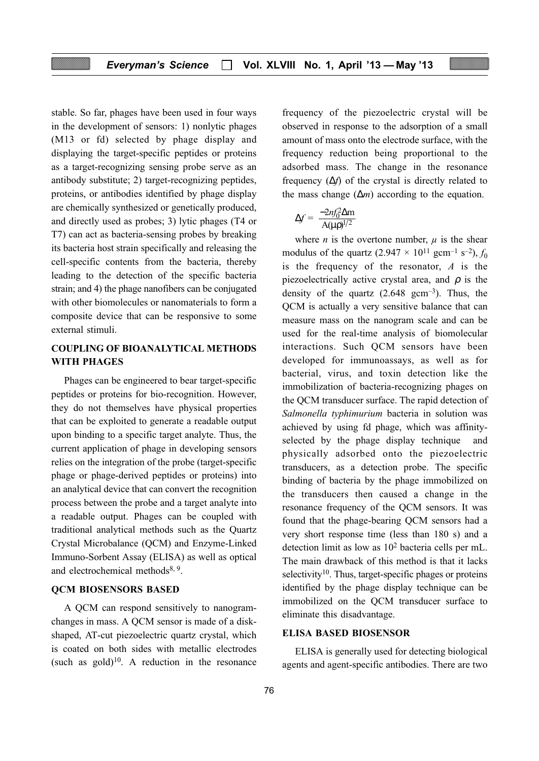stable. So far, phages have been used in four ways in the development of sensors: 1) nonlytic phages (M13 or fd) selected by phage display and displaying the target-specific peptides or proteins as a target-recognizing sensing probe serve as an antibody substitute; 2) target-recognizing peptides, proteins, or antibodies identified by phage display are chemically synthesized or genetically produced, and directly used as probes; 3) lytic phages (T4 or T7) can act as bacteria-sensing probes by breaking its bacteria host strain specifically and releasing the cell-specific contents from the bacteria, thereby leading to the detection of the specific bacteria strain; and 4) the phage nanofibers can be conjugated with other biomolecules or nanomaterials to form a composite device that can be responsive to some external stimuli.

# COUPLING OF BIOANALYTICAL METHODS WITH PHAGES

Phages can be engineered to bear target-specific peptides or proteins for bio-recognition. However, they do not themselves have physical properties that can be exploited to generate a readable output upon binding to a specific target analyte. Thus, the current application of phage in developing sensors relies on the integration of the probe (target-specific phage or phage-derived peptides or proteins) into an analytical device that can convert the recognition process between the probe and a target analyte into a readable output. Phages can be coupled with traditional analytical methods such as the Quartz Crystal Microbalance (QCM) and Enzyme-Linked Immuno-Sorbent Assay (ELISA) as well as optical and electrochemical methods<sup>8, 9</sup>.

#### QCM BIOSENSORS BASED

A QCM can respond sensitively to nanogramchanges in mass. A QCM sensor is made of a diskshaped, AT-cut piezoelectric quartz crystal, which is coated on both sides with metallic electrodes (such as gold)<sup>10</sup>. A reduction in the resonance frequency of the piezoelectric crystal will be observed in response to the adsorption of a small amount of mass onto the electrode surface, with the frequency reduction being proportional to the adsorbed mass. The change in the resonance frequency  $(\Delta f)$  of the crystal is directly related to the mass change  $(\Delta m)$  according to the equation.

$$
\Delta f = \frac{-2nf_0^2 \Delta m}{A(\mu \rho)^{1/2}}
$$

where *n* is the overtone number,  $\mu$  is the shear modulus of the quartz (2.947  $\times$  10<sup>11</sup> gcm<sup>-1</sup> s<sup>-2</sup>),  $f_0$ is the frequency of the resonator,  $A$  is the piezoelectrically active crystal area, and  $\rho$  is the density of the quartz  $(2.648 \text{ gcm}^{-3})$ . Thus, the QCM is actually a very sensitive balance that can measure mass on the nanogram scale and can be used for the real-time analysis of biomolecular interactions. Such QCM sensors have been developed for immunoassays, as well as for bacterial, virus, and toxin detection like the immobilization of bacteria-recognizing phages on the QCM transducer surface. The rapid detection of Salmonella typhimurium bacteria in solution was achieved by using fd phage, which was affinityselected by the phage display technique and physically adsorbed onto the piezoelectric transducers, as a detection probe. The specific binding of bacteria by the phage immobilized on the transducers then caused a change in the resonance frequency of the QCM sensors. It was found that the phage-bearing QCM sensors had a very short response time (less than 180 s) and a detection limit as low as 102 bacteria cells per mL. The main drawback of this method is that it lacks selectivity<sup>10</sup>. Thus, target-specific phages or proteins identified by the phage display technique can be immobilized on the QCM transducer surface to eliminate this disadvantage.

# ELISA BASED BIOSENSOR

ELISA is generally used for detecting biological agents and agent-specific antibodies. There are two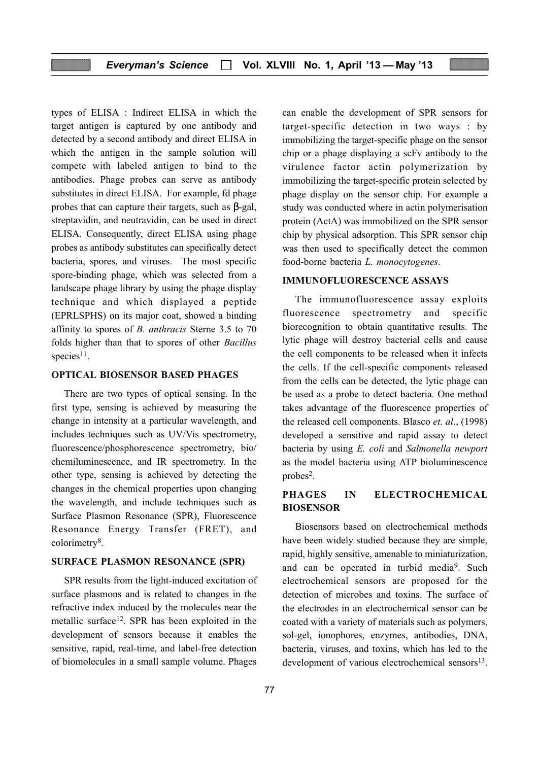# Everyman's Science  $\Box$  Vol. XLVIII No. 1, April '13 - May '13

types of ELISA : Indirect ELISA in which the target antigen is captured by one antibody and detected by a second antibody and direct ELISA in which the antigen in the sample solution will compete with labeled antigen to bind to the antibodies. Phage probes can serve as antibody substitutes in direct ELISA. For example, fd phage probes that can capture their targets, such as β-gal, streptavidin, and neutravidin, can be used in direct ELISA. Consequently, direct ELISA using phage probes as antibody substitutes can specifically detect bacteria, spores, and viruses. The most specific spore-binding phage, which was selected from a landscape phage library by using the phage display technique and which displayed a peptide (EPRLSPHS) on its major coat, showed a binding affinity to spores of B. anthracis Sterne 3.5 to 70 folds higher than that to spores of other Bacillus species<sup>11</sup>.

#### OPTICAL BIOSENSOR BASED PHAGES

There are two types of optical sensing. In the first type, sensing is achieved by measuring the change in intensity at a particular wavelength, and includes techniques such as UV/Vis spectrometry, fluorescence/phosphorescence spectrometry, bio/ chemiluminescence, and IR spectrometry. In the other type, sensing is achieved by detecting the changes in the chemical properties upon changing the wavelength, and include techniques such as Surface Plasmon Resonance (SPR), Fluorescence Resonance Energy Transfer (FRET), and colorimetry8.

## SURFACE PLASMON RESONANCE (SPR)

SPR results from the light-induced excitation of surface plasmons and is related to changes in the refractive index induced by the molecules near the metallic surface<sup>12</sup>. SPR has been exploited in the development of sensors because it enables the sensitive, rapid, real-time, and label-free detection of biomolecules in a small sample volume. Phages can enable the development of SPR sensors for target-specific detection in two ways : by immobilizing the target-specific phage on the sensor chip or a phage displaying a scFv antibody to the virulence factor actin polymerization by immobilizing the target-specific protein selected by phage display on the sensor chip. For example a study was conducted where in actin polymerisation protein (ActA) was immobilized on the SPR sensor chip by physical adsorption. This SPR sensor chip was then used to specifically detect the common food-borne bacteria L. monocytogenes.

#### IMMUNOFLUORESCENCE ASSAYS

The immunofluorescence assay exploits fluorescence spectrometry and specific biorecognition to obtain quantitative results. The lytic phage will destroy bacterial cells and cause the cell components to be released when it infects the cells. If the cell-specific components released from the cells can be detected, the lytic phage can be used as a probe to detect bacteria. One method takes advantage of the fluorescence properties of the released cell components. Blasco et. al., (1998) developed a sensitive and rapid assay to detect bacteria by using E. coli and Salmonella newport as the model bacteria using ATP bioluminescence probes2.

# PHAGES IN ELECTROCHEMICAL BIOSENSOR

Biosensors based on electrochemical methods have been widely studied because they are simple, rapid, highly sensitive, amenable to miniaturization, and can be operated in turbid media9. Such electrochemical sensors are proposed for the detection of microbes and toxins. The surface of the electrodes in an electrochemical sensor can be coated with a variety of materials such as polymers, sol-gel, ionophores, enzymes, antibodies, DNA, bacteria, viruses, and toxins, which has led to the development of various electrochemical sensors<sup>13</sup>.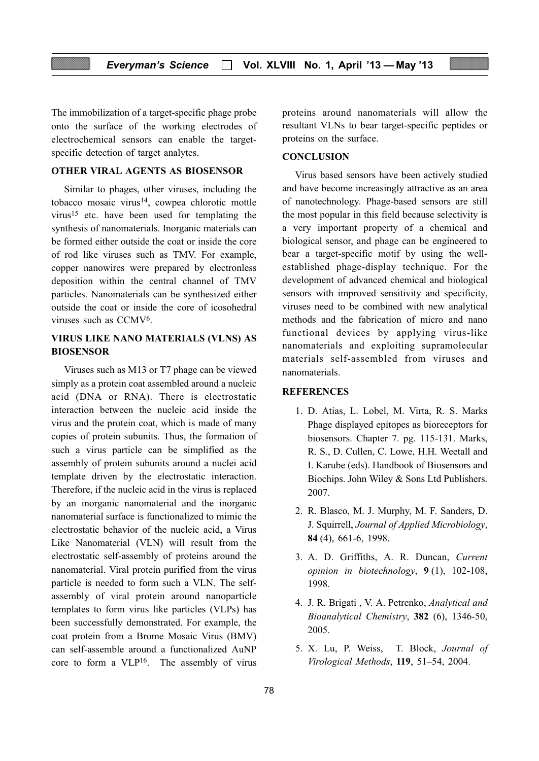The immobilization of a target-specific phage probe onto the surface of the working electrodes of electrochemical sensors can enable the targetspecific detection of target analytes.

## OTHER VIRAL AGENTS AS BIOSENSOR

Similar to phages, other viruses, including the tobacco mosaic virus $14$ , cowpea chlorotic mottle virus15 etc. have been used for templating the synthesis of nanomaterials. Inorganic materials can be formed either outside the coat or inside the core of rod like viruses such as TMV. For example, copper nanowires were prepared by electronless deposition within the central channel of TMV particles. Nanomaterials can be synthesized either outside the coat or inside the core of icosohedral viruses such as CCMV6.

# VIRUS LIKE NANO MATERIALS (VLNS) AS BIOSENSOR

Viruses such as M13 or T7 phage can be viewed simply as a protein coat assembled around a nucleic acid (DNA or RNA). There is electrostatic interaction between the nucleic acid inside the virus and the protein coat, which is made of many copies of protein subunits. Thus, the formation of such a virus particle can be simplified as the assembly of protein subunits around a nuclei acid template driven by the electrostatic interaction. Therefore, if the nucleic acid in the virus is replaced by an inorganic nanomaterial and the inorganic nanomaterial surface is functionalized to mimic the electrostatic behavior of the nucleic acid, a Virus Like Nanomaterial (VLN) will result from the electrostatic self-assembly of proteins around the nanomaterial. Viral protein purified from the virus particle is needed to form such a VLN. The selfassembly of viral protein around nanoparticle templates to form virus like particles (VLPs) has been successfully demonstrated. For example, the coat protein from a Brome Mosaic Virus (BMV) can self-assemble around a functionalized AuNP core to form a  $VLP^{16}$ . The assembly of virus

proteins around nanomaterials will allow the resultant VLNs to bear target-specific peptides or proteins on the surface.

#### **CONCLUSION**

Virus based sensors have been actively studied and have become increasingly attractive as an area of nanotechnology. Phage-based sensors are still the most popular in this field because selectivity is a very important property of a chemical and biological sensor, and phage can be engineered to bear a target-specific motif by using the wellestablished phage-display technique. For the development of advanced chemical and biological sensors with improved sensitivity and specificity, viruses need to be combined with new analytical methods and the fabrication of micro and nano functional devices by applying virus-like nanomaterials and exploiting supramolecular materials self-assembled from viruses and nanomaterials.

#### **REFERENCES**

- 1. D. Atias, L. Lobel, M. Virta, R. S. Marks Phage displayed epitopes as bioreceptors for biosensors. Chapter 7. pg. 115-131. Marks, R. S., D. Cullen, C. Lowe, H.H. Weetall and I. Karube (eds). Handbook of Biosensors and Biochips. John Wiley & Sons Ltd Publishers. 2007.
- 2. R. Blasco, M. J. Murphy, M. F. Sanders, D. J. Squirrell, Journal of Applied Microbiology, 84 (4), 661-6, 1998.
- 3. A. D. Griffiths, A. R. Duncan, Current opinion in biotechnology, 9 (1), 102-108, 1998.
- 4. J. R. Brigati , V. A. Petrenko, Analytical and Bioanalytical Chemistry, 382 (6), 1346-50, 2005.
- 5. X. Lu, P. Weiss, T. Block, Journal of Virological Methods, 119, 51–54, 2004.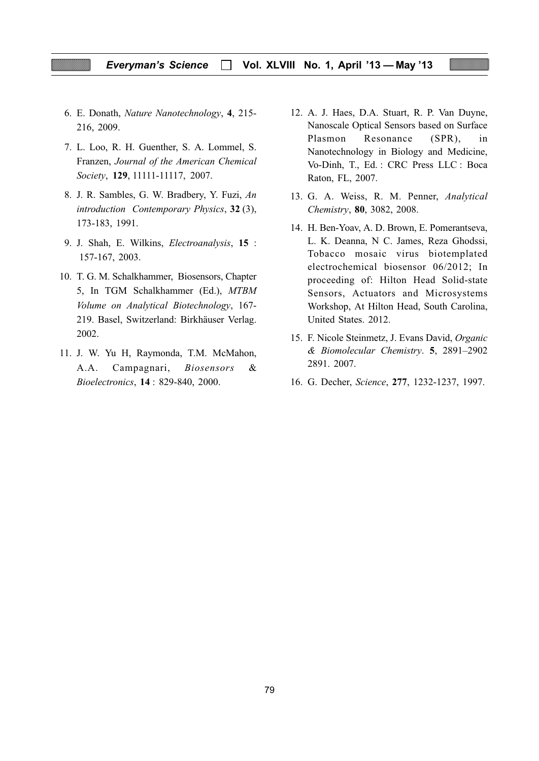## Everyman's Science  $\Box$  Vol. XLVIII No. 1, April '13 - May '13

- 6. E. Donath, Nature Nanotechnology, 4, 215- 216, 2009.
- 7. L. Loo, R. H. Guenther, S. A. Lommel, S. Franzen, Journal of the American Chemical Society, **129**, 11111-11117, 2007.
- 8. J. R. Sambles, G. W. Bradbery, Y. Fuzi, An introduction Contemporary Physics, 32 (3), 173-183, 1991.
- 9. J. Shah, E. Wilkins, Electroanalysis, 15 : 157-167, 2003.
- 10. T. G. M. Schalkhammer, Biosensors, Chapter 5, In TGM Schalkhammer (Ed.), MTBM Volume on Analytical Biotechnology, 167- 219. Basel, Switzerland: Birkhäuser Verlag. 2002.
- 11. J. W. Yu H, Raymonda, T.M. McMahon, A.A. Campagnari, Biosensors & Bioelectronics, 14 : 829-840, 2000.
- 12. A. J. Haes, D.A. Stuart, R. P. Van Duyne, Nanoscale Optical Sensors based on Surface Plasmon Resonance (SPR), in Nanotechnology in Biology and Medicine, Vo-Dinh, T., Ed. : CRC Press LLC : Boca Raton, FL, 2007.
- 13. G. A. Weiss, R. M. Penner, Analytical Chemistry, 80, 3082, 2008.
- 14. H. Ben-Yoav, A. D. Brown, E. Pomerantseva, L. K. Deanna, N C. James, Reza Ghodssi, Tobacco mosaic virus biotemplated electrochemical biosensor 06/2012; In proceeding of: Hilton Head Solid-state Sensors, Actuators and Microsystems Workshop, At Hilton Head, South Carolina, United States. 2012.
- 15. F. Nicole Steinmetz, J. Evans David, Organic & Biomolecular Chemistry. 5, 2891–2902 2891. 2007.
- 16. G. Decher, Science, 277, 1232-1237, 1997.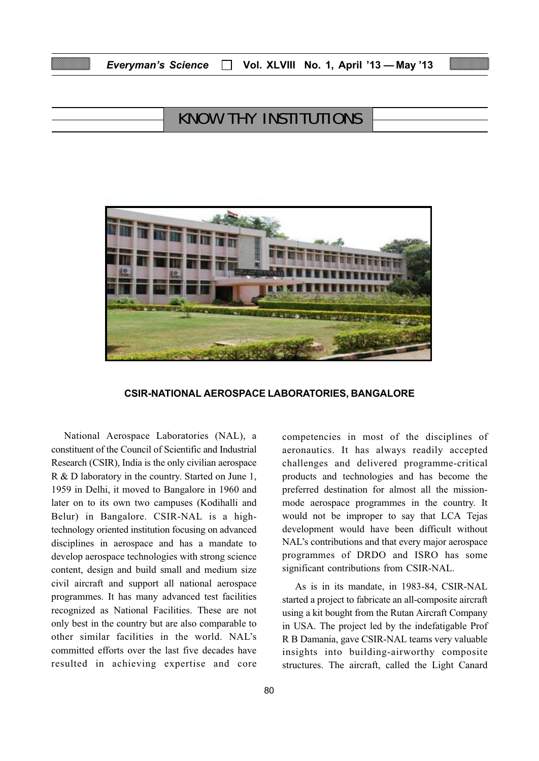# KNOW THY INSTITUTIONS



CSIR-NATIONAL AEROSPACE LABORATORIES, BANGALORE

National Aerospace Laboratories (NAL), a constituent of the Council of Scientific and Industrial Research (CSIR), India is the only civilian aerospace R & D laboratory in the country. Started on June 1, 1959 in Delhi, it moved to Bangalore in 1960 and later on to its own two campuses (Kodihalli and Belur) in Bangalore. CSIR-NAL is a hightechnology oriented institution focusing on advanced disciplines in aerospace and has a mandate to develop aerospace technologies with strong science content, design and build small and medium size civil aircraft and support all national aerospace programmes. It has many advanced test facilities recognized as National Facilities. These are not only best in the country but are also comparable to other similar facilities in the world. NAL's committed efforts over the last five decades have resulted in achieving expertise and core competencies in most of the disciplines of aeronautics. It has always readily accepted challenges and delivered programme-critical products and technologies and has become the preferred destination for almost all the missionmode aerospace programmes in the country. It would not be improper to say that LCA Tejas development would have been difficult without NAL's contributions and that every major aerospace programmes of DRDO and ISRO has some significant contributions from CSIR-NAL.

As is in its mandate, in 1983-84, CSIR-NAL started a project to fabricate an all-composite aircraft using a kit bought from the Rutan Aircraft Company in USA. The project led by the indefatigable Prof R B Damania, gave CSIR-NAL teams very valuable insights into building-airworthy composite structures. The aircraft, called the Light Canard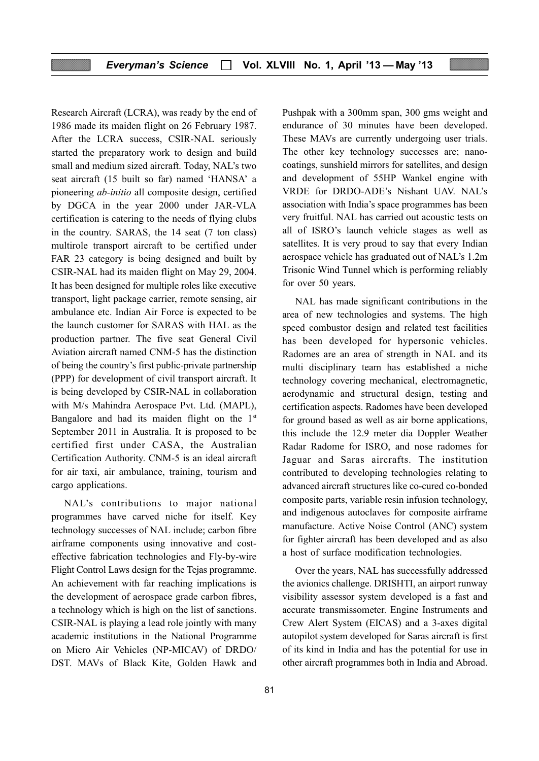Research Aircraft (LCRA), was ready by the end of 1986 made its maiden flight on 26 February 1987. After the LCRA success, CSIR-NAL seriously started the preparatory work to design and build small and medium sized aircraft. Today, NAL's two seat aircraft (15 built so far) named 'HANSA' a pioneering ab-initio all composite design, certified by DGCA in the year 2000 under JAR-VLA certification is catering to the needs of flying clubs in the country. SARAS, the 14 seat (7 ton class) multirole transport aircraft to be certified under FAR 23 category is being designed and built by CSIR-NAL had its maiden flight on May 29, 2004. It has been designed for multiple roles like executive transport, light package carrier, remote sensing, air ambulance etc. Indian Air Force is expected to be the launch customer for SARAS with HAL as the production partner. The five seat General Civil Aviation aircraft named CNM-5 has the distinction of being the country's first public-private partnership (PPP) for development of civil transport aircraft. It is being developed by CSIR-NAL in collaboration with M/s Mahindra Aerospace Pvt. Ltd. (MAPL), Bangalore and had its maiden flight on the  $1<sup>st</sup>$ September 2011 in Australia. It is proposed to be certified first under CASA, the Australian Certification Authority. CNM-5 is an ideal aircraft for air taxi, air ambulance, training, tourism and cargo applications.

NAL's contributions to major national programmes have carved niche for itself. Key technology successes of NAL include; carbon fibre airframe components using innovative and costeffective fabrication technologies and Fly-by-wire Flight Control Laws design for the Tejas programme. An achievement with far reaching implications is the development of aerospace grade carbon fibres, a technology which is high on the list of sanctions. CSIR-NAL is playing a lead role jointly with many academic institutions in the National Programme on Micro Air Vehicles (NP-MICAV) of DRDO/ DST. MAVs of Black Kite, Golden Hawk and Pushpak with a 300mm span, 300 gms weight and endurance of 30 minutes have been developed. These MAVs are currently undergoing user trials. The other key technology successes are; nanocoatings, sunshield mirrors for satellites, and design and development of 55HP Wankel engine with VRDE for DRDO-ADE's Nishant UAV. NAL's association with India's space programmes has been very fruitful. NAL has carried out acoustic tests on all of ISRO's launch vehicle stages as well as satellites. It is very proud to say that every Indian aerospace vehicle has graduated out of NAL's 1.2m Trisonic Wind Tunnel which is performing reliably for over 50 years.

NAL has made significant contributions in the area of new technologies and systems. The high speed combustor design and related test facilities has been developed for hypersonic vehicles. Radomes are an area of strength in NAL and its multi disciplinary team has established a niche technology covering mechanical, electromagnetic, aerodynamic and structural design, testing and certification aspects. Radomes have been developed for ground based as well as air borne applications, this include the 12.9 meter dia Doppler Weather Radar Radome for ISRO, and nose radomes for Jaguar and Saras aircrafts. The institution contributed to developing technologies relating to advanced aircraft structures like co-cured co-bonded composite parts, variable resin infusion technology, and indigenous autoclaves for composite airframe manufacture. Active Noise Control (ANC) system for fighter aircraft has been developed and as also a host of surface modification technologies.

Over the years, NAL has successfully addressed the avionics challenge. DRISHTI, an airport runway visibility assessor system developed is a fast and accurate transmissometer. Engine Instruments and Crew Alert System (EICAS) and a 3-axes digital autopilot system developed for Saras aircraft is first of its kind in India and has the potential for use in other aircraft programmes both in India and Abroad.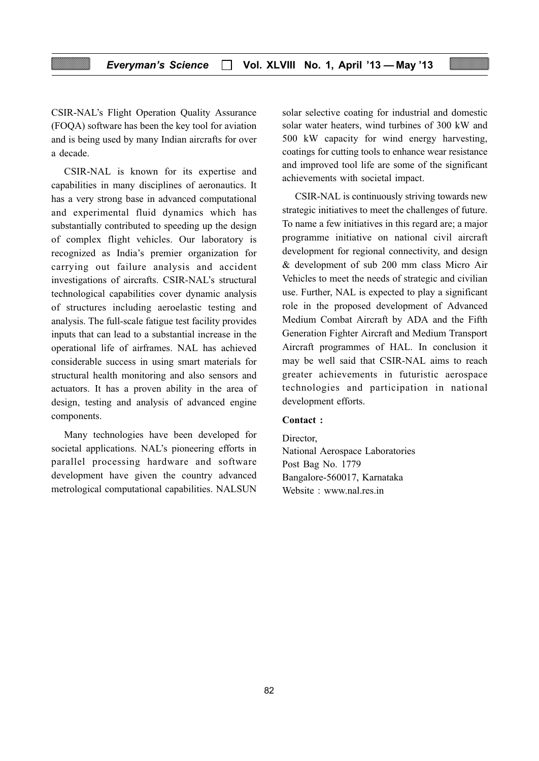# Everyman's Science  $\Box$  Vol. XLVIII No. 1, April '13 - May '13

CSIR-NAL's Flight Operation Quality Assurance (FOQA) software has been the key tool for aviation and is being used by many Indian aircrafts for over a decade.

CSIR-NAL is known for its expertise and capabilities in many disciplines of aeronautics. It has a very strong base in advanced computational and experimental fluid dynamics which has substantially contributed to speeding up the design of complex flight vehicles. Our laboratory is recognized as India's premier organization for carrying out failure analysis and accident investigations of aircrafts. CSIR-NAL's structural technological capabilities cover dynamic analysis of structures including aeroelastic testing and analysis. The full-scale fatigue test facility provides inputs that can lead to a substantial increase in the operational life of airframes. NAL has achieved considerable success in using smart materials for structural health monitoring and also sensors and actuators. It has a proven ability in the area of design, testing and analysis of advanced engine components.

Many technologies have been developed for societal applications. NAL's pioneering efforts in parallel processing hardware and software development have given the country advanced metrological computational capabilities. NALSUN

solar selective coating for industrial and domestic solar water heaters, wind turbines of 300 kW and 500 kW capacity for wind energy harvesting, coatings for cutting tools to enhance wear resistance and improved tool life are some of the significant achievements with societal impact.

CSIR-NAL is continuously striving towards new strategic initiatives to meet the challenges of future. To name a few initiatives in this regard are; a major programme initiative on national civil aircraft development for regional connectivity, and design & development of sub 200 mm class Micro Air Vehicles to meet the needs of strategic and civilian use. Further, NAL is expected to play a significant role in the proposed development of Advanced Medium Combat Aircraft by ADA and the Fifth Generation Fighter Aircraft and Medium Transport Aircraft programmes of HAL. In conclusion it may be well said that CSIR-NAL aims to reach greater achievements in futuristic aerospace technologies and participation in national development efforts.

#### Contact :

Director, National Aerospace Laboratories Post Bag No. 1779 Bangalore-560017, Karnataka Website : www.nal.res.in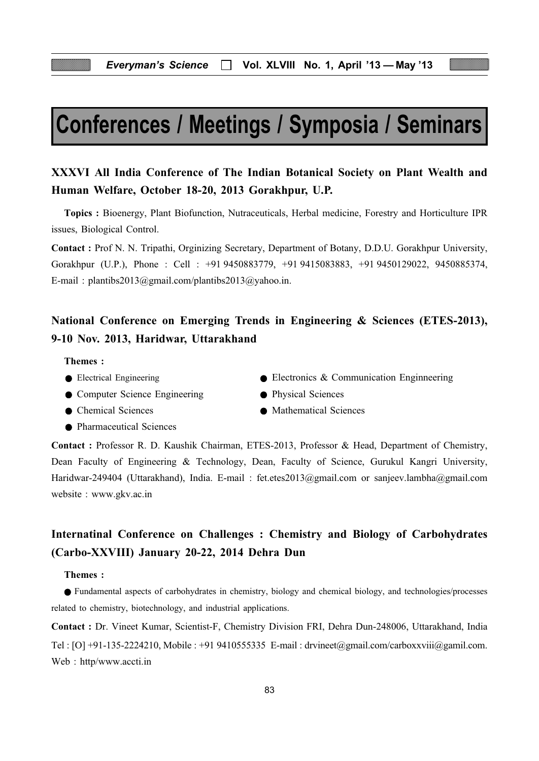# Conferences / Meetings / Symposia / Seminars

# XXXVI All India Conference of The Indian Botanical Society on Plant Wealth and Human Welfare, October 18-20, 2013 Gorakhpur, U.P.

Topics : Bioenergy, Plant Biofunction, Nutraceuticals, Herbal medicine, Forestry and Horticulture IPR issues, Biological Control.

Contact : Prof N. N. Tripathi, Orginizing Secretary, Department of Botany, D.D.U. Gorakhpur University, Gorakhpur (U.P.), Phone : Cell : +91 9450883779, +91 9415083883, +91 9450129022, 9450885374, E-mail : plantibs2013@gmail.com/plantibs2013@yahoo.in.

# National Conference on Emerging Trends in Engineering & Sciences (ETES-2013), 9-10 Nov. 2013, Haridwar, Uttarakhand

#### Themes :

- 
- Computer Science Engineering Physical Sciences
- 
- Pharmaceutical Sciences
- Electrical Engineering Electronics & Communication Engineering
	-
- Chemical Sciences Mathematical Sciences

Contact : Professor R. D. Kaushik Chairman, ETES-2013, Professor & Head, Department of Chemistry, Dean Faculty of Engineering & Technology, Dean, Faculty of Science, Gurukul Kangri University, Haridwar-249404 (Uttarakhand), India. E-mail : fet.etes2013@gmail.com or sanjeev.lambha@gmail.com website : www.gkv.ac.in

# Internatinal Conference on Challenges : Chemistry and Biology of Carbohydrates (Carbo-XXVIII) January 20-22, 2014 Dehra Dun

## Themes :

● Fundamental aspects of carbohydrates in chemistry, biology and chemical biology, and technologies/processes related to chemistry, biotechnology, and industrial applications.

Contact : Dr. Vineet Kumar, Scientist-F, Chemistry Division FRI, Dehra Dun-248006, Uttarakhand, India Tel : [O] +91-135-2224210, Mobile : +91 9410555335 E-mail : drvineet@gmail.com/carboxxviii@gamil.com. Web : http/www.accti.in